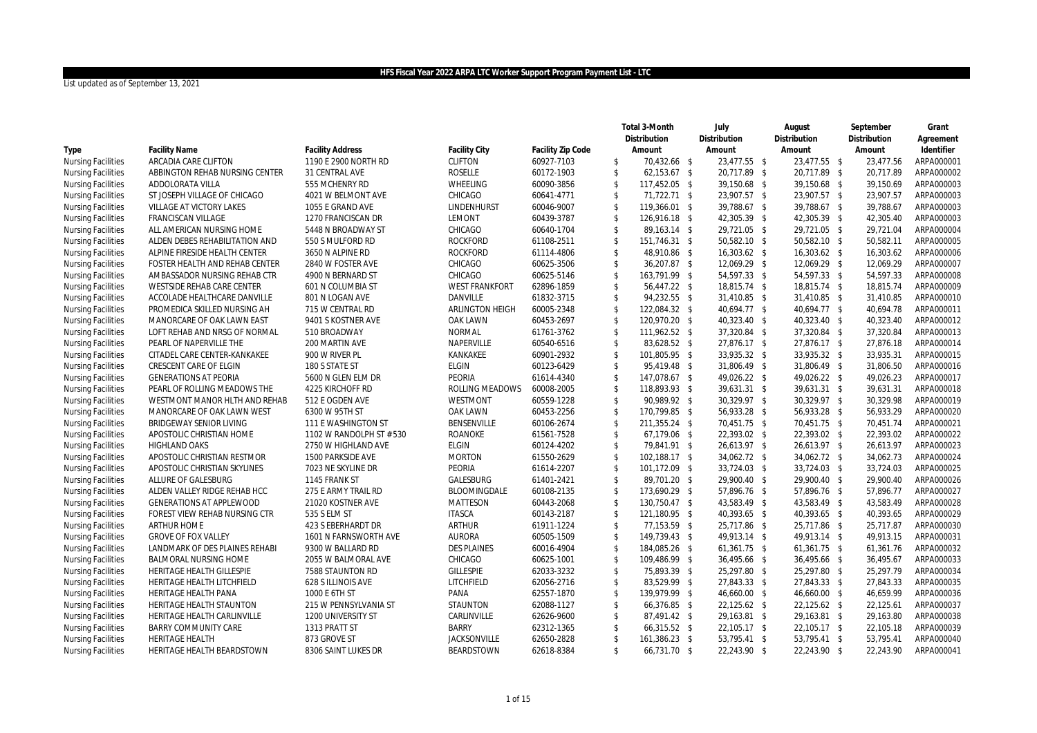|                                 |                          |                       |                   |                         |        |                               |                                                                                                                                                                                                                                                                                                                                                                                                                                                                                                                                                                                                                                                                                                                                                               |                                                                                                                                                                                                                                                                                                                                                                                                                                                                                                                                                                                                                                                                                                                              |        |                                                                                                                                                                                                                                                                                                                                                                                                                                                                                                                                                                                                                                                                                                                              | Grant                                                                                                                                                                                                                                                                                                                                                                                                                                                                                                                                                                                                                           |
|---------------------------------|--------------------------|-----------------------|-------------------|-------------------------|--------|-------------------------------|---------------------------------------------------------------------------------------------------------------------------------------------------------------------------------------------------------------------------------------------------------------------------------------------------------------------------------------------------------------------------------------------------------------------------------------------------------------------------------------------------------------------------------------------------------------------------------------------------------------------------------------------------------------------------------------------------------------------------------------------------------------|------------------------------------------------------------------------------------------------------------------------------------------------------------------------------------------------------------------------------------------------------------------------------------------------------------------------------------------------------------------------------------------------------------------------------------------------------------------------------------------------------------------------------------------------------------------------------------------------------------------------------------------------------------------------------------------------------------------------------|--------|------------------------------------------------------------------------------------------------------------------------------------------------------------------------------------------------------------------------------------------------------------------------------------------------------------------------------------------------------------------------------------------------------------------------------------------------------------------------------------------------------------------------------------------------------------------------------------------------------------------------------------------------------------------------------------------------------------------------------|---------------------------------------------------------------------------------------------------------------------------------------------------------------------------------------------------------------------------------------------------------------------------------------------------------------------------------------------------------------------------------------------------------------------------------------------------------------------------------------------------------------------------------------------------------------------------------------------------------------------------------|
|                                 |                          |                       |                   |                         |        | Distribution                  |                                                                                                                                                                                                                                                                                                                                                                                                                                                                                                                                                                                                                                                                                                                                                               | Distribution                                                                                                                                                                                                                                                                                                                                                                                                                                                                                                                                                                                                                                                                                                                 |        |                                                                                                                                                                                                                                                                                                                                                                                                                                                                                                                                                                                                                                                                                                                              | Agreement                                                                                                                                                                                                                                                                                                                                                                                                                                                                                                                                                                                                                       |
| <b>Facility Name</b>            | <b>Facility Address</b>  | Facility City         | Facility Zip Code |                         | Amount | Amount                        |                                                                                                                                                                                                                                                                                                                                                                                                                                                                                                                                                                                                                                                                                                                                                               | Amount                                                                                                                                                                                                                                                                                                                                                                                                                                                                                                                                                                                                                                                                                                                       |        |                                                                                                                                                                                                                                                                                                                                                                                                                                                                                                                                                                                                                                                                                                                              | Identifier                                                                                                                                                                                                                                                                                                                                                                                                                                                                                                                                                                                                                      |
| ARCADIA CARE CLIFTON            | 1190 E 2900 NORTH RD     | <b>CLIFTON</b>        | 60927-7103        | \$                      |        |                               |                                                                                                                                                                                                                                                                                                                                                                                                                                                                                                                                                                                                                                                                                                                                                               |                                                                                                                                                                                                                                                                                                                                                                                                                                                                                                                                                                                                                                                                                                                              |        |                                                                                                                                                                                                                                                                                                                                                                                                                                                                                                                                                                                                                                                                                                                              | ARPA000001                                                                                                                                                                                                                                                                                                                                                                                                                                                                                                                                                                                                                      |
| ABBINGTON REHAB NURSING CENTER  | 31 CENTRAL AVE           |                       | 60172-1903        | $\mathfrak{S}$          |        |                               |                                                                                                                                                                                                                                                                                                                                                                                                                                                                                                                                                                                                                                                                                                                                                               |                                                                                                                                                                                                                                                                                                                                                                                                                                                                                                                                                                                                                                                                                                                              |        |                                                                                                                                                                                                                                                                                                                                                                                                                                                                                                                                                                                                                                                                                                                              | ARPA000002                                                                                                                                                                                                                                                                                                                                                                                                                                                                                                                                                                                                                      |
| ADDOLORATA VILLA                | 555 MCHENRY RD           | WHEELING              | 60090-3856        | $\mathfrak{S}$          |        |                               |                                                                                                                                                                                                                                                                                                                                                                                                                                                                                                                                                                                                                                                                                                                                                               |                                                                                                                                                                                                                                                                                                                                                                                                                                                                                                                                                                                                                                                                                                                              |        |                                                                                                                                                                                                                                                                                                                                                                                                                                                                                                                                                                                                                                                                                                                              | ARPA000003                                                                                                                                                                                                                                                                                                                                                                                                                                                                                                                                                                                                                      |
| ST JOSEPH VILLAGE OF CHICAGO    | 4021 W BELMONT AVE       | CHICAGO               | 60641-4771        | \$                      |        |                               |                                                                                                                                                                                                                                                                                                                                                                                                                                                                                                                                                                                                                                                                                                                                                               |                                                                                                                                                                                                                                                                                                                                                                                                                                                                                                                                                                                                                                                                                                                              |        |                                                                                                                                                                                                                                                                                                                                                                                                                                                                                                                                                                                                                                                                                                                              | ARPA000003                                                                                                                                                                                                                                                                                                                                                                                                                                                                                                                                                                                                                      |
| VILLAGE AT VICTORY LAKES        | 1055 E GRAND AVE         | LINDENHURST           | 60046-9007        | $\mathfrak{S}$          |        |                               |                                                                                                                                                                                                                                                                                                                                                                                                                                                                                                                                                                                                                                                                                                                                                               |                                                                                                                                                                                                                                                                                                                                                                                                                                                                                                                                                                                                                                                                                                                              |        |                                                                                                                                                                                                                                                                                                                                                                                                                                                                                                                                                                                                                                                                                                                              | ARPA000003                                                                                                                                                                                                                                                                                                                                                                                                                                                                                                                                                                                                                      |
| <b>FRANCISCAN VILLAGE</b>       | 1270 FRANCISCAN DR       | LEMONT                | 60439-3787        | $\mathfrak{S}$          |        |                               |                                                                                                                                                                                                                                                                                                                                                                                                                                                                                                                                                                                                                                                                                                                                                               |                                                                                                                                                                                                                                                                                                                                                                                                                                                                                                                                                                                                                                                                                                                              |        |                                                                                                                                                                                                                                                                                                                                                                                                                                                                                                                                                                                                                                                                                                                              | ARPA000003                                                                                                                                                                                                                                                                                                                                                                                                                                                                                                                                                                                                                      |
| ALL AMERICAN NURSING HOME       | 5448 N BROADWAY ST       | CHICAGO               | 60640-1704        | $\mathfrak{S}$          |        |                               |                                                                                                                                                                                                                                                                                                                                                                                                                                                                                                                                                                                                                                                                                                                                                               |                                                                                                                                                                                                                                                                                                                                                                                                                                                                                                                                                                                                                                                                                                                              |        |                                                                                                                                                                                                                                                                                                                                                                                                                                                                                                                                                                                                                                                                                                                              | ARPA000004                                                                                                                                                                                                                                                                                                                                                                                                                                                                                                                                                                                                                      |
| ALDEN DEBES REHABILITATION AND  | 550 S MULFORD RD         | <b>ROCKFORD</b>       | 61108-2511        | $\mathfrak{S}$          |        |                               |                                                                                                                                                                                                                                                                                                                                                                                                                                                                                                                                                                                                                                                                                                                                                               |                                                                                                                                                                                                                                                                                                                                                                                                                                                                                                                                                                                                                                                                                                                              |        |                                                                                                                                                                                                                                                                                                                                                                                                                                                                                                                                                                                                                                                                                                                              | ARPA000005                                                                                                                                                                                                                                                                                                                                                                                                                                                                                                                                                                                                                      |
| ALPINE FIRESIDE HEALTH CENTER   | 3650 N ALPINE RD         | <b>ROCKFORD</b>       | 61114-4806        | $\mathfrak{S}$          |        |                               |                                                                                                                                                                                                                                                                                                                                                                                                                                                                                                                                                                                                                                                                                                                                                               |                                                                                                                                                                                                                                                                                                                                                                                                                                                                                                                                                                                                                                                                                                                              |        |                                                                                                                                                                                                                                                                                                                                                                                                                                                                                                                                                                                                                                                                                                                              | ARPA000006                                                                                                                                                                                                                                                                                                                                                                                                                                                                                                                                                                                                                      |
| FOSTER HEALTH AND REHAB CENTER  | 2840 W FOSTER AVE        | CHICAGO               | 60625-3506        | $\mathfrak{S}$          |        |                               |                                                                                                                                                                                                                                                                                                                                                                                                                                                                                                                                                                                                                                                                                                                                                               |                                                                                                                                                                                                                                                                                                                                                                                                                                                                                                                                                                                                                                                                                                                              |        |                                                                                                                                                                                                                                                                                                                                                                                                                                                                                                                                                                                                                                                                                                                              | ARPA000007                                                                                                                                                                                                                                                                                                                                                                                                                                                                                                                                                                                                                      |
| AMBASSADOR NURSING REHAB CTR    | 4900 N BERNARD ST        | CHICAGO               | 60625-5146        | $\mathfrak{S}$          |        |                               |                                                                                                                                                                                                                                                                                                                                                                                                                                                                                                                                                                                                                                                                                                                                                               |                                                                                                                                                                                                                                                                                                                                                                                                                                                                                                                                                                                                                                                                                                                              |        |                                                                                                                                                                                                                                                                                                                                                                                                                                                                                                                                                                                                                                                                                                                              | ARPA000008                                                                                                                                                                                                                                                                                                                                                                                                                                                                                                                                                                                                                      |
| WESTSIDE REHAB CARE CENTER      | 601 N COLUMBIA ST        | <b>WEST FRANKFORT</b> | 62896-1859        | $\mathfrak{S}$          |        |                               |                                                                                                                                                                                                                                                                                                                                                                                                                                                                                                                                                                                                                                                                                                                                                               |                                                                                                                                                                                                                                                                                                                                                                                                                                                                                                                                                                                                                                                                                                                              |        |                                                                                                                                                                                                                                                                                                                                                                                                                                                                                                                                                                                                                                                                                                                              | ARPA000009                                                                                                                                                                                                                                                                                                                                                                                                                                                                                                                                                                                                                      |
| ACCOLADE HEALTHCARE DANVILLE    | 801 N LOGAN AVE          | DANVILLE              | 61832-3715        | $\mathfrak{S}$          |        |                               |                                                                                                                                                                                                                                                                                                                                                                                                                                                                                                                                                                                                                                                                                                                                                               |                                                                                                                                                                                                                                                                                                                                                                                                                                                                                                                                                                                                                                                                                                                              |        |                                                                                                                                                                                                                                                                                                                                                                                                                                                                                                                                                                                                                                                                                                                              | ARPA000010                                                                                                                                                                                                                                                                                                                                                                                                                                                                                                                                                                                                                      |
| PROMEDICA SKILLED NURSING AH    | 715 W CENTRAL RD         | ARLINGTON HEIGH       | 60005-2348        | \$                      |        |                               |                                                                                                                                                                                                                                                                                                                                                                                                                                                                                                                                                                                                                                                                                                                                                               |                                                                                                                                                                                                                                                                                                                                                                                                                                                                                                                                                                                                                                                                                                                              |        |                                                                                                                                                                                                                                                                                                                                                                                                                                                                                                                                                                                                                                                                                                                              | ARPA000011                                                                                                                                                                                                                                                                                                                                                                                                                                                                                                                                                                                                                      |
| MANORCARE OF OAK LAWN EAST      | 9401 S KOSTNER AVE       | OAK LAWN              | 60453-2697        | $\mathfrak{S}$          |        |                               |                                                                                                                                                                                                                                                                                                                                                                                                                                                                                                                                                                                                                                                                                                                                                               |                                                                                                                                                                                                                                                                                                                                                                                                                                                                                                                                                                                                                                                                                                                              |        |                                                                                                                                                                                                                                                                                                                                                                                                                                                                                                                                                                                                                                                                                                                              | ARPA000012                                                                                                                                                                                                                                                                                                                                                                                                                                                                                                                                                                                                                      |
| LOFT REHAB AND NRSG OF NORMAL   | 510 BROADWAY             | <b>NORMAL</b>         | 61761-3762        | $\mathfrak{S}$          |        |                               |                                                                                                                                                                                                                                                                                                                                                                                                                                                                                                                                                                                                                                                                                                                                                               |                                                                                                                                                                                                                                                                                                                                                                                                                                                                                                                                                                                                                                                                                                                              |        |                                                                                                                                                                                                                                                                                                                                                                                                                                                                                                                                                                                                                                                                                                                              | ARPA000013                                                                                                                                                                                                                                                                                                                                                                                                                                                                                                                                                                                                                      |
| PEARL OF NAPERVILLE THE         | 200 MARTIN AVE           | NAPERVILLE            | 60540-6516        | $\mathfrak{S}$          |        |                               |                                                                                                                                                                                                                                                                                                                                                                                                                                                                                                                                                                                                                                                                                                                                                               |                                                                                                                                                                                                                                                                                                                                                                                                                                                                                                                                                                                                                                                                                                                              |        |                                                                                                                                                                                                                                                                                                                                                                                                                                                                                                                                                                                                                                                                                                                              | ARPA000014                                                                                                                                                                                                                                                                                                                                                                                                                                                                                                                                                                                                                      |
| CITADEL CARE CENTER-KANKAKEE    | 900 W RIVER PL           | KANKAKEE              | 60901-2932        | $\mathfrak{S}$          |        |                               |                                                                                                                                                                                                                                                                                                                                                                                                                                                                                                                                                                                                                                                                                                                                                               |                                                                                                                                                                                                                                                                                                                                                                                                                                                                                                                                                                                                                                                                                                                              |        |                                                                                                                                                                                                                                                                                                                                                                                                                                                                                                                                                                                                                                                                                                                              | ARPA000015                                                                                                                                                                                                                                                                                                                                                                                                                                                                                                                                                                                                                      |
| <b>CRESCENT CARE OF ELGIN</b>   | 180 S STATE ST           | <b>ELGIN</b>          | 60123-6429        | $\mathfrak{S}$          |        |                               |                                                                                                                                                                                                                                                                                                                                                                                                                                                                                                                                                                                                                                                                                                                                                               |                                                                                                                                                                                                                                                                                                                                                                                                                                                                                                                                                                                                                                                                                                                              |        |                                                                                                                                                                                                                                                                                                                                                                                                                                                                                                                                                                                                                                                                                                                              | ARPA000016                                                                                                                                                                                                                                                                                                                                                                                                                                                                                                                                                                                                                      |
| <b>GENERATIONS AT PEORIA</b>    | 5600 N GLEN ELM DR       | PEORIA                | 61614-4340        | $\mathcal{S}$           |        |                               |                                                                                                                                                                                                                                                                                                                                                                                                                                                                                                                                                                                                                                                                                                                                                               |                                                                                                                                                                                                                                                                                                                                                                                                                                                                                                                                                                                                                                                                                                                              |        |                                                                                                                                                                                                                                                                                                                                                                                                                                                                                                                                                                                                                                                                                                                              | ARPA000017                                                                                                                                                                                                                                                                                                                                                                                                                                                                                                                                                                                                                      |
| PEARL OF ROLLING MEADOWS THE    | 4225 KIRCHOFF RD         | ROLLING MEADOWS       | 60008-2005        | $\mathfrak{S}$          |        |                               |                                                                                                                                                                                                                                                                                                                                                                                                                                                                                                                                                                                                                                                                                                                                                               |                                                                                                                                                                                                                                                                                                                                                                                                                                                                                                                                                                                                                                                                                                                              |        |                                                                                                                                                                                                                                                                                                                                                                                                                                                                                                                                                                                                                                                                                                                              | ARPA000018                                                                                                                                                                                                                                                                                                                                                                                                                                                                                                                                                                                                                      |
| WESTMONT MANOR HLTH AND REHAB   | 512 E OGDEN AVE          | WESTMONT              | 60559-1228        | $\sqrt[6]{\frac{1}{2}}$ |        |                               |                                                                                                                                                                                                                                                                                                                                                                                                                                                                                                                                                                                                                                                                                                                                                               |                                                                                                                                                                                                                                                                                                                                                                                                                                                                                                                                                                                                                                                                                                                              |        |                                                                                                                                                                                                                                                                                                                                                                                                                                                                                                                                                                                                                                                                                                                              | ARPA000019                                                                                                                                                                                                                                                                                                                                                                                                                                                                                                                                                                                                                      |
| MANORCARE OF OAK LAWN WEST      | 6300 W 95TH ST           | OAK LAWN              | 60453-2256        | $\mathfrak{S}$          |        |                               |                                                                                                                                                                                                                                                                                                                                                                                                                                                                                                                                                                                                                                                                                                                                                               |                                                                                                                                                                                                                                                                                                                                                                                                                                                                                                                                                                                                                                                                                                                              |        |                                                                                                                                                                                                                                                                                                                                                                                                                                                                                                                                                                                                                                                                                                                              | ARPA000020                                                                                                                                                                                                                                                                                                                                                                                                                                                                                                                                                                                                                      |
| BRIDGEWAY SENIOR LIVING         | 111 E WASHINGTON ST      | BENSENVILLE           | 60106-2674        | \$                      |        |                               |                                                                                                                                                                                                                                                                                                                                                                                                                                                                                                                                                                                                                                                                                                                                                               |                                                                                                                                                                                                                                                                                                                                                                                                                                                                                                                                                                                                                                                                                                                              |        |                                                                                                                                                                                                                                                                                                                                                                                                                                                                                                                                                                                                                                                                                                                              | ARPA000021                                                                                                                                                                                                                                                                                                                                                                                                                                                                                                                                                                                                                      |
| APOSTOLIC CHRISTIAN HOME        | 1102 W RANDOLPH ST # 530 | <b>ROANOKE</b>        | 61561-7528        | $\mathfrak{S}$          |        |                               |                                                                                                                                                                                                                                                                                                                                                                                                                                                                                                                                                                                                                                                                                                                                                               |                                                                                                                                                                                                                                                                                                                                                                                                                                                                                                                                                                                                                                                                                                                              |        |                                                                                                                                                                                                                                                                                                                                                                                                                                                                                                                                                                                                                                                                                                                              | ARPA000022                                                                                                                                                                                                                                                                                                                                                                                                                                                                                                                                                                                                                      |
| <b>HIGHLAND OAKS</b>            | 2750 W HIGHLAND AVE      | <b>ELGIN</b>          | 60124-4202        | $\mathfrak{S}$          |        |                               |                                                                                                                                                                                                                                                                                                                                                                                                                                                                                                                                                                                                                                                                                                                                                               |                                                                                                                                                                                                                                                                                                                                                                                                                                                                                                                                                                                                                                                                                                                              |        |                                                                                                                                                                                                                                                                                                                                                                                                                                                                                                                                                                                                                                                                                                                              | ARPA000023                                                                                                                                                                                                                                                                                                                                                                                                                                                                                                                                                                                                                      |
| APOSTOLIC CHRISTIAN RESTMOR     |                          | <b>MORTON</b>         | 61550-2629        | $\sqrt[6]{\frac{1}{2}}$ |        |                               |                                                                                                                                                                                                                                                                                                                                                                                                                                                                                                                                                                                                                                                                                                                                                               |                                                                                                                                                                                                                                                                                                                                                                                                                                                                                                                                                                                                                                                                                                                              |        |                                                                                                                                                                                                                                                                                                                                                                                                                                                                                                                                                                                                                                                                                                                              | ARPA000024                                                                                                                                                                                                                                                                                                                                                                                                                                                                                                                                                                                                                      |
| APOSTOLIC CHRISTIAN SKYLINES    | 7023 NE SKYLINE DR       | PEORIA                | 61614-2207        | $\mathfrak{S}$          |        |                               |                                                                                                                                                                                                                                                                                                                                                                                                                                                                                                                                                                                                                                                                                                                                                               |                                                                                                                                                                                                                                                                                                                                                                                                                                                                                                                                                                                                                                                                                                                              |        |                                                                                                                                                                                                                                                                                                                                                                                                                                                                                                                                                                                                                                                                                                                              | ARPA000025                                                                                                                                                                                                                                                                                                                                                                                                                                                                                                                                                                                                                      |
| ALLURE OF GALESBURG             | 1145 FRANK ST            | GALESBURG             | 61401-2421        | $\mathsf{\$}$           |        |                               |                                                                                                                                                                                                                                                                                                                                                                                                                                                                                                                                                                                                                                                                                                                                                               |                                                                                                                                                                                                                                                                                                                                                                                                                                                                                                                                                                                                                                                                                                                              |        |                                                                                                                                                                                                                                                                                                                                                                                                                                                                                                                                                                                                                                                                                                                              | ARPA000026                                                                                                                                                                                                                                                                                                                                                                                                                                                                                                                                                                                                                      |
| ALDEN VALLEY RIDGE REHAB HCC    | 275 E ARMY TRAIL RD      | <b>BLOOMINGDALE</b>   | 60108-2135        | $\mathbf{\hat{S}}$      |        |                               |                                                                                                                                                                                                                                                                                                                                                                                                                                                                                                                                                                                                                                                                                                                                                               |                                                                                                                                                                                                                                                                                                                                                                                                                                                                                                                                                                                                                                                                                                                              |        |                                                                                                                                                                                                                                                                                                                                                                                                                                                                                                                                                                                                                                                                                                                              | ARPA000027                                                                                                                                                                                                                                                                                                                                                                                                                                                                                                                                                                                                                      |
| <b>GENERATIONS AT APPLEWOOD</b> | 21020 KOSTNER AVE        | MATTESON              | 60443-2068        | $\mathfrak{S}$          |        |                               |                                                                                                                                                                                                                                                                                                                                                                                                                                                                                                                                                                                                                                                                                                                                                               |                                                                                                                                                                                                                                                                                                                                                                                                                                                                                                                                                                                                                                                                                                                              |        |                                                                                                                                                                                                                                                                                                                                                                                                                                                                                                                                                                                                                                                                                                                              | ARPA000028                                                                                                                                                                                                                                                                                                                                                                                                                                                                                                                                                                                                                      |
| FOREST VIEW REHAB NURSING CTR   | 535 S ELM ST             | <b>ITASCA</b>         | 60143-2187        | $\mathfrak{S}$          |        |                               |                                                                                                                                                                                                                                                                                                                                                                                                                                                                                                                                                                                                                                                                                                                                                               |                                                                                                                                                                                                                                                                                                                                                                                                                                                                                                                                                                                                                                                                                                                              |        |                                                                                                                                                                                                                                                                                                                                                                                                                                                                                                                                                                                                                                                                                                                              | ARPA000029                                                                                                                                                                                                                                                                                                                                                                                                                                                                                                                                                                                                                      |
| <b>ARTHUR HOME</b>              | 423 S EBERHARDT DR       | <b>ARTHUR</b>         | 61911-1224        | $\mathsf{\$}$           |        |                               |                                                                                                                                                                                                                                                                                                                                                                                                                                                                                                                                                                                                                                                                                                                                                               |                                                                                                                                                                                                                                                                                                                                                                                                                                                                                                                                                                                                                                                                                                                              |        |                                                                                                                                                                                                                                                                                                                                                                                                                                                                                                                                                                                                                                                                                                                              | ARPA000030                                                                                                                                                                                                                                                                                                                                                                                                                                                                                                                                                                                                                      |
| <b>GROVE OF FOX VALLEY</b>      | 1601 N FARNSWORTH AVE    | <b>AURORA</b>         | 60505-1509        | \$                      |        |                               |                                                                                                                                                                                                                                                                                                                                                                                                                                                                                                                                                                                                                                                                                                                                                               |                                                                                                                                                                                                                                                                                                                                                                                                                                                                                                                                                                                                                                                                                                                              |        |                                                                                                                                                                                                                                                                                                                                                                                                                                                                                                                                                                                                                                                                                                                              | ARPA000031                                                                                                                                                                                                                                                                                                                                                                                                                                                                                                                                                                                                                      |
| LANDMARK OF DES PLAINES REHABI  | 9300 W BALLARD RD        | <b>DES PLAINES</b>    | 60016-4904        | $\sqrt[6]{\frac{1}{2}}$ |        |                               |                                                                                                                                                                                                                                                                                                                                                                                                                                                                                                                                                                                                                                                                                                                                                               |                                                                                                                                                                                                                                                                                                                                                                                                                                                                                                                                                                                                                                                                                                                              |        |                                                                                                                                                                                                                                                                                                                                                                                                                                                                                                                                                                                                                                                                                                                              | ARPA000032                                                                                                                                                                                                                                                                                                                                                                                                                                                                                                                                                                                                                      |
| <b>BALMORAL NURSING HOME</b>    | 2055 W BALMORAL AVE      | CHICAGO               | 60625-1001        | $\sqrt[6]{\frac{1}{2}}$ |        |                               |                                                                                                                                                                                                                                                                                                                                                                                                                                                                                                                                                                                                                                                                                                                                                               |                                                                                                                                                                                                                                                                                                                                                                                                                                                                                                                                                                                                                                                                                                                              |        |                                                                                                                                                                                                                                                                                                                                                                                                                                                                                                                                                                                                                                                                                                                              | ARPA000033                                                                                                                                                                                                                                                                                                                                                                                                                                                                                                                                                                                                                      |
| HERITAGE HEALTH GILLESPIE       | 7588 STAUNTON RD         | <b>GILLESPIE</b>      | 62033-3232        | $\sqrt[6]{\frac{1}{2}}$ |        |                               |                                                                                                                                                                                                                                                                                                                                                                                                                                                                                                                                                                                                                                                                                                                                                               |                                                                                                                                                                                                                                                                                                                                                                                                                                                                                                                                                                                                                                                                                                                              |        |                                                                                                                                                                                                                                                                                                                                                                                                                                                                                                                                                                                                                                                                                                                              | ARPA000034                                                                                                                                                                                                                                                                                                                                                                                                                                                                                                                                                                                                                      |
| HERITAGE HEALTH LITCHFIELD      | 628 S ILLINOIS AVE       | LITCHFIELD            | 62056-2716        | $\sqrt[6]{\frac{1}{2}}$ |        |                               |                                                                                                                                                                                                                                                                                                                                                                                                                                                                                                                                                                                                                                                                                                                                                               |                                                                                                                                                                                                                                                                                                                                                                                                                                                                                                                                                                                                                                                                                                                              |        |                                                                                                                                                                                                                                                                                                                                                                                                                                                                                                                                                                                                                                                                                                                              | ARPA000035                                                                                                                                                                                                                                                                                                                                                                                                                                                                                                                                                                                                                      |
| HERITAGE HEALTH PANA            | 1000 E 6TH ST            | PANA                  | 62557-1870        | $\sqrt[6]{\frac{1}{2}}$ |        |                               |                                                                                                                                                                                                                                                                                                                                                                                                                                                                                                                                                                                                                                                                                                                                                               |                                                                                                                                                                                                                                                                                                                                                                                                                                                                                                                                                                                                                                                                                                                              |        |                                                                                                                                                                                                                                                                                                                                                                                                                                                                                                                                                                                                                                                                                                                              | ARPA000036                                                                                                                                                                                                                                                                                                                                                                                                                                                                                                                                                                                                                      |
| HERITAGE HEALTH STAUNTON        | 215 W PENNSYLVANIA ST    | STAUNTON              | 62088-1127        | $\sqrt[6]{\frac{1}{2}}$ |        |                               |                                                                                                                                                                                                                                                                                                                                                                                                                                                                                                                                                                                                                                                                                                                                                               |                                                                                                                                                                                                                                                                                                                                                                                                                                                                                                                                                                                                                                                                                                                              |        |                                                                                                                                                                                                                                                                                                                                                                                                                                                                                                                                                                                                                                                                                                                              | ARPA000037                                                                                                                                                                                                                                                                                                                                                                                                                                                                                                                                                                                                                      |
| HERITAGE HEALTH CARLINVILLE     | 1200 UNIVERSITY ST       | CARLINVILLE           | 62626-9600        | $\mathfrak{S}$          |        |                               |                                                                                                                                                                                                                                                                                                                                                                                                                                                                                                                                                                                                                                                                                                                                                               |                                                                                                                                                                                                                                                                                                                                                                                                                                                                                                                                                                                                                                                                                                                              |        |                                                                                                                                                                                                                                                                                                                                                                                                                                                                                                                                                                                                                                                                                                                              | ARPA000038                                                                                                                                                                                                                                                                                                                                                                                                                                                                                                                                                                                                                      |
| BARRY COMMUNITY CARE            | 1313 PRATT ST            | <b>BARRY</b>          | 62312-1365        | $\sqrt[6]{\frac{1}{2}}$ |        |                               |                                                                                                                                                                                                                                                                                                                                                                                                                                                                                                                                                                                                                                                                                                                                                               |                                                                                                                                                                                                                                                                                                                                                                                                                                                                                                                                                                                                                                                                                                                              |        |                                                                                                                                                                                                                                                                                                                                                                                                                                                                                                                                                                                                                                                                                                                              | ARPA000039                                                                                                                                                                                                                                                                                                                                                                                                                                                                                                                                                                                                                      |
| <b>HERITAGE HEALTH</b>          | 873 GROVE ST             | <b>JACKSONVILLE</b>   | 62650-2828        | $\mathbf{\hat{S}}$      |        |                               |                                                                                                                                                                                                                                                                                                                                                                                                                                                                                                                                                                                                                                                                                                                                                               |                                                                                                                                                                                                                                                                                                                                                                                                                                                                                                                                                                                                                                                                                                                              |        |                                                                                                                                                                                                                                                                                                                                                                                                                                                                                                                                                                                                                                                                                                                              | ARPA000040                                                                                                                                                                                                                                                                                                                                                                                                                                                                                                                                                                                                                      |
| HERITAGE HEALTH BEARDSTOWN      | 8306 SAINT LUKES DR      | <b>BEARDSTOWN</b>     | 62618-8384        | $\mathbb{S}$            |        |                               |                                                                                                                                                                                                                                                                                                                                                                                                                                                                                                                                                                                                                                                                                                                                                               |                                                                                                                                                                                                                                                                                                                                                                                                                                                                                                                                                                                                                                                                                                                              |        |                                                                                                                                                                                                                                                                                                                                                                                                                                                                                                                                                                                                                                                                                                                              | ARPA000041                                                                                                                                                                                                                                                                                                                                                                                                                                                                                                                                                                                                                      |
|                                 |                          | 1500 PARKSIDE AVE     | <b>ROSELLE</b>    |                         |        | Total 3-Month<br>Distribution | July<br>70,432.66 \$<br>62,153.67 \$<br>117,452.05 \$<br>71,722.71 \$<br>119,366.01 \$<br>126,916.18 \$<br>89, 163. 14 \$<br>151,746.31 \$<br>48,910.86 \$<br>36,207.87 \$<br>163,791.99 \$<br>56,447.22 \$<br>94,232.55 \$<br>122,084.32 \$<br>120,970.20 \$<br>111,962.52 \$<br>83,628.52 \$<br>101,805.95 \$<br>95.419.48 \$<br>147,078.67 \$<br>118,893.93 \$<br>90,989.92 \$<br>170,799.85 \$<br>211,355.24 \$<br>67,179.06 \$<br>79,841.91 \$<br>102,188.17 \$<br>101,172.09 \$<br>89,701.20 \$<br>173,690.29 \$<br>130,750.47 \$<br>121,180.95 \$<br>77.153.59 \$<br>149,739.43 \$<br>184,085.26 \$<br>109,486.99 \$<br>75,893.39 \$<br>83,529.99 \$<br>139,979.99 \$<br>66,376.85 \$<br>87,491.42 \$<br>66,315.52 \$<br>161,386.23 \$<br>66,731.70 \$ | 23,477.55 \$<br>20,717.89 \$<br>39,150.68 \$<br>23,907.57 \$<br>39,788.67 \$<br>42,305.39 \$<br>29,721.05 \$<br>50,582.10 \$<br>16,303.62 \$<br>12,069.29 \$<br>54,597.33 \$<br>18,815.74 \$<br>31,410.85 \$<br>40,694.77 \$<br>40,323.40 \$<br>37,320.84 \$<br>27,876.17 \$<br>33,935.32 \$<br>31,806.49 \$<br>49,026.22 \$<br>39,631.31 \$<br>30,329.97 \$<br>56,933.28 \$<br>70,451.75 \$<br>22,393.02 \$<br>26,613.97 \$<br>34,062.72 \$<br>33,724.03 \$<br>29,900.40 \$<br>57,896.76 \$<br>43,583.49 \$<br>40,393.65 \$<br>25.717.86 \$<br>49,913.14 \$<br>61,361.75 \$<br>36,495.66 \$<br>25,297.80 \$<br>27,843.33 \$<br>46,660.00 \$<br>22,125.62 \$<br>29,163.81 \$<br>22,105.17 \$<br>53,795.41 \$<br>22,243.90 \$ | August | 23,477.55 \$<br>20,717.89 \$<br>39,150.68 \$<br>23,907.57 \$<br>39,788.67 \$<br>42,305.39 \$<br>29,721.05 \$<br>50,582.10 \$<br>16,303.62 \$<br>12,069.29 \$<br>54,597.33 \$<br>18,815.74 \$<br>31,410.85 \$<br>40,694.77 \$<br>40,323.40 \$<br>37,320.84 \$<br>27,876.17 \$<br>33,935.32 \$<br>31,806.49 \$<br>49,026.22 \$<br>39,631.31 \$<br>30,329.97 \$<br>56,933.28 \$<br>70,451.75 \$<br>22,393.02 \$<br>26,613.97 \$<br>34,062.72 \$<br>33,724.03 \$<br>29,900.40 \$<br>57,896.76 \$<br>43,583.49 \$<br>40,393.65 \$<br>25.717.86 \$<br>49,913.14 \$<br>61,361.75 \$<br>36,495.66 \$<br>25,297.80 \$<br>27,843.33 \$<br>46,660.00 \$<br>22,125.62 \$<br>29,163.81 \$<br>22,105.17 \$<br>53,795.41 \$<br>22,243.90 \$ | September<br>Distribution<br>Amount<br>23,477.56<br>20,717.89<br>39,150.69<br>23,907.57<br>39,788.67<br>42,305.40<br>29,721.04<br>50,582.11<br>16,303.62<br>12,069.29<br>54,597.33<br>18,815.74<br>31,410.85<br>40.694.78<br>40,323.40<br>37,320.84<br>27,876.18<br>33,935.31<br>31,806.50<br>49,026.23<br>39,631.31<br>30,329.98<br>56,933.29<br>70,451.74<br>22,393.02<br>26,613.97<br>34,062.73<br>33,724.03<br>29,900.40<br>57.896.77<br>43,583.49<br>40,393.65<br>25.717.87<br>49,913.15<br>61,361.76<br>36,495.67<br>25,297.79<br>27,843.33<br>46,659.99<br>22,125.61<br>29,163.80<br>22,105.18<br>53,795.41<br>22,243.90 |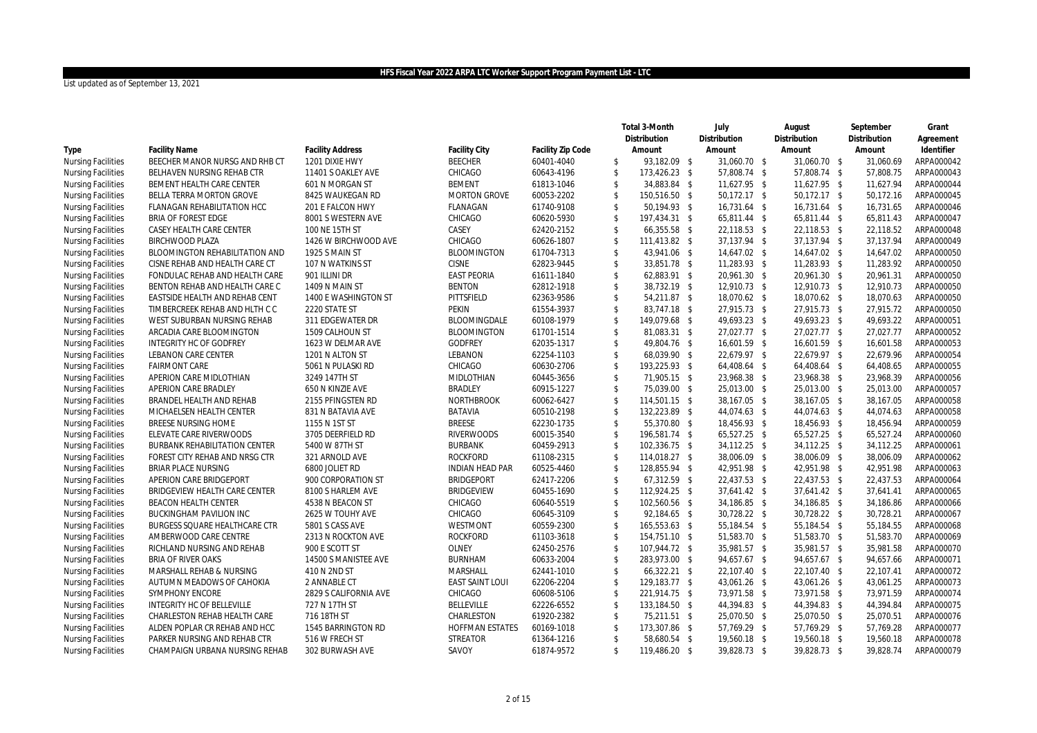|                           |                                |                         |                        |                   |                         | Total 3-Month | July         | August       | September    | Grant      |
|---------------------------|--------------------------------|-------------------------|------------------------|-------------------|-------------------------|---------------|--------------|--------------|--------------|------------|
|                           |                                |                         |                        |                   |                         | Distribution  | Distribution | Distribution | Distribution | Agreement  |
| Type                      | <b>Facility Name</b>           | <b>Facility Address</b> | Facility City          | Facility Zip Code |                         | Amount        | Amount       | Amount       | Amount       | Identifier |
| <b>Nursing Facilities</b> | BEECHER MANOR NURSG AND RHB CT | 1201 DIXIE HWY          | <b>BEECHER</b>         | 60401-4040        | \$                      | 93,182.09 \$  | 31,060.70 \$ | 31,060.70 \$ | 31,060.69    | ARPA000042 |
| <b>Nursing Facilities</b> | BELHAVEN NURSING REHAB CTR     | 11401 S OAKLEY AVE      | CHICAGO                | 60643-4196        | $\mathsf{\$}$           | 173,426.23 \$ | 57,808.74 \$ | 57,808.74 \$ | 57.808.75    | ARPA000043 |
| <b>Nursing Facilities</b> | BEMENT HEALTH CARE CENTER      | 601 N MORGAN ST         | <b>BEMENT</b>          | 61813-1046        | $\mathsf{\$}$           | 34,883.84 \$  | 11,627.95 \$ | 11,627.95 \$ | 11,627.94    | ARPA000044 |
| <b>Nursing Facilities</b> | BELLA TERRA MORTON GROVE       | 8425 WAUKEGAN RD        | <b>MORTON GROVE</b>    | 60053-2202        | $\sqrt[6]{3}$           | 150,516.50 \$ | 50,172.17 \$ | 50,172.17 \$ | 50,172.16    | ARPA000045 |
| <b>Nursing Facilities</b> | FLANAGAN REHABILITATION HCC    | 201 E FALCON HWY        | FLANAGAN               | 61740-9108        | $\mathsf{\$}$           | 50,194.93 \$  | 16,731.64 \$ | 16,731.64 \$ | 16,731.65    | ARPA000046 |
| <b>Nursing Facilities</b> | BRIA OF FOREST EDGE            | 8001 S WESTERN AVE      | CHICAGO                | 60620-5930        | $\sqrt[6]{3}$           | 197,434.31 \$ | 65,811.44 \$ | 65,811.44 \$ | 65,811.43    | ARPA000047 |
| <b>Nursing Facilities</b> | CASEY HEALTH CARE CENTER       | 100 NE 15TH ST          | CASEY                  | 62420-2152        | $\mathsf{\$}$           | 66,355.58 \$  | 22,118.53 \$ | 22,118.53 \$ | 22,118.52    | ARPA000048 |
| <b>Nursing Facilities</b> | <b>BIRCHWOOD PLAZA</b>         | 1426 W BIRCHWOOD AVE    | CHICAGO                | 60626-1807        | $\mathcal{S}$           | 111,413.82 \$ | 37,137.94 \$ | 37,137.94 \$ | 37,137.94    | ARPA000049 |
| <b>Nursing Facilities</b> | BLOOMINGTON REHABILITATION AND | 1925 S MAIN ST          | <b>BLOOMINGTON</b>     | 61704-7313        | $\mathsf{\$}$           | 43,941.06 \$  | 14,647.02 \$ | 14,647.02 \$ | 14,647.02    | ARPA000050 |
| <b>Nursing Facilities</b> | CISNE REHAB AND HEALTH CARE CT | 107 N WATKINS ST        | <b>CISNE</b>           | 62823-9445        | $\mathbf{\hat{S}}$      | 33,851.78 \$  | 11,283.93 \$ | 11,283.93 \$ | 11,283.92    | ARPA000050 |
| <b>Nursing Facilities</b> | FONDULAC REHAB AND HEALTH CARE | 901 ILLINI DR           | <b>EAST PEORIA</b>     | 61611-1840        | $\mathsf{\$}$           | 62,883.91 \$  | 20,961.30 \$ | 20,961.30 \$ | 20,961.31    | ARPA000050 |
| <b>Nursing Facilities</b> | BENTON REHAB AND HEALTH CARE C | 1409 N MAIN ST          | <b>BENTON</b>          | 62812-1918        | $\mathfrak{S}$          | 38,732.19 \$  | 12,910.73 \$ | 12,910.73 \$ | 12,910.73    | ARPA000050 |
| <b>Nursing Facilities</b> | EASTSIDE HEALTH AND REHAB CENT | 1400 E WASHINGTON ST    | PITTSFIELD             | 62363-9586        | $\mathbf{\hat{S}}$      | 54,211.87 \$  | 18,070.62 \$ | 18,070.62 \$ | 18,070.63    | ARPA000050 |
| <b>Nursing Facilities</b> | TIMBERCREEK REHAB AND HLTH C C | 2220 STATE ST           | <b>PEKIN</b>           | 61554-3937        | $\sqrt[6]{\frac{1}{2}}$ | 83,747.18 \$  | 27,915.73 \$ | 27,915.73 \$ | 27,915.72    | ARPA000050 |
| <b>Nursing Facilities</b> | WEST SUBURBAN NURSING REHAB    | 311 EDGEWATER DR        | BLOOMINGDALE           | 60108-1979        | $\sqrt[6]{\frac{1}{2}}$ | 149,079.68 \$ | 49,693.23 \$ | 49,693.23 \$ | 49,693.22    | ARPA000051 |
| <b>Nursing Facilities</b> | ARCADIA CARE BLOOMINGTON       | 1509 CALHOUN ST         | <b>BLOOMINGTON</b>     | 61701-1514        | $\sqrt[6]{\frac{1}{2}}$ | 81,083.31 \$  | 27,027.77 \$ | 27,027.77 \$ | 27,027.77    | ARPA000052 |
| <b>Nursing Facilities</b> | INTEGRITY HC OF GODFREY        | 1623 W DELMAR AVE       | <b>GODFREY</b>         | 62035-1317        | $\mathbf{\hat{S}}$      | 49,804.76 \$  | 16,601.59 \$ | 16,601.59 \$ | 16,601.58    | ARPA000053 |
| <b>Nursing Facilities</b> | LEBANON CARE CENTER            | 1201 N ALTON ST         | LEBANON                | 62254-1103        | $\mathfrak{S}$          | 68,039.90 \$  | 22,679.97 \$ | 22,679.97 \$ | 22,679.96    | ARPA000054 |
| <b>Nursing Facilities</b> | <b>FAIRMONT CARE</b>           | 5061 N PULASKI RD       | CHICAGO                | 60630-2706        | $\sqrt{2}$              | 193,225.93 \$ | 64,408.64 \$ | 64,408.64 \$ | 64,408.65    | ARPA000055 |
| <b>Nursing Facilities</b> | APERION CARE MIDLOTHIAN        | 3249 147TH ST           | MIDLOTHIAN             | 60445-3656        | $\mathsf{\$}$           | 71,905.15 \$  | 23,968.38 \$ | 23,968.38 \$ | 23,968.39    | ARPA000056 |
| <b>Nursing Facilities</b> | APERION CARE BRADLEY           | 650 N KINZIE AVE        | <b>BRADLEY</b>         | 60915-1227        | $\sqrt[6]{\frac{1}{2}}$ | 75,039.00 \$  | 25,013.00 \$ | 25,013.00 \$ | 25,013.00    | ARPA000057 |
| <b>Nursing Facilities</b> | BRANDEL HEALTH AND REHAB       | 2155 PFINGSTEN RD       | <b>NORTHBROOK</b>      | 60062-6427        | $\sqrt[6]{}$            | 114,501.15 \$ | 38,167.05 \$ | 38,167.05 \$ | 38,167.05    | ARPA000058 |
| <b>Nursing Facilities</b> | MICHAELSEN HEALTH CENTER       | 831 N BATAVIA AVE       | <b>BATAVIA</b>         | 60510-2198        | $\sqrt{2}$              | 132,223.89 \$ | 44,074.63 \$ | 44,074.63 \$ | 44,074.63    | ARPA000058 |
| <b>Nursing Facilities</b> | BREESE NURSING HOME            | 1155 N 1ST ST           | <b>BREESE</b>          | 62230-1735        | $\sqrt{2}$              | 55,370.80 \$  | 18,456.93 \$ | 18,456.93 \$ | 18,456.94    | ARPA000059 |
| <b>Nursing Facilities</b> | ELEVATE CARE RIVERWOODS        | 3705 DEERFIELD RD       | <b>RIVERWOODS</b>      | 60015-3540        | $\sqrt{2}$              | 196,581.74 \$ | 65,527.25 \$ | 65,527.25 \$ | 65,527.24    | ARPA000060 |
| <b>Nursing Facilities</b> | BURBANK REHABILITATION CENTER  | 5400 W 87TH ST          | <b>BURBANK</b>         | 60459-2913        | $\sqrt{2}$              | 102,336.75 \$ | 34,112.25 \$ | 34,112.25 \$ | 34,112.25    | ARPA000061 |
| <b>Nursing Facilities</b> | FOREST CITY REHAB AND NRSG CTR | 321 ARNOLD AVE          | <b>ROCKFORD</b>        | 61108-2315        | $\sqrt{2}$              | 114,018.27 \$ | 38,006.09 \$ | 38,006.09 \$ | 38,006.09    | ARPA000062 |
| <b>Nursing Facilities</b> | <b>BRIAR PLACE NURSING</b>     | 6800 JOLIET RD          | <b>INDIAN HEAD PAR</b> | 60525-4460        | $\sqrt{2}$              | 128,855.94 \$ | 42,951.98 \$ | 42,951.98 \$ | 42,951.98    | ARPA000063 |
| <b>Nursing Facilities</b> | APERION CARE BRIDGEPORT        | 900 CORPORATION ST      | <b>BRIDGEPORT</b>      | 62417-2206        | $\sqrt{2}$              | 67,312.59 \$  | 22,437.53 \$ | 22,437.53 \$ | 22,437.53    | ARPA000064 |
| <b>Nursing Facilities</b> | BRIDGEVIEW HEALTH CARE CENTER  | 8100 S HARLEM AVE       | <b>BRIDGEVIEW</b>      | 60455-1690        | $\mathsf{\$}$           | 112,924.25 \$ | 37,641.42 \$ | 37,641.42 \$ | 37,641.41    | ARPA000065 |
| <b>Nursing Facilities</b> | BEACON HEALTH CENTER           | 4538 N BEACON ST        | CHICAGO                | 60640-5519        | $\mathsf{\$}$           | 102,560.56 \$ | 34,186.85 \$ | 34,186.85 \$ | 34,186.86    | ARPA000066 |
| <b>Nursing Facilities</b> | BUCKINGHAM PAVILION INC        | 2625 W TOUHY AVE        | CHICAGO                | 60645-3109        | $\sqrt{2}$              | 92,184.65 \$  | 30,728.22 \$ | 30,728.22 \$ | 30,728.21    | ARPA000067 |
| <b>Nursing Facilities</b> | BURGESS SQUARE HEALTHCARE CTR  | 5801 S CASS AVE         | WESTMONT               | 60559-2300        | $\mathsf{\$}$           | 165,553.63 \$ | 55,184.54 \$ | 55,184.54 \$ | 55,184.55    | ARPA000068 |
| <b>Nursing Facilities</b> | AMBERWOOD CARE CENTRE          | 2313 N ROCKTON AVE      | <b>ROCKFORD</b>        | 61103-3618        | $\sqrt[6]{3}$           | 154,751.10 \$ | 51,583.70 \$ | 51,583.70 \$ | 51,583.70    | ARPA000069 |
| <b>Nursing Facilities</b> | RICHLAND NURSING AND REHAB     | 900 E SCOTT ST          | <b>OLNEY</b>           | 62450-2576        | $\sqrt{2}$              | 107,944.72 \$ | 35,981.57 \$ | 35,981.57 \$ | 35,981.58    | ARPA000070 |
| <b>Nursing Facilities</b> | <b>BRIA OF RIVER OAKS</b>      | 14500 S MANISTEE AVE    | <b>BURNHAM</b>         | 60633-2004        | $\mathsf{\$}$           | 283,973.00 \$ | 94,657.67 \$ | 94,657.67 \$ | 94,657.66    | ARPA000071 |
| <b>Nursing Facilities</b> | MARSHALL REHAB & NURSING       | 410 N 2ND ST            | MARSHALL               | 62441-1010        | $\sqrt[6]{\frac{1}{2}}$ | 66,322.21 \$  | 22,107.40 \$ | 22,107.40 \$ | 22,107.41    | ARPA000072 |
| <b>Nursing Facilities</b> | AUTUMN MEADOWS OF CAHOKIA      | 2 ANNABLE CT            | <b>EAST SAINT LOUI</b> | 62206-2204        | $\mathsf{\$}$           | 129,183.77 \$ | 43,061.26 \$ | 43,061.26 \$ | 43,061.25    | ARPA000073 |
| <b>Nursing Facilities</b> | SYMPHONY ENCORE                | 2829 S CALIFORNIA AVE   | CHICAGO                | 60608-5106        | $\sqrt[6]{}$            | 221,914.75 \$ | 73,971.58 \$ | 73,971.58 \$ | 73,971.59    | ARPA000074 |
| <b>Nursing Facilities</b> | INTEGRITY HC OF BELLEVILLE     | 727 N 17TH ST           | <b>BELLEVILLE</b>      | 62226-6552        | $\mathsf{\$}$           | 133,184.50 \$ | 44,394.83 \$ | 44,394.83 \$ | 44,394.84    | ARPA000075 |
| <b>Nursing Facilities</b> | CHARLESTON REHAB HEALTH CARE   | 716 18TH ST             | CHARLESTON             | 61920-2382        | $\sqrt{2}$              | 75,211.51 \$  | 25,070.50 \$ | 25,070.50 \$ | 25,070.51    | ARPA000076 |
| <b>Nursing Facilities</b> | ALDEN POPLAR CR REHAB AND HCC  | 1545 BARRINGTON RD      | <b>HOFFMAN ESTATES</b> | 60169-1018        | $\mathsf{\$}$           | 173,307.86 \$ | 57,769.29 \$ | 57,769.29 \$ | 57,769.28    | ARPA000077 |
| <b>Nursing Facilities</b> | PARKER NURSING AND REHAB CTR   | 516 W FRECH ST          | <b>STREATOR</b>        | 61364-1216        | $\mathbf{\hat{S}}$      | 58,680.54 \$  | 19,560.18 \$ | 19,560.18 \$ | 19,560.18    | ARPA000078 |
| <b>Nursing Facilities</b> | CHAMPAIGN URBANA NURSING REHAB | 302 BURWASH AVE         | SAVOY                  | 61874-9572        | $\mathbb{S}$            | 119,486.20 \$ | 39,828.73 \$ | 39,828.73 \$ | 39,828.74    | ARPA000079 |
|                           |                                |                         |                        |                   |                         |               |              |              |              |            |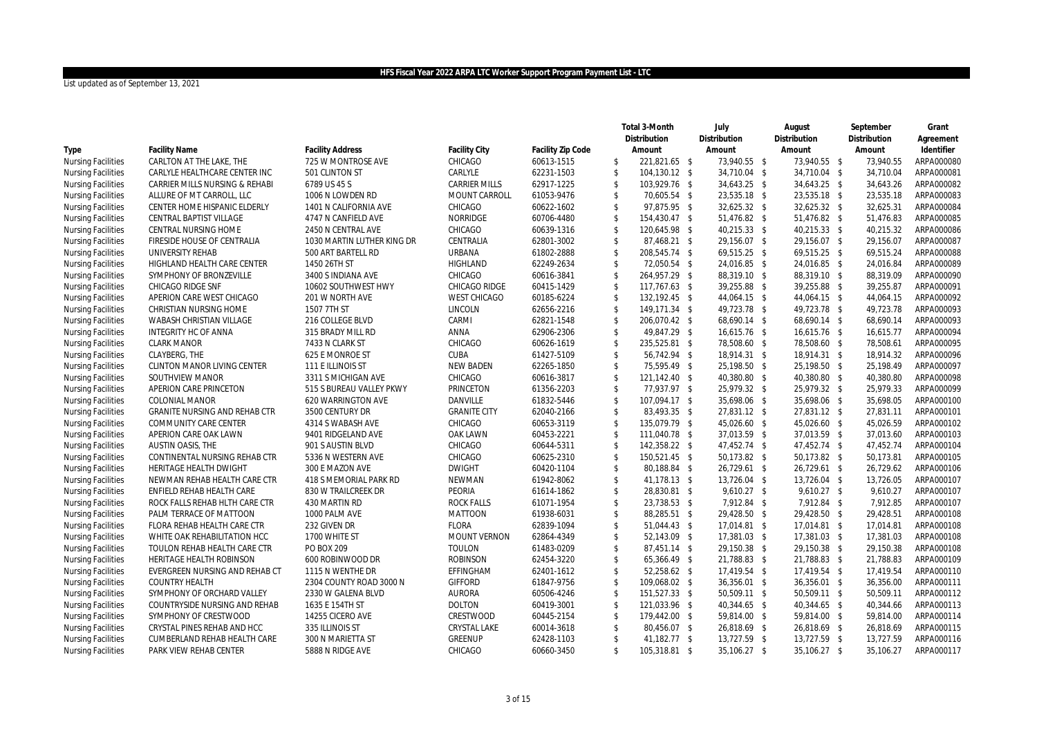|                           |                                    |                            |                      |                   |                    | Total 3-Month | July          | August        | September    | Grant      |
|---------------------------|------------------------------------|----------------------------|----------------------|-------------------|--------------------|---------------|---------------|---------------|--------------|------------|
|                           |                                    |                            |                      |                   |                    | Distribution  | Distribution  | Distribution  | Distribution | Agreement  |
| Type                      | <b>Facility Name</b>               | <b>Facility Address</b>    | Facility City        | Facility Zip Code |                    | Amount        | Amount        | Amount        | Amount       | Identifier |
| Nursing Facilities        | CARLTON AT THE LAKE, THE           | 725 W MONTROSE AVE         | CHICAGO              | 60613-1515        | \$                 | 221,821.65 \$ | 73,940.55 \$  | 73,940.55 \$  | 73,940.55    | ARPA000080 |
| <b>Nursing Facilities</b> | CARLYLE HEALTHCARE CENTER INC      | 501 CLINTON ST             | CARLYLE              | 62231-1503        | $\mathsf{\$}$      | 104,130.12 \$ | 34,710.04 \$  | 34,710.04 \$  | 34,710.04    | ARPA000081 |
| <b>Nursing Facilities</b> | CARRIER MILLS NURSING & REHABI     | 6789 US 45 S               | <b>CARRIER MILLS</b> | 62917-1225        | $\sqrt{2}$         | 103,929.76 \$ | 34,643.25 \$  | 34,643.25 \$  | 34,643.26    | ARPA000082 |
| <b>Nursing Facilities</b> | ALLURE OF MT CARROLL, LLC          | 1006 N LOWDEN RD           | MOUNT CARROLL        | 61053-9476        | \$                 | 70,605.54 \$  | 23,535.18 \$  | 23,535.18 \$  | 23,535.18    | ARPA000083 |
| <b>Nursing Facilities</b> | CENTER HOME HISPANIC ELDERLY       | 1401 N CALIFORNIA AVE      | CHICAGO              | 60622-1602        | $\mathbf{\hat{S}}$ | 97,875.95 \$  | 32,625.32 \$  | 32,625.32 \$  | 32,625.31    | ARPA000084 |
| <b>Nursing Facilities</b> | CENTRAL BAPTIST VILLAGE            | 4747 N CANFIELD AVE        | NORRIDGE             | 60706-4480        | \$                 | 154,430.47 \$ | 51,476.82 \$  | 51,476.82 \$  | 51,476.83    | ARPA000085 |
| <b>Nursing Facilities</b> | CENTRAL NURSING HOME               | 2450 N CENTRAL AVE         | CHICAGO              | 60639-1316        | $\mathsf{\$}$      | 120,645.98 \$ | 40,215.33 \$  | 40,215.33 \$  | 40,215.32    | ARPA000086 |
| <b>Nursing Facilities</b> | FIRESIDE HOUSE OF CENTRALIA        | 1030 MARTIN LUTHER KING DR | CENTRALIA            | 62801-3002        | \$                 | 87,468.21 \$  | 29,156.07 \$  | 29,156.07 \$  | 29,156.07    | ARPA000087 |
| <b>Nursing Facilities</b> | UNIVERSITY REHAB                   | 500 ART BARTELL RD         | <b>URBANA</b>        | 61802-2888        | \$                 | 208,545.74 \$ | 69,515.25 \$  | 69,515.25 \$  | 69,515.24    | ARPA000088 |
| <b>Nursing Facilities</b> | HIGHLAND HEALTH CARE CENTER        | 1450 26TH ST               | <b>HIGHLAND</b>      | 62249-2634        | $\mathbf{\hat{S}}$ | 72,050.54 \$  | 24,016.85 \$  | 24,016.85 \$  | 24,016.84    | ARPA000089 |
| <b>Nursing Facilities</b> | SYMPHONY OF BRONZEVILLE            | 3400 S INDIANA AVE         | CHICAGO              | 60616-3841        | \$                 | 264,957.29 \$ | 88,319.10 \$  | 88,319.10 \$  | 88,319.09    | ARPA000090 |
| <b>Nursing Facilities</b> | <b>CHICAGO RIDGE SNF</b>           | 10602 SOUTHWEST HWY        | CHICAGO RIDGE        | 60415-1429        | \$                 | 117,767.63 \$ | 39,255.88 \$  | 39,255.88 \$  | 39,255.87    | ARPA000091 |
| <b>Nursing Facilities</b> | APERION CARE WEST CHICAGO          | 201 W NORTH AVE            | <b>WEST CHICAGO</b>  | 60185-6224        | \$                 | 132,192.45 \$ | 44,064.15 \$  | 44,064.15 \$  | 44,064.15    | ARPA000092 |
| <b>Nursing Facilities</b> | CHRISTIAN NURSING HOME             | 1507 7TH ST                | LINCOLN              | 62656-2216        | \$                 | 149,171.34 \$ | 49,723.78 \$  | 49,723.78 \$  | 49,723.78    | ARPA000093 |
| <b>Nursing Facilities</b> | WABASH CHRISTIAN VILLAGE           | 216 COLLEGE BLVD           | CARMI                | 62821-1548        | \$                 | 206,070.42 \$ | 68,690.14 \$  | 68,690.14 \$  | 68.690.14    | ARPA000093 |
| <b>Nursing Facilities</b> | INTEGRITY HC OF ANNA               | 315 BRADY MILL RD          | ANNA                 | 62906-2306        | \$                 | 49,847.29 \$  | 16,615.76 \$  | 16,615.76 \$  | 16,615.77    | ARPA000094 |
| <b>Nursing Facilities</b> | <b>CLARK MANOR</b>                 | 7433 N CLARK ST            | CHICAGO              | 60626-1619        | $\mathbf{\hat{S}}$ | 235,525.81 \$ | 78,508.60 \$  | 78,508.60 \$  | 78,508.61    | ARPA000095 |
| <b>Nursing Facilities</b> | CLAYBERG, THE                      | 625 E MONROE ST            | CUBA                 | 61427-5109        | \$                 | 56,742.94 \$  | 18,914.31 \$  | 18,914.31 \$  | 18,914.32    | ARPA000096 |
| <b>Nursing Facilities</b> | <b>CLINTON MANOR LIVING CENTER</b> | 111 E ILLINOIS ST          | <b>NEW BADEN</b>     | 62265-1850        | \$                 | 75,595.49 \$  | 25,198.50 \$  | 25,198.50 \$  | 25.198.49    | ARPA000097 |
| <b>Nursing Facilities</b> | SOUTHVIEW MANOR                    | 3311 S MICHIGAN AVE        | CHICAGO              | 60616-3817        | $\mathbf{\hat{S}}$ | 121,142.40 \$ | 40,380.80 \$  | 40,380.80 \$  | 40,380.80    | ARPA000098 |
| <b>Nursing Facilities</b> | APERION CARE PRINCETON             | 515 S BUREAU VALLEY PKWY   | PRINCETON            | 61356-2203        | \$                 | 77,937.97 \$  | 25,979.32 \$  | 25,979.32 \$  | 25,979.33    | ARPA000099 |
| <b>Nursing Facilities</b> | <b>COLONIAL MANOR</b>              | 620 WARRINGTON AVE         | DANVILLE             | 61832-5446        | \$                 | 107,094.17 \$ | 35,698.06 \$  | 35,698.06 \$  | 35,698.05    | ARPA000100 |
| <b>Nursing Facilities</b> | GRANITE NURSING AND REHAB CTR      | 3500 CENTURY DR            | <b>GRANITE CITY</b>  | 62040-2166        | \$                 | 83,493.35 \$  | 27,831.12 \$  | 27,831.12 \$  | 27,831.11    | ARPA000101 |
| <b>Nursing Facilities</b> | COMMUNITY CARE CENTER              | 4314 S WABASH AVE          | CHICAGO              | 60653-3119        | \$                 | 135,079.79 \$ | 45,026.60 \$  | 45,026.60 \$  | 45,026.59    | ARPA000102 |
| <b>Nursing Facilities</b> | APERION CARE OAK LAWN              | 9401 RIDGELAND AVE         | OAK LAWN             | 60453-2221        | \$                 | 111,040.78 \$ | 37,013.59 \$  | 37,013.59 \$  | 37,013.60    | ARPA000103 |
| <b>Nursing Facilities</b> | AUSTIN OASIS, THE                  | 901 S AUSTIN BLVD          | CHICAGO              | 60644-5311        | \$                 | 142,358.22 \$ | 47,452.74 \$  | 47,452.74 \$  | 47,452.74    | ARPA000104 |
| <b>Nursing Facilities</b> | CONTINENTAL NURSING REHAB CTR      | 5336 N WESTERN AVE         | CHICAGO              | 60625-2310        | \$                 | 150,521.45 \$ | 50,173.82 \$  | 50,173.82 \$  | 50,173.81    | ARPA000105 |
| <b>Nursing Facilities</b> | HERITAGE HEALTH DWIGHT             | 300 E MAZON AVE            | <b>DWIGHT</b>        | 60420-1104        | \$                 | 80,188.84 \$  | 26,729.61 \$  | 26,729.61 \$  | 26,729.62    | ARPA000106 |
| <b>Nursing Facilities</b> | NEWMAN REHAB HEALTH CARE CTR       | 418 S MEMORIAL PARK RD     | <b>NEWMAN</b>        | 61942-8062        | \$                 | 41,178.13 \$  | 13,726.04 \$  | 13,726.04 \$  | 13,726.05    | ARPA000107 |
| <b>Nursing Facilities</b> | ENFIELD REHAB HEALTH CARE          | 830 W TRAILCREEK DR        | PEORIA               | 61614-1862        | \$                 | 28,830.81 \$  | $9,610.27$ \$ | $9,610.27$ \$ | 9,610.27     | ARPA000107 |
| <b>Nursing Facilities</b> | ROCK FALLS REHAB HLTH CARE CTR     | 430 MARTIN RD              | <b>ROCK FALLS</b>    | 61071-1954        | \$                 | 23,738.53 \$  | 7,912.84 \$   | 7,912.84 \$   | 7,912.85     | ARPA000107 |
| Nursing Facilities        | PALM TERRACE OF MATTOON            | 1000 PALM AVE              | <b>MATTOON</b>       | 61938-6031        | \$                 | 88,285.51 \$  | 29,428.50 \$  | 29,428.50 \$  | 29,428.51    | ARPA000108 |
| <b>Nursing Facilities</b> | FLORA REHAB HEALTH CARE CTR        | 232 GIVEN DR               | <b>FLORA</b>         | 62839-1094        | \$                 | 51,044.43 \$  | 17,014.81 \$  | 17,014.81 \$  | 17,014.81    | ARPA000108 |
| <b>Nursing Facilities</b> | WHITE OAK REHABILITATION HCC       | 1700 WHITE ST              | <b>MOUNT VERNON</b>  | 62864-4349        | \$                 | 52,143.09 \$  | 17,381.03 \$  | 17,381.03 \$  | 17,381.03    | ARPA000108 |
| <b>Nursing Facilities</b> | TOULON REHAB HEALTH CARE CTR       | PO BOX 209                 | <b>TOULON</b>        | 61483-0209        | \$                 | 87,451.14 \$  | 29,150.38 \$  | 29,150.38 \$  | 29,150.38    | ARPA000108 |
| <b>Nursing Facilities</b> | HERITAGE HEALTH ROBINSON           | 600 ROBINWOOD DR           | <b>ROBINSON</b>      | 62454-3220        | $\mathbf{\hat{S}}$ | 65,366.49 \$  | 21,788.83 \$  | 21,788.83 \$  | 21,788.83    | ARPA000109 |
| Nursing Facilities        | EVERGREEN NURSING AND REHAB CT     | 1115 N WENTHE DR           | EFFINGHAM            | 62401-1612        | \$                 | 52,258.62 \$  | 17,419.54 \$  | 17,419.54 \$  | 17,419.54    | ARPA000110 |
| <b>Nursing Facilities</b> | <b>COUNTRY HEALTH</b>              | 2304 COUNTY ROAD 3000 N    | <b>GIFFORD</b>       | 61847-9756        | \$                 | 109,068.02 \$ | 36,356.01 \$  | 36,356.01 \$  | 36,356.00    | ARPA000111 |
| <b>Nursing Facilities</b> | SYMPHONY OF ORCHARD VALLEY         | 2330 W GALENA BLVD         | <b>AURORA</b>        | 60506-4246        | \$                 | 151,527.33 \$ | 50,509.11 \$  | 50,509.11 \$  | 50,509.11    | ARPA000112 |
| <b>Nursing Facilities</b> | COUNTRYSIDE NURSING AND REHAB      | 1635 E 154TH ST            | <b>DOLTON</b>        | 60419-3001        | $\mathsf{\$}$      | 121,033.96 \$ | 40,344.65 \$  | 40,344.65 \$  | 40,344.66    | ARPA000113 |
| <b>Nursing Facilities</b> | SYMPHONY OF CRESTWOOD              | 14255 CICERO AVE           | CRESTWOOD            | 60445-2154        | \$                 | 179,442.00 \$ | 59,814.00 \$  | 59,814.00 \$  | 59,814.00    | ARPA000114 |
| <b>Nursing Facilities</b> | CRYSTAL PINES REHAB AND HCC        | 335 ILLINOIS ST            | CRYSTAL LAKE         | 60014-3618        | \$                 | 80,456.07 \$  | 26,818.69 \$  | 26,818.69 \$  | 26,818.69    | ARPA000115 |
| <b>Nursing Facilities</b> | CUMBERLAND REHAB HEALTH CARE       | 300 N MARIETTA ST          | <b>GREENUP</b>       | 62428-1103        | $\mathbf{\hat{S}}$ | 41,182.77 \$  | 13,727.59 \$  | 13,727.59 \$  | 13,727.59    | ARPA000116 |
| <b>Nursing Facilities</b> | PARK VIEW REHAB CENTER             | 5888 N RIDGE AVE           | CHICAGO              | 60660-3450        | $\mathbb{S}$       | 105,318.81 \$ | 35,106.27 \$  | 35,106.27 \$  | 35,106.27    | ARPA000117 |
|                           |                                    |                            |                      |                   |                    |               |               |               |              |            |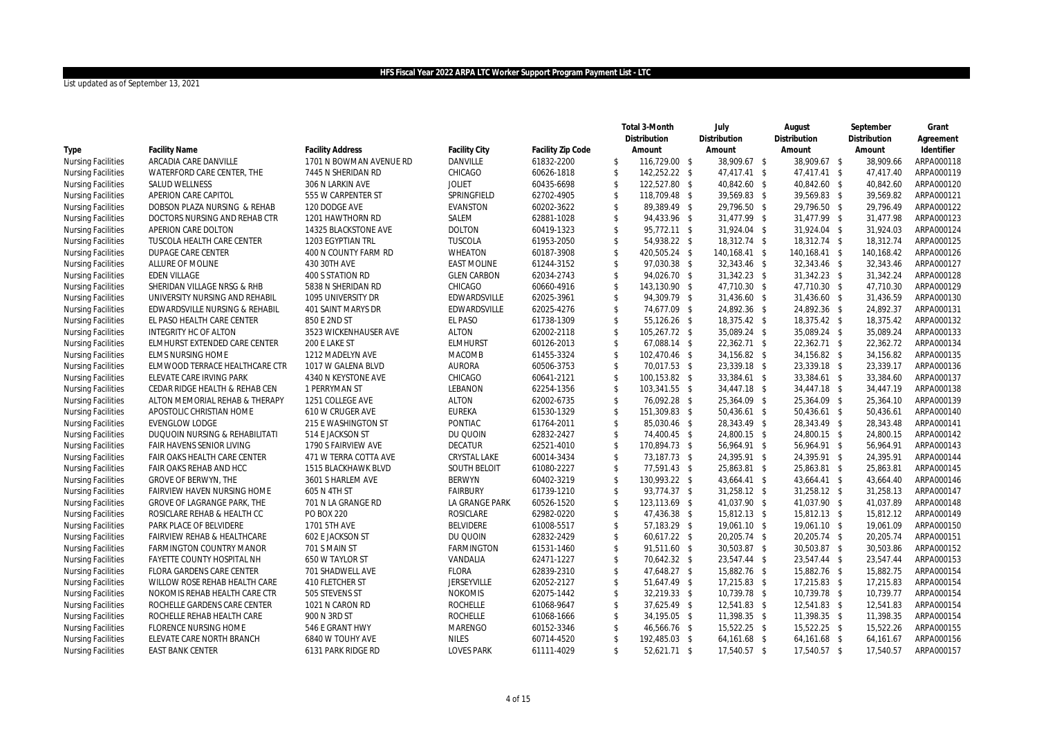|                           |                                  |                         |                     |                   |                         | Total 3-Month | July          | August         | September    | Grant      |
|---------------------------|----------------------------------|-------------------------|---------------------|-------------------|-------------------------|---------------|---------------|----------------|--------------|------------|
|                           |                                  |                         |                     |                   |                         | Distribution  | Distribution  | Distribution   | Distribution | Agreement  |
| Type                      | <b>Facility Name</b>             | <b>Facility Address</b> | Facility City       | Facility Zip Code |                         | Amount        | Amount        | Amount         | Amount       | Identifier |
| <b>Nursing Facilities</b> | ARCADIA CARE DANVILLE            | 1701 N BOWMAN AVENUE RD | <b>DANVILLE</b>     | 61832-2200        | \$                      | 116,729.00 \$ | 38,909.67 \$  | 38,909.67 \$   | 38,909.66    | ARPA000118 |
| <b>Nursing Facilities</b> | WATERFORD CARE CENTER, THE       | 7445 N SHERIDAN RD      | CHICAGO             | 60626-1818        | $\mathfrak{S}$          | 142,252.22 \$ | 47,417.41 \$  | 47,417.41 \$   | 47,417.40    | ARPA000119 |
| <b>Nursing Facilities</b> | <b>SALUD WELLNESS</b>            | 306 N LARKIN AVE        | <b>JOLIET</b>       | 60435-6698        | $\mathsf{\$}$           | 122,527.80 \$ | 40,842.60 \$  | 40,842.60 \$   | 40,842.60    | ARPA000120 |
| <b>Nursing Facilities</b> | APERION CARE CAPITOL             | 555 W CARPENTER ST      | SPRINGFIELD         | 62702-4905        | $\sqrt[6]{\frac{1}{2}}$ | 118,709.48 \$ | 39,569.83 \$  | 39,569.83 \$   | 39,569.82    | ARPA000121 |
| <b>Nursing Facilities</b> | DOBSON PLAZA NURSING & REHAB     | 120 DODGE AVE           | EVANSTON            | 60202-3622        | $\mathfrak{S}$          | 89,389.49 \$  | 29,796.50 \$  | 29,796.50 \$   | 29,796.49    | ARPA000122 |
| <b>Nursing Facilities</b> | DOCTORS NURSING AND REHAB CTR    | 1201 HAWTHORN RD        | SALEM               | 62881-1028        | $\sqrt[6]{\frac{1}{2}}$ | 94,433.96 \$  | 31,477.99 \$  | 31,477.99 \$   | 31,477.98    | ARPA000123 |
| <b>Nursing Facilities</b> | APERION CARE DOLTON              | 14325 BLACKSTONE AVE    | <b>DOLTON</b>       | 60419-1323        | $\mathfrak{S}$          | 95,772.11 \$  | 31,924.04 \$  | 31,924.04 \$   | 31,924.03    | ARPA000124 |
| <b>Nursing Facilities</b> | TUSCOLA HEALTH CARE CENTER       | 1203 EGYPTIAN TRL       | TUSCOLA             | 61953-2050        | $\mathbb{S}$            | 54,938.22 \$  | 18,312.74 \$  | 18,312.74 \$   | 18,312.74    | ARPA000125 |
| <b>Nursing Facilities</b> | DUPAGE CARE CENTER               | 400 N COUNTY FARM RD    | WHEATON             | 60187-3908        | \$                      | 420,505.24 \$ | 140,168.41 \$ | 140,168.41 \$  | 140,168.42   | ARPA000126 |
| <b>Nursing Facilities</b> | ALLURE OF MOLINE                 | 430 30TH AVE            | <b>EAST MOLINE</b>  | 61244-3152        | $\mathfrak{S}$          | 97,030.38 \$  | 32,343.46 \$  | 32,343.46 \$   | 32,343.46    | ARPA000127 |
| <b>Nursing Facilities</b> | <b>EDEN VILLAGE</b>              | 400 S STATION RD        | <b>GLEN CARBON</b>  | 62034-2743        | $\sqrt[6]{\frac{1}{2}}$ | 94,026.70 \$  | 31,342.23 \$  | 31,342.23 \$   | 31,342.24    | ARPA000128 |
| <b>Nursing Facilities</b> | SHERIDAN VILLAGE NRSG & RHB      | 5838 N SHERIDAN RD      | CHICAGO             | 60660-4916        | $\sqrt[6]{\frac{1}{2}}$ | 143,130.90 \$ | 47,710.30 \$  | 47,710.30 \$   | 47,710.30    | ARPA000129 |
| <b>Nursing Facilities</b> | UNIVERSITY NURSING AND REHABIL   | 1095 UNIVERSITY DR      | EDWARDSVILLE        | 62025-3961        | $\sqrt[6]{\frac{1}{2}}$ | 94,309.79 \$  | 31,436.60 \$  | 31,436.60 \$   | 31,436.59    | ARPA000130 |
| <b>Nursing Facilities</b> | EDWARDSVILLE NURSING & REHABIL   | 401 SAINT MARYS DR      | EDWARDSVILLE        | 62025-4276        | \$                      | 74,677.09 \$  | 24,892.36 \$  | 24,892.36 \$   | 24,892.37    | ARPA000131 |
| <b>Nursing Facilities</b> | EL PASO HEALTH CARE CENTER       | 850 E 2ND ST            | EL PASO             | 61738-1309        | $\mathfrak{S}$          | 55,126.26 \$  | 18,375.42 \$  | 18,375.42 \$   | 18.375.42    | ARPA000132 |
| <b>Nursing Facilities</b> | INTEGRITY HC OF ALTON            | 3523 WICKENHAUSER AVE   | ALTON               | 62002-2118        | $\mathfrak{S}$          | 105,267.72 \$ | 35,089.24 \$  | 35,089.24 \$   | 35,089.24    | ARPA000133 |
| <b>Nursing Facilities</b> | ELMHURST EXTENDED CARE CENTER    | 200 E LAKE ST           | <b>ELMHURST</b>     | 60126-2013        | $\mathfrak{S}$          | 67,088.14 \$  | 22,362.71 \$  | 22,362.71 \$   | 22,362.72    | ARPA000134 |
| <b>Nursing Facilities</b> | <b>ELMS NURSING HOME</b>         | 1212 MADELYN AVE        | <b>MACOMB</b>       | 61455-3324        | $\mathfrak{S}$          | 102,470.46 \$ | 34,156.82 \$  | 34, 156.82 \$  | 34,156.82    | ARPA000135 |
| <b>Nursing Facilities</b> | ELMWOOD TERRACE HEALTHCARE CTR   | 1017 W GALENA BLVD      | <b>AURORA</b>       | 60506-3753        | $\mathfrak{S}$          | 70.017.53 \$  | 23,339.18 \$  | 23,339.18 \$   | 23.339.17    | ARPA000136 |
| <b>Nursing Facilities</b> | ELEVATE CARE IRVING PARK         | 4340 N KEYSTONE AVE     | CHICAGO             | 60641-2121        | $\mathfrak{S}$          | 100,153.82 \$ | 33,384.61 \$  | 33,384.61 \$   | 33,384.60    | ARPA000137 |
| <b>Nursing Facilities</b> | CEDAR RIDGE HEALTH & REHAB CEN   | 1 PERRYMAN ST           | LEBANON             | 62254-1356        | $\mathsf{\$}$           | 103,341.55 \$ | 34,447.18 \$  | 34,447.18 \$   | 34,447.19    | ARPA000138 |
| <b>Nursing Facilities</b> | ALTON MEMORIAL REHAB & THERAPY   | 1251 COLLEGE AVE        | <b>ALTON</b>        | 62002-6735        | $\mathfrak{S}$          | 76,092.28 \$  | 25,364.09 \$  | 25,364.09 \$   | 25,364.10    | ARPA000139 |
| <b>Nursing Facilities</b> | APOSTOLIC CHRISTIAN HOME         | 610 W CRUGER AVE        | <b>EUREKA</b>       | 61530-1329        | $\mathfrak{S}$          | 151,309.83 \$ | 50,436.61 \$  | 50,436.61 \$   | 50,436.61    | ARPA000140 |
| <b>Nursing Facilities</b> | <b>EVENGLOW LODGE</b>            | 215 E WASHINGTON ST     | PONTIAC             | 61764-2011        | $\mathfrak{S}$          | 85,030.46 \$  | 28,343.49 \$  | 28,343.49 \$   | 28,343.48    | ARPA000141 |
| <b>Nursing Facilities</b> | DUQUOIN NURSING & REHABILITATI   | 514 E JACKSON ST        | DU QUOIN            | 62832-2427        | $\mathfrak{S}$          | 74,400.45 \$  | 24,800.15 \$  | 24,800.15 \$   | 24,800.15    | ARPA000142 |
| <b>Nursing Facilities</b> | <b>FAIR HAVENS SENIOR LIVING</b> | 1790 S FAIRVIEW AVE     | <b>DECATUR</b>      | 62521-4010        | $\mathfrak{S}$          | 170,894.73 \$ | 56,964.91 \$  | 56,964.91 \$   | 56,964.91    | ARPA000143 |
| <b>Nursing Facilities</b> | FAIR OAKS HEALTH CARE CENTER     | 471 W TERRA COTTA AVE   | CRYSTAL LAKE        | 60014-3434        | $\mathfrak{S}$          | 73,187.73 \$  | 24,395.91 \$  | 24,395.91 \$   | 24,395.91    | ARPA000144 |
| <b>Nursing Facilities</b> | FAIR OAKS REHAB AND HCC          | 1515 BLACKHAWK BLVD     | <b>SOUTH BELOIT</b> | 61080-2227        | $\mathfrak{S}$          | 77,591.43 \$  | 25,863.81 \$  | 25,863.81 \$   | 25,863.81    | ARPA000145 |
| <b>Nursing Facilities</b> | <b>GROVE OF BERWYN, THE</b>      | 3601 S HARLEM AVE       | <b>BERWYN</b>       | 60402-3219        | \$                      | 130,993.22 \$ | 43,664.41 \$  | 43,664.41 \$   | 43,664.40    | ARPA000146 |
| <b>Nursing Facilities</b> | FAIRVIEW HAVEN NURSING HOME      | 605 N 4TH ST            | <b>FAIRBURY</b>     | 61739-1210        | $\mathfrak{S}$          | 93,774.37 \$  | 31,258.12 \$  | 31,258.12 \$   | 31,258.13    | ARPA000147 |
| <b>Nursing Facilities</b> | GROVE OF LAGRANGE PARK, THE      | 701 N LA GRANGE RD      | LA GRANGE PARK      | 60526-1520        | $\mathfrak{S}$          | 123,113.69 \$ | 41,037.90 \$  | 41,037.90 \$   | 41,037.89    | ARPA000148 |
| <b>Nursing Facilities</b> | ROSICLARE REHAB & HEALTH CC      | PO BOX 220              | ROSICLARE           | 62982-0220        | $\mathfrak{S}$          | 47,436.38 \$  | 15,812.13 \$  | 15,812.13 \$   | 15,812.12    | ARPA000149 |
| <b>Nursing Facilities</b> | PARK PLACE OF BELVIDERE          | 1701 5TH AVE            | <b>BELVIDERE</b>    | 61008-5517        | $\mathfrak{S}$          | 57,183.29 \$  | 19,061.10 \$  | 19,061.10 \$   | 19,061.09    | ARPA000150 |
| <b>Nursing Facilities</b> | FAIRVIEW REHAB & HEALTHCARE      | 602 E JACKSON ST        | DU QUOIN            | 62832-2429        | \$                      | 60,617.22 \$  | 20,205.74 \$  | 20,205.74 \$   | 20,205.74    | ARPA000151 |
| <b>Nursing Facilities</b> | <b>FARMINGTON COUNTRY MANOR</b>  | 701 S MAIN ST           | <b>FARMINGTON</b>   | 61531-1460        | $\mathfrak{S}$          | 91,511.60 \$  | 30,503.87 \$  | 30,503.87 \$   | 30,503.86    | ARPA000152 |
| <b>Nursing Facilities</b> | FAYETTE COUNTY HOSPITAL NH       | 650 W TAYLOR ST         | VANDALIA            | 62471-1227        | $\mathfrak{S}$          | 70,642.32 \$  | 23,547.44 \$  | 23,547.44 \$   | 23,547.44    | ARPA000153 |
| <b>Nursing Facilities</b> | FLORA GARDENS CARE CENTER        | 701 SHADWELL AVE        | <b>FLORA</b>        | 62839-2310        | $\mathfrak{S}$          | 47,648.27 \$  | 15,882.76 \$  | 15,882.76 \$   | 15,882.75    | ARPA000154 |
| <b>Nursing Facilities</b> | WILLOW ROSE REHAB HEALTH CARE    | 410 FLETCHER ST         | JERSEYVILLE         | 62052-2127        | $\mathfrak{S}$          | 51,647.49 \$  | 17,215.83 \$  | 17,215.83 \$   | 17,215.83    | ARPA000154 |
| <b>Nursing Facilities</b> | NOKOMIS REHAB HEALTH CARE CTR    | 505 STEVENS ST          | <b>NOKOMIS</b>      | 62075-1442        | $\sqrt[6]{\frac{1}{2}}$ | 32,219.33 \$  | 10,739.78 \$  | 10,739.78 \$   | 10,739.77    | ARPA000154 |
| <b>Nursing Facilities</b> | ROCHELLE GARDENS CARE CENTER     | 1021 N CARON RD         | <b>ROCHELLE</b>     | 61068-9647        | $\mathfrak{S}$          | 37,625.49 \$  | 12,541.83 \$  | 12,541.83 \$   | 12,541.83    | ARPA000154 |
| <b>Nursing Facilities</b> | ROCHELLE REHAB HEALTH CARE       | 900 N 3RD ST            | <b>ROCHELLE</b>     | 61068-1666        | $\mathfrak{S}$          | 34,195.05 \$  | 11,398.35 \$  | 11,398.35 \$   | 11,398.35    | ARPA000154 |
| <b>Nursing Facilities</b> | FLORENCE NURSING HOME            | 546 E GRANT HWY         | <b>MARENGO</b>      | 60152-3346        | $\sqrt[6]{\frac{1}{2}}$ | 46,566.76 \$  | 15,522.25 \$  | 15,522.25 \$   | 15,522.26    | ARPA000155 |
| <b>Nursing Facilities</b> | ELEVATE CARE NORTH BRANCH        | 6840 W TOUHY AVE        | <b>NILES</b>        | 60714-4520        | $\mathbf{\hat{S}}$      | 192,485.03 \$ | 64,161.68 \$  | 64, 161. 68 \$ | 64,161.67    | ARPA000156 |
| <b>Nursing Facilities</b> | <b>EAST BANK CENTER</b>          | 6131 PARK RIDGE RD      | <b>LOVES PARK</b>   | 61111-4029        | $\mathbb{S}$            | 52,621.71 \$  | 17,540.57 \$  | 17,540.57 \$   | 17,540.57    | ARPA000157 |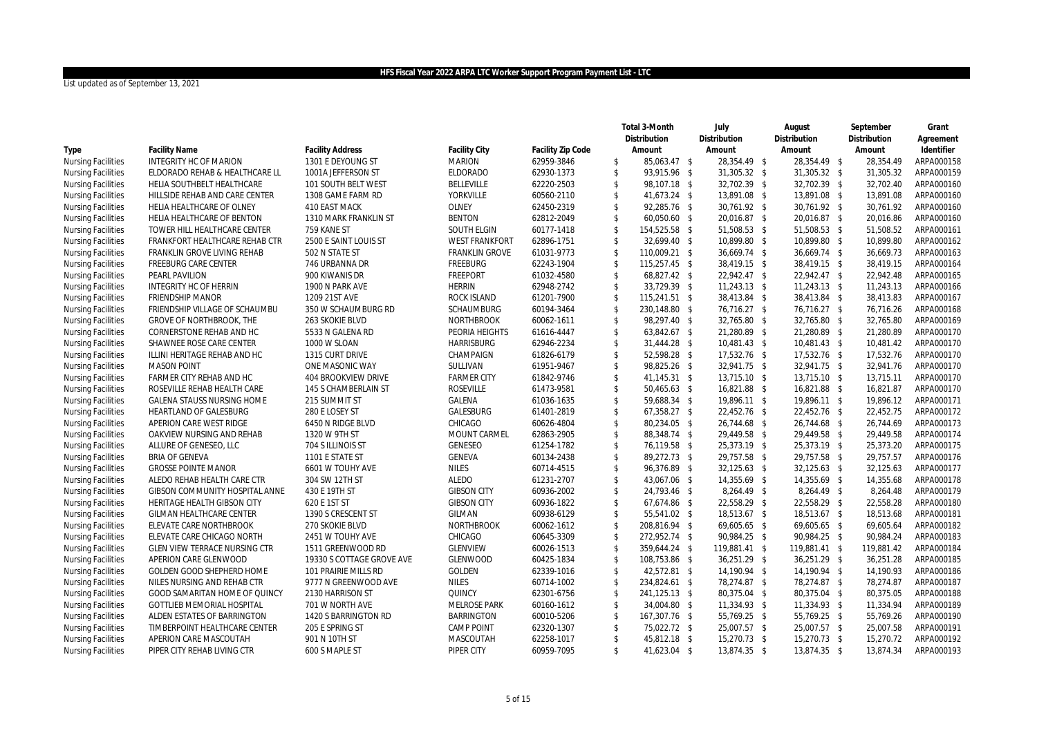|                           |                                 |                           |                       |                   |                         | Total 3-Month | July          | August        | September    | Grant      |
|---------------------------|---------------------------------|---------------------------|-----------------------|-------------------|-------------------------|---------------|---------------|---------------|--------------|------------|
|                           |                                 |                           |                       |                   |                         | Distribution  | Distribution  | Distribution  | Distribution | Agreement  |
| Type                      | <b>Facility Name</b>            | <b>Facility Address</b>   | <b>Facility City</b>  | Facility Zip Code |                         | Amount        | Amount        | Amount        | Amount       | Identifier |
| <b>Nursing Facilities</b> | INTEGRITY HC OF MARION          | 1301 E DEYOUNG ST         | <b>MARION</b>         | 62959-3846        | \$                      | 85,063.47 \$  | 28,354.49 \$  | 28,354.49 \$  | 28,354.49    | ARPA000158 |
| <b>Nursing Facilities</b> | ELDORADO REHAB & HEALTHCARE LL  | 1001A JEFFERSON ST        | <b>ELDORADO</b>       | 62930-1373        | $\mathbb{S}$            | 93,915.96 \$  | 31,305.32 \$  | 31,305.32 \$  | 31,305.32    | ARPA000159 |
| <b>Nursing Facilities</b> | HELIA SOUTHBELT HEALTHCARE      | 101 SOUTH BELT WEST       | <b>BELLEVILLE</b>     | 62220-2503        | \$                      | 98,107.18 \$  | 32,702.39 \$  | 32,702.39 \$  | 32,702.40    | ARPA000160 |
| <b>Nursing Facilities</b> | HILLSIDE REHAB AND CARE CENTER  | 1308 GAME FARM RD         | YORKVILLE             | 60560-2110        | \$                      | 41,673.24 \$  | 13,891.08 \$  | 13,891.08 \$  | 13,891.08    | ARPA000160 |
| <b>Nursing Facilities</b> | HELIA HEALTHCARE OF OLNEY       | 410 EAST MACK             | OLNEY                 | 62450-2319        | $\mathbb{S}$            | 92,285.76 \$  | 30,761.92 \$  | 30,761.92 \$  | 30,761.92    | ARPA000160 |
| <b>Nursing Facilities</b> | HELIA HEALTHCARE OF BENTON      | 1310 MARK FRANKLIN ST     | <b>BENTON</b>         | 62812-2049        | \$                      | 60,050.60 \$  | 20,016.87 \$  | 20,016.87 \$  | 20,016.86    | ARPA000160 |
| <b>Nursing Facilities</b> | TOWER HILL HEALTHCARE CENTER    | 759 KANE ST               | SOUTH ELGIN           | 60177-1418        | \$                      | 154,525.58 \$ | 51,508.53 \$  | 51,508.53 \$  | 51,508.52    | ARPA000161 |
| <b>Nursing Facilities</b> | FRANKFORT HEALTHCARE REHAB CTR  | 2500 E SAINT LOUIS ST     | <b>WEST FRANKFORT</b> | 62896-1751        | \$                      | 32,699.40 \$  | 10,899.80 \$  | 10,899.80 \$  | 10,899.80    | ARPA000162 |
| <b>Nursing Facilities</b> | FRANKLIN GROVE LIVING REHAB     | 502 N STATE ST            | <b>FRANKLIN GROVE</b> | 61031-9773        | $\sqrt[6]{2}$           | 110,009.21 \$ | 36,669.74 \$  | 36,669.74 \$  | 36,669.73    | ARPA000163 |
| <b>Nursing Facilities</b> | <b>FREEBURG CARE CENTER</b>     | 746 URBANNA DR            | <b>FREEBURG</b>       | 62243-1904        | $\mathfrak{S}$          | 115,257.45 \$ | 38,419.15 \$  | 38,419.15 \$  | 38,419.15    | ARPA000164 |
| <b>Nursing Facilities</b> | PEARL PAVILION                  | 900 KIWANIS DR            | <b>FREEPORT</b>       | 61032-4580        | \$                      | 68,827.42 \$  | 22,942.47 \$  | 22,942.47 \$  | 22,942.48    | ARPA000165 |
| <b>Nursing Facilities</b> | INTEGRITY HC OF HERRIN          | 1900 N PARK AVE           | <b>HERRIN</b>         | 62948-2742        | $\mathsf{\$}$           | 33,729.39 \$  | 11,243.13 \$  | 11,243.13 \$  | 11,243.13    | ARPA000166 |
| <b>Nursing Facilities</b> | <b>FRIENDSHIP MANOR</b>         | 1209 21ST AVE             | ROCK ISLAND           | 61201-7900        | $\sqrt[6]{\frac{1}{2}}$ | 115,241.51 \$ | 38,413.84 \$  | 38,413.84 \$  | 38,413.83    | ARPA000167 |
| <b>Nursing Facilities</b> | FRIENDSHIP VILLAGE OF SCHAUMBU  | 350 W SCHAUMBURG RD       | SCHAUMBURG            | 60194-3464        | \$                      | 230,148.80 \$ | 76,716.27 \$  | 76,716.27 \$  | 76,716.26    | ARPA000168 |
| <b>Nursing Facilities</b> | <b>GROVE OF NORTHBROOK, THE</b> | 263 SKOKIE BLVD           | <b>NORTHBROOK</b>     | 60062-1611        | $\mathbb{S}$            | 98,297.40 \$  | 32,765.80 \$  | 32,765.80 \$  | 32,765.80    | ARPA000169 |
| <b>Nursing Facilities</b> | CORNERSTONE REHAB AND HC        | 5533 N GALENA RD          | PEORIA HEIGHTS        | 61616-4447        | \$                      | 63,842.67 \$  | 21,280.89 \$  | 21,280.89 \$  | 21,280.89    | ARPA000170 |
| <b>Nursing Facilities</b> | SHAWNEE ROSE CARE CENTER        | 1000 W SLOAN              | <b>HARRISBURG</b>     | 62946-2234        | $\mathbb{S}$            | 31,444.28 \$  | 10,481.43 \$  | 10,481.43 \$  | 10,481.42    | ARPA000170 |
| <b>Nursing Facilities</b> | ILLINI HERITAGE REHAB AND HC    | 1315 CURT DRIVE           | CHAMPAIGN             | 61826-6179        | $\mathsf{\$}$           | 52,598.28 \$  | 17,532.76 \$  | 17,532.76 \$  | 17,532.76    | ARPA000170 |
| <b>Nursing Facilities</b> | <b>MASON POINT</b>              | ONE MASONIC WAY           | SULLIVAN              | 61951-9467        | \$                      | 98,825.26 \$  | 32,941.75 \$  | 32,941.75 \$  | 32,941.76    | ARPA000170 |
| <b>Nursing Facilities</b> | FARMER CITY REHAB AND HC        | 404 BROOKVIEW DRIVE       | <b>FARMER CITY</b>    | 61842-9746        | \$                      | 41,145.31 \$  | 13,715.10 \$  | 13,715.10 \$  | 13,715.11    | ARPA000170 |
| <b>Nursing Facilities</b> | ROSEVILLE REHAB HEALTH CARE     | 145 S CHAMBERLAIN ST      | <b>ROSEVILLE</b>      | 61473-9581        | \$                      | 50,465.63 \$  | 16,821.88 \$  | 16,821.88 \$  | 16,821.87    | ARPA000170 |
| <b>Nursing Facilities</b> | GALENA STAUSS NURSING HOME      | 215 SUMMIT ST             | GALENA                | 61036-1635        | \$                      | 59,688.34 \$  | 19,896.11 \$  | 19,896.11 \$  | 19,896.12    | ARPA000171 |
| <b>Nursing Facilities</b> | HEARTLAND OF GALESBURG          | 280 E LOSEY ST            | GALESBURG             | 61401-2819        | $\mathsf{\$}$           | 67,358.27 \$  | 22,452.76 \$  | 22,452.76 \$  | 22,452.75    | ARPA000172 |
| <b>Nursing Facilities</b> | APERION CARE WEST RIDGE         | 6450 N RIDGE BLVD         | CHICAGO               | 60626-4804        | \$                      | 80,234.05 \$  | 26,744.68 \$  | 26,744.68 \$  | 26,744.69    | ARPA000173 |
| <b>Nursing Facilities</b> | OAKVIEW NURSING AND REHAB       | 1320 W 9TH ST             | MOUNT CARMEL          | 62863-2905        | \$                      | 88,348.74 \$  | 29,449.58 \$  | 29,449.58 \$  | 29,449.58    | ARPA000174 |
| <b>Nursing Facilities</b> | ALLURE OF GENESEO, LLC          | 704 S ILLINOIS ST         | <b>GENESEO</b>        | 61254-1782        | \$                      | 76,119.58 \$  | 25,373.19 \$  | 25,373.19 \$  | 25,373.20    | ARPA000175 |
| <b>Nursing Facilities</b> | <b>BRIA OF GENEVA</b>           | 1101 E STATE ST           | GENEVA                | 60134-2438        | \$                      | 89,272.73 \$  | 29,757.58 \$  | 29,757.58 \$  | 29,757.57    | ARPA000176 |
| <b>Nursing Facilities</b> | <b>GROSSE POINTE MANOR</b>      | 6601 W TOUHY AVE          | <b>NILES</b>          | 60714-4515        | $\mathsf{\$}$           | 96,376.89 \$  | 32,125.63 \$  | 32,125.63 \$  | 32,125.63    | ARPA000177 |
| <b>Nursing Facilities</b> | ALEDO REHAB HEALTH CARE CTR     | 304 SW 12TH ST            | <b>ALEDO</b>          | 61231-2707        | \$                      | 43,067.06 \$  | 14,355.69 \$  | 14,355.69 \$  | 14,355.68    | ARPA000178 |
| <b>Nursing Facilities</b> | GIBSON COMMUNITY HOSPITAL ANNE  | 430 E 19TH ST             | <b>GIBSON CITY</b>    | 60936-2002        | $\mathsf{\$}$           | 24,793.46 \$  | 8,264.49 \$   | 8,264.49 \$   | 8,264.48     | ARPA000179 |
| <b>Nursing Facilities</b> | HERITAGE HEALTH GIBSON CITY     | 620 E 1ST ST              | <b>GIBSON CITY</b>    | 60936-1822        | \$                      | 67,674.86 \$  | 22,558.29 \$  | 22,558.29 \$  | 22,558.28    | ARPA000180 |
| <b>Nursing Facilities</b> | GILMAN HEALTHCARE CENTER        | 1390 S CRESCENT ST        | GILMAN                | 60938-6129        | \$                      | 55,541.02 \$  | 18,513.67 \$  | 18,513.67 \$  | 18,513.68    | ARPA000181 |
| <b>Nursing Facilities</b> | ELEVATE CARE NORTHBROOK         | 270 SKOKIE BLVD           | <b>NORTHBROOK</b>     | 60062-1612        | $\mathsf{\$}$           | 208,816.94 \$ | 69,605.65 \$  | 69,605.65 \$  | 69,605.64    | ARPA000182 |
| <b>Nursing Facilities</b> | ELEVATE CARE CHICAGO NORTH      | 2451 W TOUHY AVE          | CHICAGO               | 60645-3309        | \$                      | 272,952.74 \$ | 90,984.25 \$  | 90,984.25 \$  | 90,984.24    | ARPA000183 |
| <b>Nursing Facilities</b> | GLEN VIEW TERRACE NURSING CTR   | 1511 GREENWOOD RD         | <b>GLENVIEW</b>       | 60026-1513        | $\sqrt[6]{\frac{1}{2}}$ | 359,644.24 \$ | 119,881.41 \$ | 119,881.41 \$ | 119,881.42   | ARPA000184 |
| <b>Nursing Facilities</b> | APERION CARE GLENWOOD           | 19330 S COTTAGE GROVE AVE | <b>GLENWOOD</b>       | 60425-1834        | $\sqrt[6]{\frac{1}{2}}$ | 108,753.86 \$ | 36,251.29 \$  | 36,251.29 \$  | 36,251.28    | ARPA000185 |
| <b>Nursing Facilities</b> | GOLDEN GOOD SHEPHERD HOME       | 101 PRAIRIE MILLS RD      | GOLDEN                | 62339-1016        | $\sqrt[6]{\frac{1}{2}}$ | 42,572.81 \$  | 14,190.94 \$  | 14,190.94 \$  | 14,190.93    | ARPA000186 |
| <b>Nursing Facilities</b> | NILES NURSING AND REHAB CTR     | 9777 N GREENWOOD AVE      | <b>NILES</b>          | 60714-1002        | \$                      | 234,824.61 \$ | 78,274.87 \$  | 78,274.87 \$  | 78,274.87    | ARPA000187 |
| <b>Nursing Facilities</b> | GOOD SAMARITAN HOME OF QUINCY   | 2130 HARRISON ST          | QUINCY                | 62301-6756        | \$                      | 241,125.13 \$ | 80,375.04 \$  | 80,375.04 \$  | 80,375.05    | ARPA000188 |
| <b>Nursing Facilities</b> | GOTTLIEB MEMORIAL HOSPITAL      | 701 W NORTH AVE           | <b>MELROSE PARK</b>   | 60160-1612        | $\mathsf{\$}$           | 34,004.80 \$  | 11,334.93 \$  | 11,334.93 \$  | 11,334.94    | ARPA000189 |
| <b>Nursing Facilities</b> | ALDEN ESTATES OF BARRINGTON     | 1420 S BARRINGTON RD      | <b>BARRINGTON</b>     | 60010-5206        | \$                      | 167,307.76 \$ | 55,769.25 \$  | 55,769.25 \$  | 55,769.26    | ARPA000190 |
| <b>Nursing Facilities</b> | TIMBERPOINT HEALTHCARE CENTER   | 205 E SPRING ST           | CAMP POINT            | 62320-1307        | \$                      | 75,022.72 \$  | 25,007.57 \$  | 25,007.57 \$  | 25,007.58    | ARPA000191 |
| <b>Nursing Facilities</b> | APERION CARE MASCOUTAH          | 901 N 10TH ST             | MASCOUTAH             | 62258-1017        | $\mathsf{\$}$           | 45,812.18 \$  | 15,270.73 \$  | 15,270.73 \$  | 15,270.72    | ARPA000192 |
| <b>Nursing Facilities</b> | PIPER CITY REHAB LIVING CTR     | 600 S MAPLE ST            | PIPER CITY            | 60959-7095        | $\mathbb{S}$            | 41,623.04 \$  | 13,874.35 \$  | 13,874.35 \$  | 13,874.34    | ARPA000193 |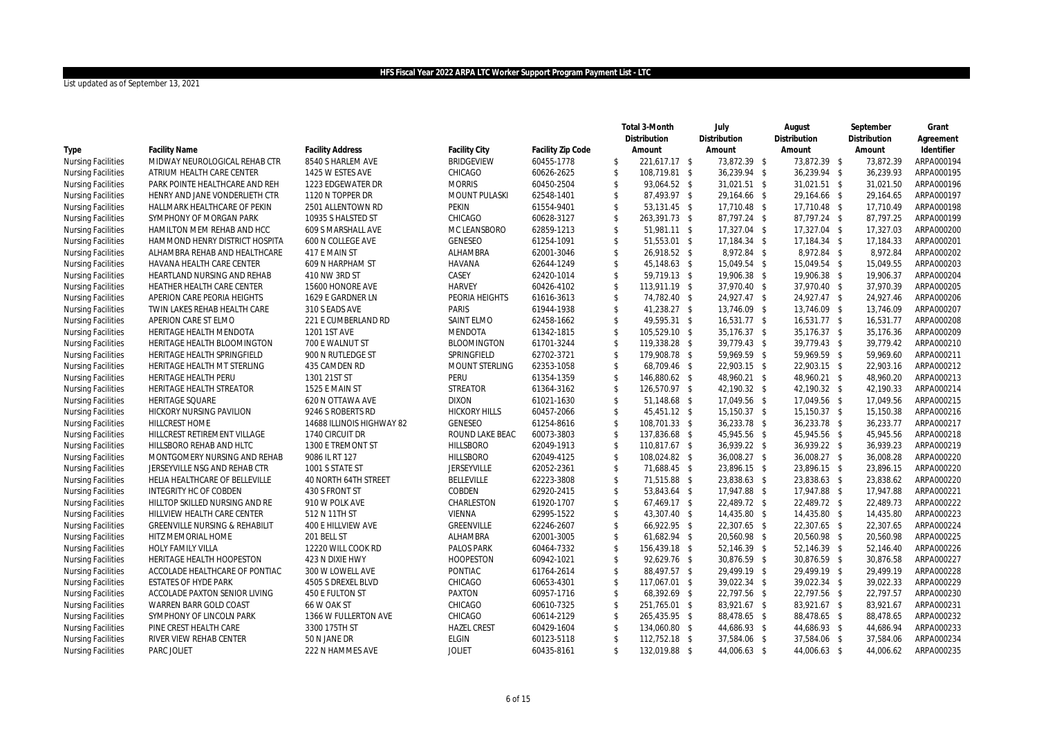|                           |                                           |                           |                      |                   |                         | Total 3-Month | July         | August       | September    | Grant      |
|---------------------------|-------------------------------------------|---------------------------|----------------------|-------------------|-------------------------|---------------|--------------|--------------|--------------|------------|
|                           |                                           |                           |                      |                   |                         | Distribution  | Distribution | Distribution | Distribution | Agreement  |
| Type                      | <b>Facility Name</b>                      | <b>Facility Address</b>   | <b>Facility City</b> | Facility Zip Code |                         | Amount        | Amount       | Amount       | Amount       | Identifier |
| <b>Nursing Facilities</b> | MIDWAY NEUROLOGICAL REHAB CTR             | 8540 S HARLEM AVE         | <b>BRIDGEVIEW</b>    | 60455-1778        | \$                      | 221,617.17 \$ | 73,872.39 \$ | 73,872.39 \$ | 73,872.39    | ARPA000194 |
| <b>Nursing Facilities</b> | ATRIUM HEALTH CARE CENTER                 | 1425 W ESTES AVE          | CHICAGO              | 60626-2625        | \$                      | 108,719.81 \$ | 36,239.94 \$ | 36,239.94 \$ | 36,239.93    | ARPA000195 |
| <b>Nursing Facilities</b> | PARK POINTE HEALTHCARE AND REH            | 1223 EDGEWATER DR         | <b>MORRIS</b>        | 60450-2504        | \$                      | 93,064.52 \$  | 31,021.51 \$ | 31,021.51 \$ | 31,021.50    | ARPA000196 |
| <b>Nursing Facilities</b> | HENRY AND JANE VONDERLIETH CTR            | 1120 N TOPPER DR          | MOUNT PULASKI        | 62548-1401        | \$                      | 87,493.97 \$  | 29,164.66 \$ | 29,164.66 \$ | 29,164.65    | ARPA000197 |
| <b>Nursing Facilities</b> | HALLMARK HEALTHCARE OF PEKIN              | 2501 ALLENTOWN RD         | PEKIN                | 61554-9401        | \$                      | 53,131.45 \$  | 17,710.48 \$ | 17,710.48 \$ | 17,710.49    | ARPA000198 |
| <b>Nursing Facilities</b> | SYMPHONY OF MORGAN PARK                   | 10935 S HALSTED ST        | CHICAGO              | 60628-3127        | \$                      | 263,391.73 \$ | 87,797.24 \$ | 87,797.24 \$ | 87,797.25    | ARPA000199 |
| <b>Nursing Facilities</b> | HAMILTON MEM REHAB AND HCC                | 609 S MARSHALL AVE        | MC LEANSBORO         | 62859-1213        | $\mathsf{\$}$           | 51,981.11 \$  | 17,327.04 \$ | 17,327.04 \$ | 17,327.03    | ARPA000200 |
| <b>Nursing Facilities</b> | HAMMOND HENRY DISTRICT HOSPITA            | 600 N COLLEGE AVE         | GENESEO              | 61254-1091        | \$                      | 51,553.01 \$  | 17,184.34 \$ | 17,184.34 \$ | 17,184.33    | ARPA000201 |
| <b>Nursing Facilities</b> | ALHAMBRA REHAB AND HEALTHCARE             | 417 E MAIN ST             | ALHAMBRA             | 62001-3046        | \$                      | 26,918.52 \$  | 8,972.84 \$  | 8,972.84 \$  | 8,972.84     | ARPA000202 |
| <b>Nursing Facilities</b> | HAVANA HEALTH CARE CENTER                 | 609 N HARPHAM ST          | <b>HAVANA</b>        | 62644-1249        | $\mathsf{\$}$           | 45,148.63 \$  | 15,049.54 \$ | 15,049.54 \$ | 15,049.55    | ARPA000203 |
| <b>Nursing Facilities</b> | HEARTLAND NURSING AND REHAB               | 410 NW 3RD ST             | CASEY                | 62420-1014        | \$                      | 59,719.13 \$  | 19,906.38 \$ | 19,906.38 \$ | 19,906.37    | ARPA000204 |
| <b>Nursing Facilities</b> | HEATHER HEALTH CARE CENTER                | 15600 HONORE AVE          | <b>HARVEY</b>        | 60426-4102        | $\sqrt[6]{\frac{1}{2}}$ | 113,911.19 \$ | 37,970.40 \$ | 37,970.40 \$ | 37,970.39    | ARPA000205 |
| <b>Nursing Facilities</b> | APERION CARE PEORIA HEIGHTS               | 1629 E GARDNER LN         | PEORIA HEIGHTS       | 61616-3613        | $\mathbb{S}$            | 74,782.40 \$  | 24,927.47 \$ | 24,927.47 \$ | 24,927.46    | ARPA000206 |
| <b>Nursing Facilities</b> | TWIN LAKES REHAB HEALTH CARE              | 310 S EADS AVE            | PARIS                | 61944-1938        | \$                      | 41,238.27 \$  | 13,746.09 \$ | 13,746.09 \$ | 13,746.09    | ARPA000207 |
| <b>Nursing Facilities</b> | APERION CARE ST ELMO                      | 221 E CUMBERLAND RD       | <b>SAINT ELMO</b>    | 62458-1662        | $\mathsf{\$}$           | 49,595.31 \$  | 16,531.77 \$ | 16,531.77 \$ | 16,531.77    | ARPA000208 |
| <b>Nursing Facilities</b> | HERITAGE HEALTH MENDOTA                   | 1201 1ST AVE              | <b>MENDOTA</b>       | 61342-1815        | $\sqrt[6]{\frac{1}{2}}$ | 105,529.10 \$ | 35,176.37 \$ | 35,176.37 \$ | 35,176.36    | ARPA000209 |
| <b>Nursing Facilities</b> | HERITAGE HEALTH BLOOMINGTON               | 700 E WALNUT ST           | <b>BLOOMINGTON</b>   | 61701-3244        | \$                      | 119,338.28 \$ | 39,779.43 \$ | 39,779.43 \$ | 39,779.42    | ARPA000210 |
| <b>Nursing Facilities</b> | HERITAGE HEALTH SPRINGFIELD               | 900 N RUTLEDGE ST         | SPRINGFIELD          | 62702-3721        | $\sqrt[6]{\frac{1}{2}}$ | 179,908.78 \$ | 59,969.59 \$ | 59,969.59 \$ | 59,969.60    | ARPA000211 |
| <b>Nursing Facilities</b> | HERITAGE HEALTH MT STERLING               | 435 CAMDEN RD             | MOUNT STERLING       | 62353-1058        | \$                      | 68,709.46 \$  | 22,903.15 \$ | 22,903.15 \$ | 22,903.16    | ARPA000212 |
| <b>Nursing Facilities</b> | HERITAGE HEALTH PERU                      | 1301 21ST ST              | <b>PERU</b>          | 61354-1359        | $\sqrt[6]{\frac{1}{2}}$ | 146,880.62 \$ | 48,960.21 \$ | 48,960.21 \$ | 48,960.20    | ARPA000213 |
| <b>Nursing Facilities</b> | HERITAGE HEALTH STREATOR                  | 1525 E MAIN ST            | <b>STREATOR</b>      | 61364-3162        | $\sqrt[6]{\frac{1}{2}}$ | 126,570.97 \$ | 42,190.32 \$ | 42,190.32 \$ | 42,190.33    | ARPA000214 |
| <b>Nursing Facilities</b> | <b>HERITAGE SQUARE</b>                    | 620 N OTTAWA AVE          | <b>DIXON</b>         | 61021-1630        | $\sqrt[6]{\frac{1}{2}}$ | 51,148.68 \$  | 17,049.56 \$ | 17,049.56 \$ | 17,049.56    | ARPA000215 |
| <b>Nursing Facilities</b> | HICKORY NURSING PAVILION                  | 9246 S ROBERTS RD         | <b>HICKORY HILLS</b> | 60457-2066        | $\mathsf{\$}$           | 45,451.12 \$  | 15,150.37 \$ | 15,150.37 \$ | 15,150.38    | ARPA000216 |
| <b>Nursing Facilities</b> | <b>HILLCREST HOME</b>                     | 14688 ILLINOIS HIGHWAY 82 | <b>GENESEO</b>       | 61254-8616        | $\sqrt[6]{2}$           | 108,701.33 \$ | 36,233.78 \$ | 36,233.78 \$ | 36,233.77    | ARPA000217 |
| <b>Nursing Facilities</b> | HILLCREST RETIREMENT VILLAGE              | 1740 CIRCUIT DR           | ROUND LAKE BEAC      | 60073-3803        | $\sqrt[6]{\frac{1}{2}}$ | 137,836.68 \$ | 45,945.56 \$ | 45,945.56 \$ | 45,945.56    | ARPA000218 |
| <b>Nursing Facilities</b> | HILLSBORO REHAB AND HLTC                  | 1300 E TREMONT ST         | <b>HILLSBORO</b>     | 62049-1913        | $\sqrt[6]{2}$           | 110,817.67 \$ | 36,939.22 \$ | 36,939.22 \$ | 36,939.23    | ARPA000219 |
| <b>Nursing Facilities</b> | MONTGOMERY NURSING AND REHAB              | 9086 IL RT 127            | <b>HILLSBORO</b>     | 62049-4125        | $\sqrt[6]{\frac{1}{2}}$ | 108,024.82 \$ | 36,008.27 \$ | 36,008.27 \$ | 36,008.28    | ARPA000220 |
| <b>Nursing Facilities</b> | JERSEYVILLE NSG AND REHAB CTR             | 1001 S STATE ST           | JERSEYVILLE          | 62052-2361        | $\mathbb{S}$            | 71,688.45 \$  | 23,896.15 \$ | 23,896.15 \$ | 23,896.15    | ARPA000220 |
| <b>Nursing Facilities</b> | HELIA HEALTHCARE OF BELLEVILLE            | 40 NORTH 64TH STREET      | <b>BELLEVILLE</b>    | 62223-3808        | \$                      | 71,515.88 \$  | 23,838.63 \$ | 23,838.63 \$ | 23,838.62    | ARPA000220 |
| <b>Nursing Facilities</b> | INTEGRITY HC OF COBDEN                    | 430 S FRONT ST            | COBDEN               | 62920-2415        | $\mathsf{\$}$           | 53,843.64 \$  | 17,947.88 \$ | 17,947.88 \$ | 17,947.88    | ARPA000221 |
| <b>Nursing Facilities</b> | HILLTOP SKILLED NURSING AND RE            | 910 W POLK AVE            | CHARLESTON           | 61920-1707        | \$                      | 67,469.17 \$  | 22,489.72 \$ | 22,489.72 \$ | 22,489.73    | ARPA000222 |
| <b>Nursing Facilities</b> | HILLVIEW HEALTH CARE CENTER               | 512 N 11TH ST             | VIENNA               | 62995-1522        | \$                      | 43,307.40 \$  | 14,435.80 \$ | 14,435.80 \$ | 14,435.80    | ARPA000223 |
| <b>Nursing Facilities</b> | <b>GREENVILLE NURSING &amp; REHABILIT</b> | 400 E HILLVIEW AVE        | GREENVILLE           | 62246-2607        | $\mathsf{\$}$           | 66,922.95 \$  | 22,307.65 \$ | 22,307.65 \$ | 22,307.65    | ARPA000224 |
| <b>Nursing Facilities</b> | HITZ MEMORIAL HOME                        | 201 BELL ST               | ALHAMBRA             | 62001-3005        | \$                      | 61,682.94 \$  | 20,560.98 \$ | 20,560.98 \$ | 20,560.98    | ARPA000225 |
| <b>Nursing Facilities</b> | HOLY FAMILY VILLA                         | 12220 WILL COOK RD        | PALOS PARK           | 60464-7332        | \$                      | 156,439.18 \$ | 52,146.39 \$ | 52,146.39 \$ | 52,146.40    | ARPA000226 |
| <b>Nursing Facilities</b> | HERITAGE HEALTH HOOPESTON                 | 423 N DIXIE HWY           | <b>HOOPESTON</b>     | 60942-1021        | \$                      | 92,629.76 \$  | 30,876.59 \$ | 30,876.59 \$ | 30,876.58    | ARPA000227 |
| <b>Nursing Facilities</b> | ACCOLADE HEALTHCARE OF PONTIAC            | 300 W LOWELL AVE          | PONTIAC              | 61764-2614        | \$                      | 88,497.57 \$  | 29,499.19 \$ | 29,499.19 \$ | 29,499.19    | ARPA000228 |
| <b>Nursing Facilities</b> | <b>ESTATES OF HYDE PARK</b>               | 4505 S DREXEL BLVD        | CHICAGO              | 60653-4301        | $\mathbb{S}$            | 117,067.01 \$ | 39,022.34 \$ | 39,022.34 \$ | 39,022.33    | ARPA000229 |
| <b>Nursing Facilities</b> | ACCOLADE PAXTON SENIOR LIVING             | 450 E FULTON ST           | <b>PAXTON</b>        | 60957-1716        | $\sqrt[6]{2}$           | 68,392.69 \$  | 22,797.56 \$ | 22,797.56 \$ | 22,797.57    | ARPA000230 |
| <b>Nursing Facilities</b> | WARREN BARR GOLD COAST                    | 66 W OAK ST               | CHICAGO              | 60610-7325        | \$                      | 251,765.01 \$ | 83,921.67 \$ | 83,921.67 \$ | 83,921.67    | ARPA000231 |
| <b>Nursing Facilities</b> | SYMPHONY OF LINCOLN PARK                  | 1366 W FULLERTON AVE      | CHICAGO              | 60614-2129        | \$                      | 265,435.95 \$ | 88,478.65 \$ | 88,478.65 \$ | 88,478.65    | ARPA000232 |
| <b>Nursing Facilities</b> | PINE CREST HEALTH CARE                    | 3300 175TH ST             | <b>HAZEL CREST</b>   | 60429-1604        | $\sqrt[6]{2}$           | 134,060.80 \$ | 44,686.93 \$ | 44,686.93 \$ | 44,686.94    | ARPA000233 |
| <b>Nursing Facilities</b> | RIVER VIEW REHAB CENTER                   | 50 N JANE DR              | <b>ELGIN</b>         | 60123-5118        | $\mathfrak{S}$          | 112,752.18 \$ | 37,584.06 \$ | 37,584.06 \$ | 37,584.06    | ARPA000234 |
| <b>Nursing Facilities</b> | PARC JOLIET                               | 222 N HAMMES AVE          | <b>JOLIET</b>        | 60435-8161        | \$                      | 132,019.88 \$ | 44,006.63 \$ | 44,006.63 \$ | 44,006.62    | ARPA000235 |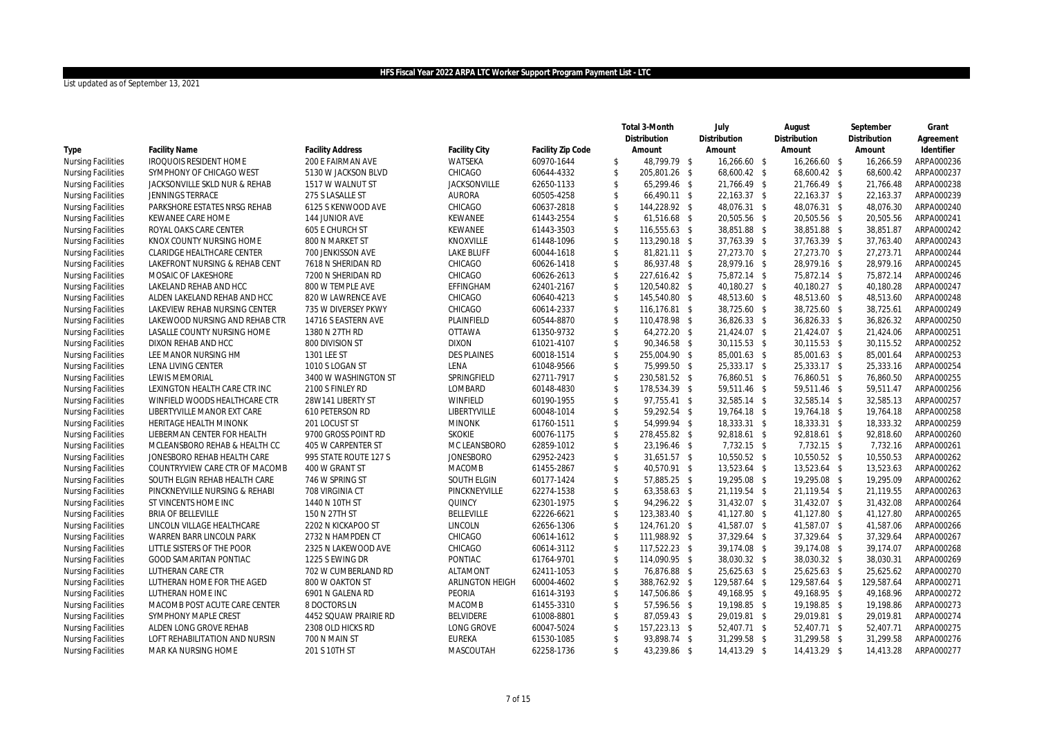|                           |                                |                         |                      |                   |                         | Total 3-Month | July          | August        | September    | Grant      |
|---------------------------|--------------------------------|-------------------------|----------------------|-------------------|-------------------------|---------------|---------------|---------------|--------------|------------|
|                           |                                |                         |                      |                   |                         | Distribution  | Distribution  | Distribution  | Distribution | Agreement  |
| Type                      | <b>Facility Name</b>           | <b>Facility Address</b> | <b>Facility City</b> | Facility Zip Code |                         | Amount        | Amount        | Amount        | Amount       | Identifier |
| <b>Nursing Facilities</b> | <b>IROQUOIS RESIDENT HOME</b>  | 200 E FAIRMAN AVE       | WATSEKA              | 60970-1644        | \$                      | 48,799.79 \$  | 16,266.60 \$  | 16,266.60 \$  | 16,266.59    | ARPA000236 |
| <b>Nursing Facilities</b> | SYMPHONY OF CHICAGO WEST       | 5130 W JACKSON BLVD     | CHICAGO              | 60644-4332        | \$                      | 205,801.26 \$ | 68,600.42 \$  | 68,600.42 \$  | 68,600.42    | ARPA000237 |
| <b>Nursing Facilities</b> | JACKSONVILLE SKLD NUR & REHAB  | 1517 W WALNUT ST        | <b>JACKSONVILLE</b>  | 62650-1133        | \$                      | 65,299.46 \$  | 21,766.49 \$  | 21,766.49 \$  | 21,766.48    | ARPA000238 |
| <b>Nursing Facilities</b> | <b>JENNINGS TERRACE</b>        | 275 S LASALLE ST        | <b>AURORA</b>        | 60505-4258        | \$                      | 66,490.11 \$  | 22,163.37 \$  | 22,163.37 \$  | 22,163.37    | ARPA000239 |
| <b>Nursing Facilities</b> | PARKSHORE ESTATES NRSG REHAB   | 6125 S KENWOOD AVE      | CHICAGO              | 60637-2818        | $\mathfrak{S}$          | 144,228.92 \$ | 48,076.31 \$  | 48,076.31 \$  | 48,076.30    | ARPA000240 |
| <b>Nursing Facilities</b> | KEWANEE CARE HOME              | 144 JUNIOR AVE          | KEWANEE              | 61443-2554        | \$                      | 61,516.68 \$  | 20,505.56 \$  | 20,505.56 \$  | 20,505.56    | ARPA000241 |
| <b>Nursing Facilities</b> | ROYAL OAKS CARE CENTER         | 605 E CHURCH ST         | <b>KEWANEE</b>       | 61443-3503        | \$                      | 116,555.63 \$ | 38,851.88 \$  | 38,851.88 \$  | 38,851.87    | ARPA000242 |
| <b>Nursing Facilities</b> | KNOX COUNTY NURSING HOME       | 800 N MARKET ST         | KNOXVILLE            | 61448-1096        | \$                      | 113,290.18 \$ | 37,763.39 \$  | 37,763.39 \$  | 37,763.40    | ARPA000243 |
| <b>Nursing Facilities</b> | CLARIDGE HEALTHCARE CENTER     | 700 JENKISSON AVE       | <b>LAKE BLUFF</b>    | 60044-1618        | $\mathbb{S}$            | 81,821.11 \$  | 27,273.70 \$  | 27,273.70 \$  | 27,273.71    | ARPA000244 |
| <b>Nursing Facilities</b> | LAKEFRONT NURSING & REHAB CENT | 7618 N SHERIDAN RD      | CHICAGO              | 60626-1418        | $\mathbb{S}$            | 86,937.48 \$  | 28,979.16 \$  | 28,979.16 \$  | 28,979.16    | ARPA000245 |
| <b>Nursing Facilities</b> | MOSAIC OF LAKESHORE            | 7200 N SHERIDAN RD      | CHICAGO              | 60626-2613        | $\mathbb{S}$            | 227,616.42 \$ | 75,872.14 \$  | 75,872.14 \$  | 75,872.14    | ARPA000246 |
| <b>Nursing Facilities</b> | LAKELAND REHAB AND HCC         | 800 W TEMPLE AVE        | EFFINGHAM            | 62401-2167        | \$                      | 120,540.82 \$ | 40,180.27 \$  | 40,180.27 \$  | 40,180.28    | ARPA000247 |
| <b>Nursing Facilities</b> | ALDEN LAKELAND REHAB AND HCC   | 820 W LAWRENCE AVE      | CHICAGO              | 60640-4213        | $\mathfrak{S}$          | 145,540.80 \$ | 48,513.60 \$  | 48,513.60 \$  | 48,513.60    | ARPA000248 |
| <b>Nursing Facilities</b> | LAKEVIEW REHAB NURSING CENTER  | 735 W DIVERSEY PKWY     | CHICAGO              | 60614-2337        | \$                      | 116,176.81 \$ | 38,725.60 \$  | 38,725.60 \$  | 38,725.61    | ARPA000249 |
| <b>Nursing Facilities</b> | LAKEWOOD NURSING AND REHAB CTR | 14716 S EASTERN AVE     | PLAINFIELD           | 60544-8870        | $\mathfrak{S}$          | 110,478.98 \$ | 36,826.33 \$  | 36,826.33 \$  | 36,826.32    | ARPA000250 |
| <b>Nursing Facilities</b> | LASALLE COUNTY NURSING HOME    | 1380 N 27TH RD          | <b>OTTAWA</b>        | 61350-9732        | $\mathbb{S}$            | 64,272.20 \$  | 21,424.07 \$  | 21,424.07 \$  | 21,424.06    | ARPA000251 |
| <b>Nursing Facilities</b> | DIXON REHAB AND HCC            | 800 DIVISION ST         | <b>DIXON</b>         | 61021-4107        | $\mathbb{S}$            | 90,346.58 \$  | 30,115.53 \$  | 30,115.53 \$  | 30,115.52    | ARPA000252 |
| <b>Nursing Facilities</b> | LEE MANOR NURSING HM           | 1301 LEE ST             | <b>DES PLAINES</b>   | 60018-1514        | $\mathbb{S}$            | 255,004.90 \$ | 85,001.63 \$  | 85,001.63 \$  | 85,001.64    | ARPA000253 |
| <b>Nursing Facilities</b> | LENA LIVING CENTER             | 1010 S LOGAN ST         | LENA                 | 61048-9566        | \$                      | 75,999.50 \$  | 25,333.17 \$  | 25,333.17 \$  | 25,333.16    | ARPA000254 |
| <b>Nursing Facilities</b> | LEWIS MEMORIAL                 | 3400 W WASHINGTON ST    | SPRINGFIELD          | 62711-7917        | $\mathfrak{S}$          | 230,581.52 \$ | 76,860.51 \$  | 76,860.51 \$  | 76,860.50    | ARPA000255 |
| <b>Nursing Facilities</b> | LEXINGTON HEALTH CARE CTR INC  | 2100 S FINLEY RD        | LOMBARD              | 60148-4830        | $\mathfrak{S}$          | 178,534.39 \$ | 59,511.46 \$  | 59,511.46 \$  | 59,511.47    | ARPA000256 |
| <b>Nursing Facilities</b> | WINFIELD WOODS HEALTHCARE CTR  | 28W141 LIBERTY ST       | WINFIELD             | 60190-1955        | $\mathbb{S}$            | 97,755.41 \$  | 32,585.14 \$  | 32,585.14 \$  | 32,585.13    | ARPA000257 |
| <b>Nursing Facilities</b> | LIBERTYVILLE MANOR EXT CARE    | 610 PETERSON RD         | LIBERTYVILLE         | 60048-1014        | $\mathbb{S}$            | 59,292.54 \$  | 19,764.18 \$  | 19,764.18 \$  | 19,764.18    | ARPA000258 |
| <b>Nursing Facilities</b> | <b>HERITAGE HEALTH MINONK</b>  | 201 LOCUST ST           | <b>MINONK</b>        | 61760-1511        | \$                      | 54,999.94 \$  | 18,333.31 \$  | 18,333.31 \$  | 18,333.32    | ARPA000259 |
| <b>Nursing Facilities</b> | LIEBERMAN CENTER FOR HEALTH    | 9700 GROSS POINT RD     | <b>SKOKIE</b>        | 60076-1175        | $\mathfrak{S}$          | 278,455.82 \$ | 92,818.61 \$  | 92,818.61 \$  | 92,818.60    | ARPA000260 |
| <b>Nursing Facilities</b> | MCLEANSBORO REHAB & HEALTH CC  | 405 W CARPENTER ST      | MC LEANSBORO         | 62859-1012        | $\mathbb{S}$            | 23,196.46 \$  | 7,732.15 \$   | 7,732.15 \$   | 7,732.16     | ARPA000261 |
| <b>Nursing Facilities</b> | JONESBORO REHAB HEALTH CARE    | 995 STATE ROUTE 127 S   | <b>JONESBORO</b>     | 62952-2423        | $\mathbb{S}$            | 31,651.57 \$  | 10,550.52 \$  | 10,550.52 \$  | 10,550.53    | ARPA000262 |
| <b>Nursing Facilities</b> | COUNTRYVIEW CARE CTR OF MACOMB | 400 W GRANT ST          | <b>MACOMB</b>        | 61455-2867        | $\mathbb{S}$            | 40,570.91 \$  | 13,523.64 \$  | 13,523.64 \$  | 13,523.63    | ARPA000262 |
| <b>Nursing Facilities</b> | SOUTH ELGIN REHAB HEALTH CARE  | 746 W SPRING ST         | <b>SOUTH ELGIN</b>   | 60177-1424        | \$                      | 57,885.25 \$  | 19,295.08 \$  | 19,295.08 \$  | 19,295.09    | ARPA000262 |
| <b>Nursing Facilities</b> | PINCKNEYVILLE NURSING & REHABI | 708 VIRGINIA CT         | PINCKNEYVILLE        | 62274-1538        | $\mathsf{\$}$           | 63,358.63 \$  | 21,119.54 \$  | 21,119.54 \$  | 21,119.55    | ARPA000263 |
| <b>Nursing Facilities</b> | ST VINCENTS HOME INC           | 1440 N 10TH ST          | <b>QUINCY</b>        | 62301-1975        | $\mathbb{S}$            | 94,296.22 \$  | 31,432.07 \$  | 31,432.07 \$  | 31,432.08    | ARPA000264 |
| <b>Nursing Facilities</b> | <b>BRIA OF BELLEVILLE</b>      | 150 N 27TH ST           | <b>BELLEVILLE</b>    | 62226-6621        | $\sqrt[6]{2}$           | 123,383.40 \$ | 41,127.80 \$  | 41,127.80 \$  | 41,127.80    | ARPA000265 |
| <b>Nursing Facilities</b> | LINCOLN VILLAGE HEALTHCARE     | 2202 N KICKAPOO ST      | LINCOLN              | 62656-1306        | $\mathfrak{S}$          | 124,761.20 \$ | 41,587.07 \$  | 41,587.07 \$  | 41.587.06    | ARPA000266 |
| <b>Nursing Facilities</b> | WARREN BARR LINCOLN PARK       | 2732 N HAMPDEN CT       | CHICAGO              | 60614-1612        | \$                      | 111,988.92 \$ | 37,329.64 \$  | 37,329.64 \$  | 37,329.64    | ARPA000267 |
| <b>Nursing Facilities</b> | LITTLE SISTERS OF THE POOR     | 2325 N LAKEWOOD AVE     | CHICAGO              | 60614-3112        | $\sqrt[6]{\frac{1}{2}}$ | 117,522.23 \$ | 39,174.08 \$  | 39,174.08 \$  | 39,174.07    | ARPA000268 |
| <b>Nursing Facilities</b> | <b>GOOD SAMARITAN PONTIAC</b>  | 1225 S EWING DR         | PONTIAC              | 61764-9701        | \$                      | 114,090.95 \$ | 38,030.32 \$  | 38,030.32 \$  | 38,030.31    | ARPA000269 |
| <b>Nursing Facilities</b> | LUTHERAN CARE CTR              | 702 W CUMBERLAND RD     | <b>ALTAMONT</b>      | 62411-1053        | \$                      | 76,876.88 \$  | 25,625.63 \$  | 25,625.63 \$  | 25,625.62    | ARPA000270 |
| <b>Nursing Facilities</b> | LUTHERAN HOME FOR THE AGED     | 800 W OAKTON ST         | ARLINGTON HEIGH      | 60004-4602        | \$                      | 388,762.92 \$ | 129,587.64 \$ | 129,587.64 \$ | 129,587.64   | ARPA000271 |
| <b>Nursing Facilities</b> | LUTHERAN HOME INC              | 6901 N GALENA RD        | PEORIA               | 61614-3193        | $\sqrt[6]{2}$           | 147,506.86 \$ | 49,168.95 \$  | 49,168.95 \$  | 49,168.96    | ARPA000272 |
| <b>Nursing Facilities</b> | MACOMB POST ACUTE CARE CENTER  | 8 DOCTORS LN            | MACOMB               | 61455-3310        | $\mathsf{\$}$           | 57,596.56 \$  | 19,198.85 \$  | 19,198.85 \$  | 19,198.86    | ARPA000273 |
| <b>Nursing Facilities</b> | SYMPHONY MAPLE CREST           | 4452 SQUAW PRAIRIE RD   | <b>BELVIDERE</b>     | 61008-8801        | \$                      | 87,059.43 \$  | 29,019.81 \$  | 29,019.81 \$  | 29,019.81    | ARPA000274 |
| <b>Nursing Facilities</b> | ALDEN LONG GROVE REHAB         | 2308 OLD HICKS RD       | <b>LONG GROVE</b>    | 60047-5024        | \$                      | 157,223.13 \$ | 52,407.71 \$  | 52,407.71 \$  | 52,407.71    | ARPA000275 |
| <b>Nursing Facilities</b> | LOFT REHABILITATION AND NURSIN | 700 N MAIN ST           | <b>EUREKA</b>        | 61530-1085        | $\mathsf{\$}$           | 93,898.74 \$  | 31,299.58 \$  | 31,299.58 \$  | 31,299.58    | ARPA000276 |
| <b>Nursing Facilities</b> | MAR KA NURSING HOME            | 201 S 10TH ST           | MASCOUTAH            | 62258-1736        | $\mathbb{S}$            | 43,239.86 \$  | 14,413.29 \$  | 14,413.29 \$  | 14,413.28    | ARPA000277 |
|                           |                                |                         |                      |                   |                         |               |               |               |              |            |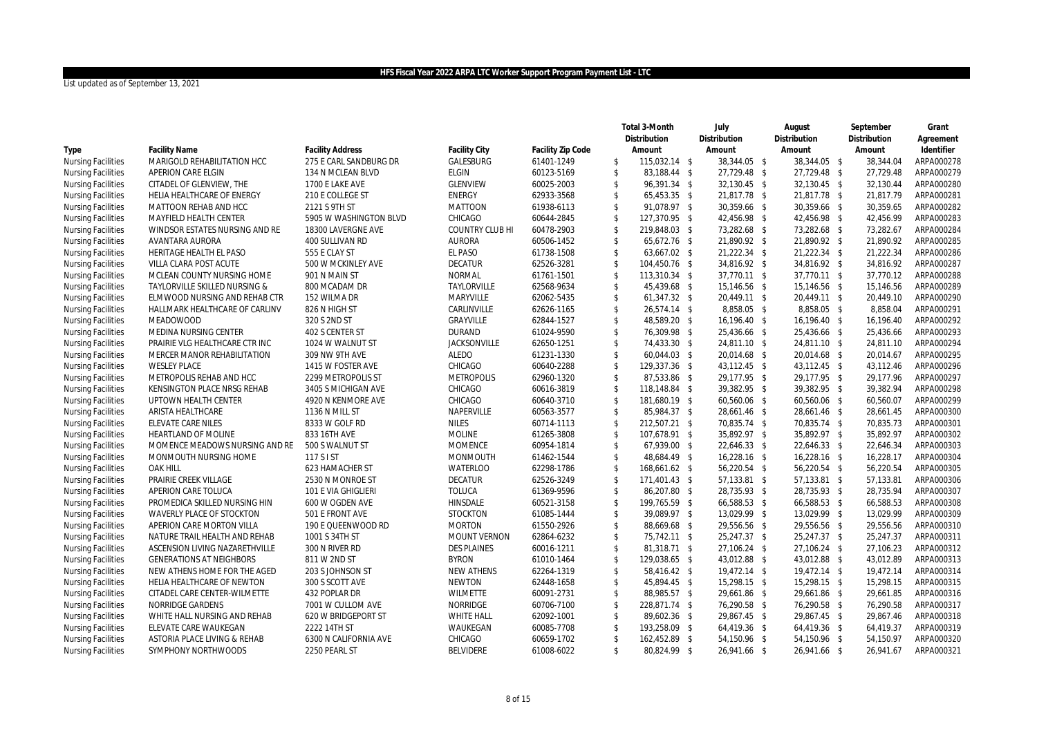|                           |                                 |                         |                               |                          |                                | Total 3-Month                 | July                         | August                       | September              | Grant      |
|---------------------------|---------------------------------|-------------------------|-------------------------------|--------------------------|--------------------------------|-------------------------------|------------------------------|------------------------------|------------------------|------------|
|                           |                                 |                         |                               |                          |                                | Distribution                  | Distribution                 | Distribution                 | Distribution           | Agreement  |
| Type                      | <b>Facility Name</b>            | <b>Facility Address</b> | Facility City                 | Facility Zip Code        |                                | Amount                        | Amount                       | Amount                       | Amount                 | Identifier |
| <b>Nursing Facilities</b> | MARIGOLD REHABILITATION HCC     | 275 E CARL SANDBURG DR  | GALESBURG                     | 61401-1249               | \$                             | 115,032.14 \$                 | 38,344.05 \$                 | 38,344.05 \$                 | 38,344.04              | ARPA000278 |
| <b>Nursing Facilities</b> | APERION CARE ELGIN              | 134 N MCLEAN BLVD       | <b>ELGIN</b>                  | 60123-5169               | $\mathsf{\$}$                  | 83.188.44 \$                  | 27,729.48 \$                 | 27,729.48 \$                 | 27.729.48              | ARPA000279 |
| <b>Nursing Facilities</b> | CITADEL OF GLENVIEW, THE        | 1700 E LAKE AVE         | GLENVIEW                      | 60025-2003               | $\mathsf{\$}$                  | 96,391.34 \$                  | 32,130.45 \$                 | 32,130.45 \$                 | 32,130.44              | ARPA000280 |
| <b>Nursing Facilities</b> | HELIA HEALTHCARE OF ENERGY      | 210 E COLLEGE ST        | <b>ENERGY</b>                 | 62933-3568               | \$                             | 65,453.35 \$                  | 21,817.78 \$                 | 21,817.78 \$                 | 21,817.79              | ARPA000281 |
| <b>Nursing Facilities</b> | MATTOON REHAB AND HCC           | 2121 S 9TH ST           | <b>MATTOON</b>                | 61938-6113               | $\mathcal{S}$                  | 91,078.97 \$                  | 30,359.66 \$                 | 30,359.66 \$                 | 30,359.65              | ARPA000282 |
| <b>Nursing Facilities</b> | MAYFIELD HEALTH CENTER          | 5905 W WASHINGTON BLVD  | CHICAGO                       | 60644-2845               | $\sqrt[6]{3}$                  | 127,370.95 \$                 | 42,456.98 \$                 | 42,456.98 \$                 | 42,456.99              | ARPA000283 |
| <b>Nursing Facilities</b> | WINDSOR ESTATES NURSING AND RE  | 18300 LAVERGNE AVE      | COUNTRY CLUB HI               | 60478-2903               | $\mathsf{\$}$                  | 219,848.03 \$                 | 73,282.68 \$                 | 73,282.68 \$                 | 73,282.67              | ARPA000284 |
| <b>Nursing Facilities</b> | AVANTARA AURORA                 | 400 SULLIVAN RD         | <b>AURORA</b>                 | 60506-1452               | $\mathsf{\$}$                  | 65,672.76 \$                  | 21,890.92 \$                 | 21,890.92 \$                 | 21,890.92              | ARPA000285 |
| <b>Nursing Facilities</b> | HERITAGE HEALTH EL PASO         | 555 E CLAY ST           | EL PASO                       | 61738-1508               | $\sqrt[6]{3}$                  | 63,667.02 \$                  | 21,222.34 \$                 | 21,222.34 \$                 | 21,222.34              | ARPA000286 |
| <b>Nursing Facilities</b> | VILLA CLARA POST ACUTE          | 500 W MCKINLEY AVE      | <b>DECATUR</b>                | 62526-3281               | $\mathfrak{S}$                 | 104,450.76 \$                 | 34,816.92 \$                 | 34,816.92 \$                 | 34,816.92              | ARPA000287 |
| <b>Nursing Facilities</b> | MCLEAN COUNTY NURSING HOME      | 901 N MAIN ST           | <b>NORMAL</b>                 | 61761-1501               | $\sqrt[6]{3}$                  | 113,310.34 \$                 | 37,770.11 \$                 | 37,770.11 \$                 | 37,770.12              | ARPA000288 |
| <b>Nursing Facilities</b> | TAYLORVILLE SKILLED NURSING &   | 800 MCADAM DR           | TAYLORVILLE                   | 62568-9634               | $\mathfrak{S}$                 | 45,439.68 \$                  | 15,146.56 \$                 | 15,146.56 \$                 | 15,146.56              | ARPA000289 |
| <b>Nursing Facilities</b> | ELMWOOD NURSING AND REHAB CTR   | 152 WILMA DR            | MARYVILLE                     | 62062-5435               | $\mathbf{\hat{S}}$             | 61,347.32 \$                  | 20,449.11 \$                 | 20,449.11 \$                 | 20,449.10              | ARPA000290 |
| <b>Nursing Facilities</b> | HALLMARK HEALTHCARE OF CARLINV  | 826 N HIGH ST           | CARLINVILLE                   | 62626-1165               | \$                             | 26,574.14 \$                  | 8,858.05 \$                  | 8,858.05 \$                  | 8,858.04               | ARPA000291 |
| <b>Nursing Facilities</b> | <b>MEADOWOOD</b>                | 320 S 2ND ST            | GRAYVILLE                     | 62844-1527               | $\mathfrak{S}$                 | 48,589.20 \$                  | 16,196.40 \$                 | 16,196.40 \$                 | 16,196.40              | ARPA000292 |
| <b>Nursing Facilities</b> | MEDINA NURSING CENTER           | 402 S CENTER ST         | <b>DURAND</b>                 | 61024-9590               | $\mathsf{\$}$                  | 76,309.98 \$                  | 25,436.66 \$                 | 25,436.66 \$                 | 25,436.66              | ARPA000293 |
| <b>Nursing Facilities</b> | PRAIRIE VLG HEALTHCARE CTR INC  | 1024 W WALNUT ST        | <b>JACKSONVILLE</b>           | 62650-1251               | $\mathfrak{S}$                 | 74,433.30 \$                  | 24,811.10 \$                 | 24,811.10 \$                 | 24,811.10              | ARPA000294 |
| <b>Nursing Facilities</b> | MERCER MANOR REHABILITATION     | 309 NW 9TH AVE          | <b>ALEDO</b>                  | 61231-1330               | $\mathsf{\$}$                  | 60,044.03 \$                  | 20,014.68 \$                 | 20,014.68 \$                 | 20,014.67              | ARPA000295 |
| <b>Nursing Facilities</b> | <b>WESLEY PLACE</b>             | 1415 W FOSTER AVE       | CHICAGO                       | 60640-2288               | $\mathsf{\$}$                  | 129,337.36 \$                 | 43,112.45 \$                 | 43,112.45 \$                 | 43.112.46              | ARPA000296 |
| <b>Nursing Facilities</b> | METROPOLIS REHAB AND HCC        | 2299 METROPOLIS ST      | <b>METROPOLIS</b>             | 62960-1320               | $\mathsf{\$}$                  | 87,533.86 \$                  | 29,177.95 \$                 | 29,177.95 \$                 | 29.177.96              | ARPA000297 |
| <b>Nursing Facilities</b> | KENSINGTON PLACE NRSG REHAB     | 3405 S MICHIGAN AVE     | CHICAGO                       | 60616-3819               | $\mathsf{\$}$                  | 118,148.84 \$                 | 39,382.95 \$                 | 39,382.95 \$                 | 39,382.94              | ARPA000298 |
| <b>Nursing Facilities</b> | UPTOWN HEALTH CENTER            | 4920 N KENMORE AVE      | CHICAGO                       | 60640-3710               | $\mathsf{\$}$                  | 181,680.19 \$                 | 60,560.06 \$                 | 60,560.06 \$                 | 60.560.07              | ARPA000299 |
| <b>Nursing Facilities</b> | ARISTA HEALTHCARE               | 1136 N MILL ST          | NAPERVILLE                    | 60563-3577               | $\mathsf{\$}$                  | 85,984.37 \$                  | 28,661.46 \$                 | 28,661.46 \$                 | 28,661.45              | ARPA000300 |
| <b>Nursing Facilities</b> | ELEVATE CARE NILES              | 8333 W GOLF RD          | <b>NILES</b>                  | 60714-1113               | $\sqrt[6]{3}$                  | 212,507.21 \$                 | 70,835.74 \$                 | 70,835.74 \$                 | 70.835.73              | ARPA000301 |
| <b>Nursing Facilities</b> | <b>HEARTLAND OF MOLINE</b>      | 833 16TH AVE            | <b>MOLINE</b>                 | 61265-3808               | $\mathsf{\$}$                  | 107,678.91 \$                 | 35,892.97 \$                 | 35,892.97 \$                 | 35.892.97              | ARPA000302 |
| <b>Nursing Facilities</b> | MOMENCE MEADOWS NURSING AND RE  | 500 S WALNUT ST         | <b>MOMENCE</b>                | 60954-1814               | $\mathsf{\$}$                  | 67,939.00 \$                  | 22,646.33 \$                 | 22,646.33 \$                 | 22,646.34              | ARPA000303 |
| <b>Nursing Facilities</b> | MONMOUTH NURSING HOME           | 117 S I ST              | <b>MONMOUTH</b>               | 61462-1544               | $\mathfrak{S}$                 | 48,684.49 \$                  | 16,228.16 \$                 | 16,228.16 \$                 | 16,228.17              | ARPA000304 |
| <b>Nursing Facilities</b> | <b>OAK HILL</b>                 | 623 HAMACHER ST         | <b>WATERLOO</b>               | 62298-1786               | $\mathsf{\$}$                  | 168,661.62 \$                 | 56,220.54 \$                 | 56,220.54 \$                 | 56,220.54              | ARPA000305 |
| <b>Nursing Facilities</b> | PRAIRIE CREEK VILLAGE           | 2530 N MONROE ST        | <b>DECATUR</b>                | 62526-3249               | $\mathsf{\$}$                  | 171,401.43 \$                 | 57,133.81 \$                 | 57,133.81 \$                 | 57,133.81              | ARPA000306 |
| <b>Nursing Facilities</b> | APERION CARE TOLUCA             | 101 E VIA GHIGLIERI     | <b>TOLUCA</b>                 | 61369-9596               | $\mathsf{\$}$                  | 86,207.80 \$                  | 28,735.93 \$                 | 28,735.93 \$                 | 28,735.94              | ARPA000307 |
| <b>Nursing Facilities</b> | PROMEDICA SKILLED NURSING HIN   | 600 W OGDEN AVE         | HINSDALE                      | 60521-3158               | $\mathfrak{S}$                 | 199,765.59 \$                 | 66,588.53 \$                 | 66,588.53 \$                 | 66,588.53              | ARPA000308 |
| <b>Nursing Facilities</b> | WAVERLY PLACE OF STOCKTON       | 501 E FRONT AVE         | <b>STOCKTON</b>               | 61085-1444               | $\mathfrak{S}$                 | 39.089.97 \$                  | 13,029.99 \$                 | 13,029.99 \$                 | 13.029.99              | ARPA000309 |
| <b>Nursing Facilities</b> | APERION CARE MORTON VILLA       | 190 E QUEENWOOD RD      | <b>MORTON</b>                 | 61550-2926               | $\sqrt[6]{\frac{1}{2}}$        | 88,669.68 \$                  | 29,556.56 \$                 | 29,556.56 \$                 | 29,556.56              | ARPA000310 |
| <b>Nursing Facilities</b> | NATURE TRAIL HEALTH AND REHAB   | 1001 S 34TH ST          | MOUNT VERNON                  | 62864-6232               | \$                             | 75,742.11 \$                  | 25,247.37 \$                 | 25,247.37 \$                 | 25,247.37              | ARPA000311 |
| <b>Nursing Facilities</b> | ASCENSION LIVING NAZARETHVILLE  | 300 N RIVER RD          | <b>DES PLAINES</b>            | 60016-1211               | $\mathsf{\$}$                  | 81,318.71 \$                  | 27,106.24 \$                 | 27,106.24 \$                 | 27,106.23              | ARPA000312 |
| <b>Nursing Facilities</b> | <b>GENERATIONS AT NEIGHBORS</b> | 811 W 2ND ST            | <b>BYRON</b>                  | 61010-1464               | $\sqrt[6]{\frac{1}{2}}$        | 129,038.65 \$                 | 43,012.88 \$                 | 43,012.88 \$                 | 43,012.89              | ARPA000313 |
| <b>Nursing Facilities</b> | NEW ATHENS HOME FOR THE AGED    | 203 S JOHNSON ST        | <b>NEW ATHENS</b>             | 62264-1319               | $\sqrt[6]{\frac{1}{2}}$        | 58,416.42 \$                  | 19,472.14 \$                 | 19,472.14 \$                 | 19,472.14              | ARPA000314 |
| <b>Nursing Facilities</b> | HELIA HEALTHCARE OF NEWTON      | 300 S SCOTT AVE         | <b>NEWTON</b>                 | 62448-1658               | $\sqrt[6]{\frac{1}{2}}$        | 45,894.45 \$                  | 15,298.15 \$                 | 15,298.15 \$                 | 15,298.15              | ARPA000315 |
|                           |                                 |                         |                               |                          |                                |                               |                              |                              |                        |            |
| <b>Nursing Facilities</b> | CITADEL CARE CENTER-WILMETTE    | 432 POPLAR DR           | WILMETTE<br>NORRIDGE          | 60091-2731<br>60706-7100 | $\sqrt[6]{3}$<br>$\mathsf{\$}$ | 88,985.57 \$                  | 29,661.86 \$<br>76,290.58 \$ | 29,661.86 \$<br>76,290.58 \$ | 29,661.85<br>76,290.58 | ARPA000316 |
| <b>Nursing Facilities</b> | NORRIDGE GARDENS                | 7001 W CULLOM AVE       |                               |                          |                                | 228,871.74 \$                 |                              |                              |                        | ARPA000317 |
| <b>Nursing Facilities</b> | WHITE HALL NURSING AND REHAB    | 620 W BRIDGEPORT ST     | <b>WHITE HALL</b><br>WAUKEGAN | 62092-1001               | $\sqrt[6]{\frac{1}{2}}$        | 89,602.36 \$<br>193,258.09 \$ | 29,867.45 \$                 | 29,867.45 \$                 | 29,867.46              | ARPA000318 |
| <b>Nursing Facilities</b> | ELEVATE CARE WAUKEGAN           | 2222 14TH ST            |                               | 60085-7708               | \$<br>$\mathbf{\hat{S}}$       |                               | 64,419.36 \$                 | 64,419.36 \$                 | 64,419.37              | ARPA000319 |
| <b>Nursing Facilities</b> | ASTORIA PLACE LIVING & REHAB    | 6300 N CALIFORNIA AVE   | CHICAGO                       | 60659-1702               |                                | 162,452.89 \$                 | 54,150.96 \$                 | 54,150.96 \$                 | 54,150.97              | ARPA000320 |
| <b>Nursing Facilities</b> | SYMPHONY NORTHWOODS             | 2250 PEARL ST           | <b>BELVIDERE</b>              | 61008-6022               | \$                             | 80,824.99 \$                  | 26,941.66 \$                 | 26,941.66 \$                 | 26,941.67              | ARPA000321 |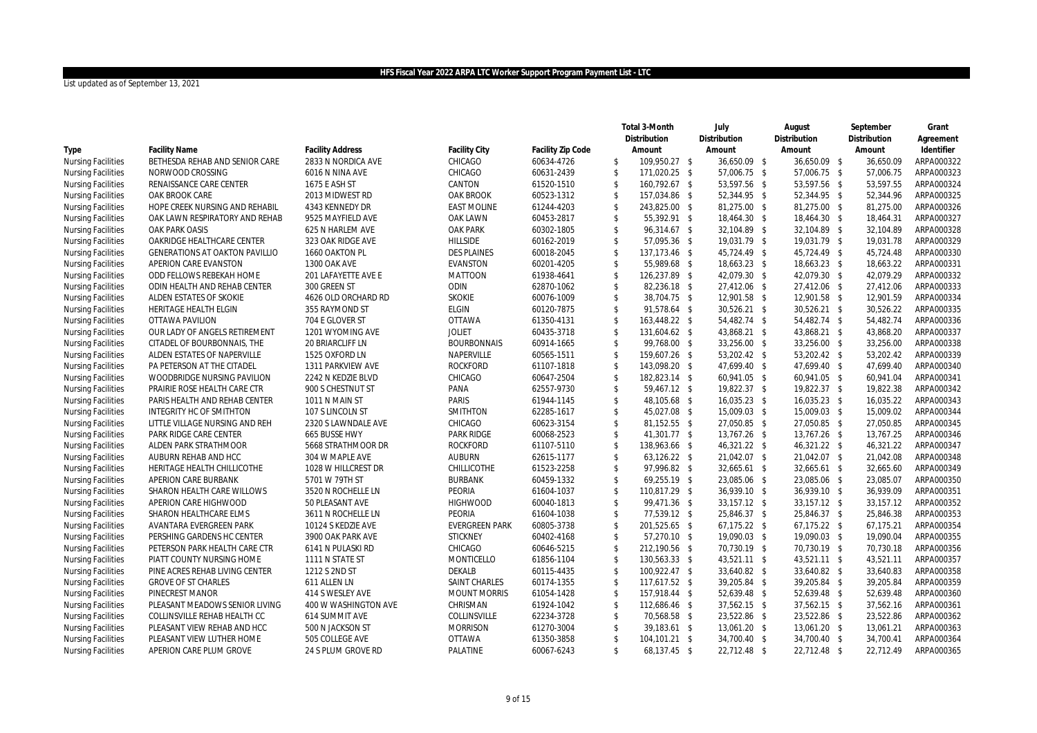|                           |                                       |                         |                       |                   |                         | Total 3-Month | July         | August         | September    | Grant      |
|---------------------------|---------------------------------------|-------------------------|-----------------------|-------------------|-------------------------|---------------|--------------|----------------|--------------|------------|
|                           |                                       |                         |                       |                   |                         | Distribution  | Distribution | Distribution   | Distribution | Agreement  |
| Type                      | <b>Facility Name</b>                  | <b>Facility Address</b> | <b>Facility City</b>  | Facility Zip Code |                         | Amount        | Amount       | Amount         | Amount       | Identifier |
| <b>Nursing Facilities</b> | BETHESDA REHAB AND SENIOR CARE        | 2833 N NORDICA AVE      | CHICAGO               | 60634-4726        | \$                      | 109,950.27 \$ | 36,650.09 \$ | 36,650.09 \$   | 36,650.09    | ARPA000322 |
| <b>Nursing Facilities</b> | NORWOOD CROSSING                      | 6016 N NINA AVE         | CHICAGO               | 60631-2439        | \$                      | 171,020.25 \$ | 57,006.75 \$ | 57,006.75 \$   | 57,006.75    | ARPA000323 |
| <b>Nursing Facilities</b> | RENAISSANCE CARE CENTER               | 1675 E ASH ST           | CANTON                | 61520-1510        | \$                      | 160,792.67 \$ | 53,597.56 \$ | 53,597.56 \$   | 53,597.55    | ARPA000324 |
| <b>Nursing Facilities</b> | OAK BROOK CARE                        | 2013 MIDWEST RD         | OAK BROOK             | 60523-1312        | \$                      | 157,034.86 \$ | 52,344.95 \$ | 52,344.95 \$   | 52,344.96    | ARPA000325 |
| <b>Nursing Facilities</b> | HOPE CREEK NURSING AND REHABIL        | 4343 KENNEDY DR         | <b>EAST MOLINE</b>    | 61244-4203        | $\mathfrak{S}$          | 243,825.00 \$ | 81,275.00 \$ | 81,275.00 \$   | 81,275.00    | ARPA000326 |
| <b>Nursing Facilities</b> | OAK LAWN RESPIRATORY AND REHAB        | 9525 MAYFIELD AVE       | OAK LAWN              | 60453-2817        | $\mathfrak{S}$          | 55,392.91 \$  | 18,464.30 \$ | 18,464.30 \$   | 18,464.31    | ARPA000327 |
| <b>Nursing Facilities</b> | <b>OAK PARK OASIS</b>                 | 625 N HARLEM AVE        | OAK PARK              | 60302-1805        | $\mathfrak{S}$          | 96,314.67 \$  | 32,104.89 \$ | 32,104.89 \$   | 32,104.89    | ARPA000328 |
| <b>Nursing Facilities</b> | OAKRIDGE HEALTHCARE CENTER            | 323 OAK RIDGE AVE       | HILLSIDE              | 60162-2019        | $\mathfrak{S}$          | 57,095.36 \$  | 19,031.79 \$ | 19,031.79 \$   | 19,031.78    | ARPA000329 |
| <b>Nursing Facilities</b> | <b>GENERATIONS AT OAKTON PAVILLIO</b> | 1660 OAKTON PL          | <b>DES PLAINES</b>    | 60018-2045        | $\mathfrak{S}$          | 137,173.46 \$ | 45,724.49 \$ | 45,724.49 \$   | 45,724.48    | ARPA000330 |
| <b>Nursing Facilities</b> | APERION CARE EVANSTON                 | 1300 OAK AVE            | <b>EVANSTON</b>       | 60201-4205        | $\mathfrak{S}$          | 55,989.68 \$  | 18,663.23 \$ | 18,663.23 \$   | 18,663.22    | ARPA000331 |
| <b>Nursing Facilities</b> | ODD FELLOWS REBEKAH HOME              | 201 LAFAYETTE AVE E     | <b>MATTOON</b>        | 61938-4641        | $\mathfrak{S}$          | 126,237.89 \$ | 42,079.30 \$ | 42,079.30 \$   | 42,079.29    | ARPA000332 |
| <b>Nursing Facilities</b> | ODIN HEALTH AND REHAB CENTER          | 300 GREEN ST            | ODIN                  | 62870-1062        | $\mathfrak{S}$          | 82,236.18 \$  | 27,412.06 \$ | 27,412.06 \$   | 27,412.06    | ARPA000333 |
| <b>Nursing Facilities</b> | ALDEN ESTATES OF SKOKIE               | 4626 OLD ORCHARD RD     | <b>SKOKIE</b>         | 60076-1009        | $\mathfrak{S}$          | 38,704.75 \$  | 12,901.58 \$ | 12,901.58 \$   | 12,901.59    | ARPA000334 |
| <b>Nursing Facilities</b> | HERITAGE HEALTH ELGIN                 | 355 RAYMOND ST          | <b>ELGIN</b>          | 60120-7875        | \$                      | 91,578.64 \$  | 30,526.21 \$ | 30,526.21 \$   | 30,526.22    | ARPA000335 |
| <b>Nursing Facilities</b> | OTTAWA PAVILION                       | 704 E GLOVER ST         | <b>OTTAWA</b>         | 61350-4131        | $\mathfrak{S}$          | 163,448.22 \$ | 54,482.74 \$ | 54,482.74 \$   | 54,482.74    | ARPA000336 |
| <b>Nursing Facilities</b> | OUR LADY OF ANGELS RETIREMENT         | 1201 WYOMING AVE        | <b>JOLIET</b>         | 60435-3718        | $\mathfrak{S}$          | 131,604.62 \$ | 43,868.21 \$ | 43,868.21 \$   | 43,868.20    | ARPA000337 |
| <b>Nursing Facilities</b> | CITADEL OF BOURBONNAIS, THE           | 20 BRIARCLIFF LN        | <b>BOURBONNAIS</b>    | 60914-1665        | $\mathfrak{S}$          | 99,768.00 \$  | 33,256.00 \$ | 33,256.00 \$   | 33,256.00    | ARPA000338 |
| <b>Nursing Facilities</b> | ALDEN ESTATES OF NAPERVILLE           | 1525 OXFORD LN          | NAPERVILLE            | 60565-1511        | $\mathfrak{S}$          | 159,607.26 \$ | 53,202.42 \$ | 53,202.42 \$   | 53,202.42    | ARPA000339 |
| <b>Nursing Facilities</b> | PA PETERSON AT THE CITADEL            | 1311 PARKVIEW AVE       | <b>ROCKFORD</b>       | 61107-1818        | \$                      | 143,098.20 \$ | 47,699.40 \$ | 47,699.40 \$   | 47,699.40    | ARPA000340 |
| <b>Nursing Facilities</b> | WOODBRIDGE NURSING PAVILION           | 2242 N KEDZIE BLVD      | CHICAGO               | 60647-2504        | $\mathfrak{S}$          | 182,823.14 \$ | 60,941.05 \$ | 60,941.05 \$   | 60,941.04    | ARPA000341 |
| <b>Nursing Facilities</b> | PRAIRIE ROSE HEALTH CARE CTR          | 900 S CHESTNUT ST       | PANA                  | 62557-9730        | $\mathfrak{S}$          | 59,467.12 \$  | 19,822.37 \$ | 19,822.37 \$   | 19,822.38    | ARPA000342 |
| <b>Nursing Facilities</b> | PARIS HEALTH AND REHAB CENTER         | 1011 N MAIN ST          | <b>PARIS</b>          | 61944-1145        | $\mathfrak{S}$          | 48,105.68 \$  | 16,035.23 \$ | 16,035.23 \$   | 16,035.22    | ARPA000343 |
| <b>Nursing Facilities</b> | INTEGRITY HC OF SMITHTON              | 107 S LINCOLN ST        | <b>SMITHTON</b>       | 62285-1617        | $\mathfrak{S}$          | 45,027.08 \$  | 15,009.03 \$ | 15,009.03 \$   | 15,009.02    | ARPA000344 |
| <b>Nursing Facilities</b> | LITTLE VILLAGE NURSING AND REH        | 2320 S LAWNDALE AVE     | CHICAGO               | 60623-3154        | \$                      | 81,152.55 \$  | 27,050.85 \$ | 27,050.85 \$   | 27.050.85    | ARPA000345 |
| <b>Nursing Facilities</b> | PARK RIDGE CARE CENTER                | 665 BUSSE HWY           | <b>PARK RIDGE</b>     | 60068-2523        | $\mathbf{\hat{S}}$      | 41,301.77 \$  | 13,767.26 \$ | 13,767.26 \$   | 13,767.25    | ARPA000346 |
| <b>Nursing Facilities</b> | ALDEN PARK STRATHMOOR                 | 5668 STRATHMOOR DR      | <b>ROCKFORD</b>       | 61107-5110        | $\mathfrak{S}$          | 138,963.66 \$ | 46,321.22 \$ | 46,321.22 \$   | 46,321.22    | ARPA000347 |
| <b>Nursing Facilities</b> | AUBURN REHAB AND HCC                  | 304 W MAPLE AVE         | <b>AUBURN</b>         | 62615-1177        | $\mathfrak{S}$          | 63,126.22 \$  | 21,042.07 \$ | 21,042.07 \$   | 21,042.08    | ARPA000348 |
| <b>Nursing Facilities</b> | HERITAGE HEALTH CHILLICOTHE           | 1028 W HILLCREST DR     | <b>CHILLICOTHE</b>    | 61523-2258        | $\mathfrak{S}$          | 97,996.82 \$  | 32,665.61 \$ | 32,665.61 \$   | 32,665.60    | ARPA000349 |
| <b>Nursing Facilities</b> | APERION CARE BURBANK                  | 5701 W 79TH ST          | <b>BURBANK</b>        | 60459-1332        | \$                      | 69,255.19 \$  | 23,085.06 \$ | 23,085.06 \$   | 23,085.07    | ARPA000350 |
| <b>Nursing Facilities</b> | SHARON HEALTH CARE WILLOWS            | 3520 N ROCHELLE LN      | PEORIA                | 61604-1037        | $\mathfrak{S}$          | 110,817.29 \$ | 36,939.10 \$ | 36,939.10 \$   | 36.939.09    | ARPA000351 |
| <b>Nursing Facilities</b> | APERION CARE HIGHWOOD                 | 50 PLEASANT AVE         | <b>HIGHWOOD</b>       | 60040-1813        | $\mathfrak{S}$          | 99,471.36 \$  | 33,157.12 \$ | 33, 157. 12 \$ | 33,157.12    | ARPA000352 |
| <b>Nursing Facilities</b> | SHARON HEALTHCARE ELMS                | 3611 N ROCHELLE LN      | PEORIA                | 61604-1038        | $\sqrt[6]{2}$           | 77,539.12 \$  | 25,846.37 \$ | 25,846.37 \$   | 25,846.38    | ARPA000353 |
| <b>Nursing Facilities</b> | AVANTARA EVERGREEN PARK               | 10124 S KEDZIE AVE      | <b>EVERGREEN PARK</b> | 60805-3738        | $\mathfrak{S}$          | 201,525.65 \$ | 67,175.22 \$ | $67,175.22$ \$ | 67.175.21    | ARPA000354 |
| <b>Nursing Facilities</b> | PERSHING GARDENS HC CENTER            | 3900 OAK PARK AVE       | <b>STICKNEY</b>       | 60402-4168        | \$                      | 57,270.10 \$  | 19,090.03 \$ | 19,090.03 \$   | 19,090.04    | ARPA000355 |
| <b>Nursing Facilities</b> | PETERSON PARK HEALTH CARE CTR         | 6141 N PULASKI RD       | CHICAGO               | 60646-5215        | $\sqrt[6]{2}$           | 212,190.56 \$ | 70,730.19 \$ | 70,730.19 \$   | 70,730.18    | ARPA000356 |
| <b>Nursing Facilities</b> | PIATT COUNTY NURSING HOME             | 1111 N STATE ST         | MONTICELLO            | 61856-1104        | $\sqrt[6]{2}$           | 130,563.33 \$ | 43,521.11 \$ | 43,521.11 \$   | 43,521.11    | ARPA000357 |
| <b>Nursing Facilities</b> | PINE ACRES REHAB LIVING CENTER        | 1212 S 2ND ST           | DEKALB                | 60115-4435        | \$                      | 100,922.47 \$ | 33,640.82 \$ | 33,640.82 \$   | 33,640.83    | ARPA000358 |
| <b>Nursing Facilities</b> | <b>GROVE OF ST CHARLES</b>            | 611 ALLEN LN            | SAINT CHARLES         | 60174-1355        | $\sqrt[6]{2}$           | 117,617.52 \$ | 39,205.84 \$ | 39,205.84 \$   | 39,205.84    | ARPA000359 |
| <b>Nursing Facilities</b> | PINECREST MANOR                       | 414 S WESLEY AVE        | <b>MOUNT MORRIS</b>   | 61054-1428        | \$                      | 157,918.44 \$ | 52,639.48 \$ | 52,639.48 \$   | 52,639.48    | ARPA000360 |
| <b>Nursing Facilities</b> | PLEASANT MEADOWS SENIOR LIVING        | 400 W WASHINGTON AVE    | CHRISMAN              | 61924-1042        | $\sqrt[6]{\frac{1}{2}}$ | 112,686.46 \$ | 37,562.15 \$ | 37,562.15 \$   | 37,562.16    | ARPA000361 |
| <b>Nursing Facilities</b> | COLLINSVILLE REHAB HEALTH CC          | 614 SUMMIT AVE          | COLLINSVILLE          | 62234-3728        | $\mathfrak{S}$          | 70,568.58 \$  | 23,522.86 \$ | 23,522.86 \$   | 23,522.86    | ARPA000362 |
| <b>Nursing Facilities</b> | PLEASANT VIEW REHAB AND HCC           | 500 N JACKSON ST        | <b>MORRISON</b>       | 61270-3004        | $\sqrt[6]{\frac{1}{2}}$ | 39,183.61 \$  | 13,061.20 \$ | 13,061.20 \$   | 13,061.21    | ARPA000363 |
| <b>Nursing Facilities</b> | PLEASANT VIEW LUTHER HOME             | 505 COLLEGE AVE         | <b>OTTAWA</b>         | 61350-3858        | $\mathfrak{S}$          | 104,101.21 \$ | 34,700.40 \$ | 34,700.40 \$   | 34,700.41    | ARPA000364 |
| <b>Nursing Facilities</b> | APERION CARE PLUM GROVE               | 24 S PLUM GROVE RD      | PALATINE              | 60067-6243        | $\mathbb{S}$            | 68,137.45 \$  | 22,712.48 \$ | 22,712.48 \$   | 22,712.49    | ARPA000365 |
|                           |                                       |                         |                       |                   |                         |               |              |                |              |            |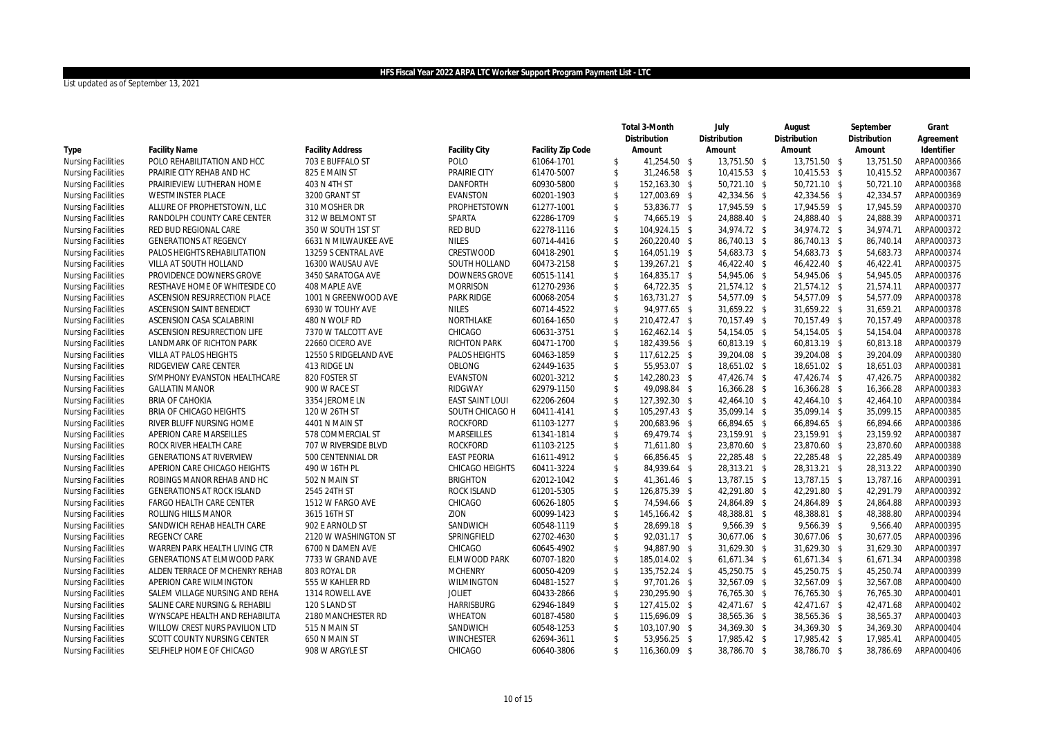|                           |                                    |                         |                        |                   |                    | Total 3-Month | July         | August         | September    | Grant      |
|---------------------------|------------------------------------|-------------------------|------------------------|-------------------|--------------------|---------------|--------------|----------------|--------------|------------|
|                           |                                    |                         |                        |                   |                    | Distribution  | Distribution | Distribution   | Distribution | Agreement  |
| Type                      | <b>Facility Name</b>               | <b>Facility Address</b> | <b>Facility City</b>   | Facility Zip Code |                    | Amount        | Amount       | Amount         | Amount       | Identifier |
| <b>Nursing Facilities</b> | POLO REHABILITATION AND HCC        | 703 E BUFFALO ST        | POLO                   | 61064-1701        | \$                 | 41,254.50 \$  | 13,751.50 \$ | 13,751.50 \$   | 13,751.50    | ARPA000366 |
| <b>Nursing Facilities</b> | PRAIRIE CITY REHAB AND HC          | 825 E MAIN ST           | PRAIRIE CITY           | 61470-5007        | \$                 | 31,246.58 \$  | 10,415.53 \$ | 10,415.53 \$   | 10,415.52    | ARPA000367 |
| <b>Nursing Facilities</b> | PRAIRIEVIEW LUTHERAN HOME          | 403 N 4TH ST            | <b>DANFORTH</b>        | 60930-5800        | \$                 | 152,163.30 \$ | 50,721.10 \$ | 50,721.10 \$   | 50,721.10    | ARPA000368 |
| <b>Nursing Facilities</b> | <b>WESTMINSTER PLACE</b>           | 3200 GRANT ST           | <b>EVANSTON</b>        | 60201-1903        | \$                 | 127,003.69 \$ | 42,334.56 \$ | 42,334.56 \$   | 42,334.57    | ARPA000369 |
| <b>Nursing Facilities</b> | ALLURE OF PROPHETSTOWN, LLC        | 310 MOSHER DR           | PROPHETSTOWN           | 61277-1001        | \$                 | 53,836.77 \$  | 17,945.59 \$ | 17,945.59 \$   | 17,945.59    | ARPA000370 |
| <b>Nursing Facilities</b> | RANDOLPH COUNTY CARE CENTER        | 312 W BELMONT ST        | SPARTA                 | 62286-1709        | \$                 | 74,665.19 \$  | 24,888.40 \$ | 24,888.40 \$   | 24,888.39    | ARPA000371 |
| <b>Nursing Facilities</b> | RED BUD REGIONAL CARE              | 350 W SOUTH 1ST ST      | RED BUD                | 62278-1116        | \$                 | 104,924.15 \$ | 34,974.72 \$ | 34,974.72 \$   | 34,974.71    | ARPA000372 |
| <b>Nursing Facilities</b> | <b>GENERATIONS AT REGENCY</b>      | 6631 N MILWAUKEE AVE    | <b>NILES</b>           | 60714-4416        | \$                 | 260,220.40 \$ | 86,740.13 \$ | 86,740.13 \$   | 86,740.14    | ARPA000373 |
| <b>Nursing Facilities</b> | PALOS HEIGHTS REHABILITATION       | 13259 S CENTRAL AVE     | CRESTWOOD              | 60418-2901        | \$                 | 164,051.19 \$ | 54,683.73 \$ | 54,683.73 \$   | 54,683.73    | ARPA000374 |
| <b>Nursing Facilities</b> | VILLA AT SOUTH HOLLAND             | 16300 WAUSAU AVE        | SOUTH HOLLAND          | 60473-2158        | $\mathbf{\hat{S}}$ | 139,267.21 \$ | 46,422.40 \$ | 46,422.40 \$   | 46,422.41    | ARPA000375 |
| <b>Nursing Facilities</b> | PROVIDENCE DOWNERS GROVE           | 3450 SARATOGA AVE       | <b>DOWNERS GROVE</b>   | 60515-1141        | \$                 | 164,835.17 \$ | 54,945.06 \$ | 54,945.06 \$   | 54,945.05    | ARPA000376 |
| <b>Nursing Facilities</b> | RESTHAVE HOME OF WHITESIDE CO      | 408 MAPLE AVE           | <b>MORRISON</b>        | 61270-2936        | \$                 | 64,722.35 \$  | 21,574.12 \$ | 21,574.12 \$   | 21,574.11    | ARPA000377 |
| <b>Nursing Facilities</b> | ASCENSION RESURRECTION PLACE       | 1001 N GREENWOOD AVE    | <b>PARK RIDGE</b>      | 60068-2054        | \$                 | 163,731.27 \$ | 54,577.09 \$ | 54,577.09 \$   | 54,577.09    | ARPA000378 |
| <b>Nursing Facilities</b> | ASCENSION SAINT BENEDICT           | 6930 W TOUHY AVE        | <b>NILES</b>           | 60714-4522        | \$                 | 94,977.65 \$  | 31,659.22 \$ | 31,659.22 \$   | 31,659.21    | ARPA000378 |
| <b>Nursing Facilities</b> | ASCENSION CASA SCALABRINI          | 480 N WOLF RD           | NORTHLAKE              | 60164-1650        | \$                 | 210,472.47 \$ | 70,157.49 \$ | 70,157.49 \$   | 70,157.49    | ARPA000378 |
| <b>Nursing Facilities</b> | ASCENSION RESURRECTION LIFE        | 7370 W TALCOTT AVE      | CHICAGO                | 60631-3751        | \$                 | 162,462.14 \$ | 54,154.05 \$ | 54, 154. 05 \$ | 54,154.04    | ARPA000378 |
| <b>Nursing Facilities</b> | LANDMARK OF RICHTON PARK           | 22660 CICERO AVE        | <b>RICHTON PARK</b>    | 60471-1700        | \$                 | 182,439.56 \$ | 60,813.19 \$ | 60,813.19 \$   | 60,813.18    | ARPA000379 |
| <b>Nursing Facilities</b> | VILLA AT PALOS HEIGHTS             | 12550 S RIDGELAND AVE   | PALOS HEIGHTS          | 60463-1859        | \$                 | 117,612.25 \$ | 39,204.08 \$ | 39,204.08 \$   | 39,204.09    | ARPA000380 |
| <b>Nursing Facilities</b> | RIDGEVIEW CARE CENTER              | 413 RIDGE LN            | OBLONG                 | 62449-1635        | \$                 | 55,953.07 \$  | 18,651.02 \$ | 18,651.02 \$   | 18,651.03    | ARPA000381 |
| <b>Nursing Facilities</b> | SYMPHONY EVANSTON HEALTHCARE       | 820 FOSTER ST           | <b>EVANSTON</b>        | 60201-3212        | $\mathbf{\hat{S}}$ | 142,280.23 \$ | 47,426.74 \$ | 47,426.74 \$   | 47,426.75    | ARPA000382 |
| <b>Nursing Facilities</b> | <b>GALLATIN MANOR</b>              | 900 W RACE ST           | RIDGWAY                | 62979-1150        | \$                 | 49,098.84 \$  | 16,366.28 \$ | 16,366.28 \$   | 16,366.28    | ARPA000383 |
| <b>Nursing Facilities</b> | <b>BRIA OF CAHOKIA</b>             | 3354 JEROME LN          | <b>EAST SAINT LOUI</b> | 62206-2604        | \$                 | 127,392.30 \$ | 42,464.10 \$ | 42,464.10 \$   | 42,464.10    | ARPA000384 |
| <b>Nursing Facilities</b> | BRIA OF CHICAGO HEIGHTS            | 120 W 26TH ST           | SOUTH CHICAGO H        | 60411-4141        | \$                 | 105,297.43 \$ | 35,099.14 \$ | 35,099.14 \$   | 35,099.15    | ARPA000385 |
| <b>Nursing Facilities</b> | RIVER BLUFF NURSING HOME           | 4401 N MAIN ST          | <b>ROCKFORD</b>        | 61103-1277        | \$                 | 200,683.96 \$ | 66,894.65 \$ | 66,894.65 \$   | 66,894.66    | ARPA000386 |
| <b>Nursing Facilities</b> | APERION CARE MARSEILLES            | 578 COMMERCIAL ST       | MARSEILLES             | 61341-1814        | \$                 | 69,479.74 \$  | 23,159.91 \$ | 23,159.91 \$   | 23,159.92    | ARPA000387 |
| <b>Nursing Facilities</b> | ROCK RIVER HEALTH CARE             | 707 W RIVERSIDE BLVD    | <b>ROCKFORD</b>        | 61103-2125        | \$                 | 71,611.80 \$  | 23,870.60 \$ | 23,870.60 \$   | 23,870.60    | ARPA000388 |
| <b>Nursing Facilities</b> | <b>GENERATIONS AT RIVERVIEW</b>    | 500 CENTENNIAL DR       | <b>EAST PEORIA</b>     | 61611-4912        | \$                 | 66,856.45 \$  | 22,285.48 \$ | 22,285.48 \$   | 22,285.49    | ARPA000389 |
| <b>Nursing Facilities</b> | APERION CARE CHICAGO HEIGHTS       | 490 W 16TH PL           | <b>CHICAGO HEIGHTS</b> | 60411-3224        | \$                 | 84,939.64 \$  | 28,313.21 \$ | 28,313.21 \$   | 28,313.22    | ARPA000390 |
| <b>Nursing Facilities</b> | ROBINGS MANOR REHAB AND HC         | 502 N MAIN ST           | <b>BRIGHTON</b>        | 62012-1042        | \$                 | 41,361.46 \$  | 13,787.15 \$ | 13,787.15 \$   | 13,787.16    | ARPA000391 |
| <b>Nursing Facilities</b> | GENERATIONS AT ROCK ISLAND         | 2545 24TH ST            | ROCK ISLAND            | 61201-5305        | \$                 | 126,875.39 \$ | 42,291.80 \$ | 42,291.80 \$   | 42,291.79    | ARPA000392 |
| <b>Nursing Facilities</b> | FARGO HEALTH CARE CENTER           | 1512 W FARGO AVE        | CHICAGO                | 60626-1805        | \$                 | 74,594.66 \$  | 24,864.89 \$ | 24,864.89 \$   | 24,864.88    | ARPA000393 |
| <b>Nursing Facilities</b> | ROLLING HILLS MANOR                | 3615 16TH ST            | ZION                   | 60099-1423        | \$                 | 145,166.42 \$ | 48,388.81 \$ | 48,388.81 \$   | 48,388.80    | ARPA000394 |
| <b>Nursing Facilities</b> | SANDWICH REHAB HEALTH CARE         | 902 E ARNOLD ST         | SANDWICH               | 60548-1119        | \$                 | 28.699.18 \$  | 9,566.39 \$  | 9.566.39 \$    | 9.566.40     | ARPA000395 |
| <b>Nursing Facilities</b> | <b>REGENCY CARE</b>                | 2120 W WASHINGTON ST    | SPRINGFIELD            | 62702-4630        | \$                 | 92,031.17 \$  | 30,677.06 \$ | 30,677.06 \$   | 30,677.05    | ARPA000396 |
| <b>Nursing Facilities</b> | WARREN PARK HEALTH LIVING CTR      | 6700 N DAMEN AVE        | CHICAGO                | 60645-4902        | \$                 | 94,887.90 \$  | 31,629.30 \$ | 31,629.30 \$   | 31,629.30    | ARPA000397 |
| <b>Nursing Facilities</b> | <b>GENERATIONS AT ELMWOOD PARK</b> | 7733 W GRAND AVE        | ELMWOOD PARK           | 60707-1820        | \$                 | 185,014.02 \$ | 61,671.34 \$ | 61,671.34 \$   | 61,671.34    | ARPA000398 |
| <b>Nursing Facilities</b> | ALDEN TERRACE OF MCHENRY REHAB     | 803 ROYAL DR            | <b>MCHENRY</b>         | 60050-4209        | \$                 | 135,752.24 \$ | 45,250.75 \$ | 45,250.75 \$   | 45,250.74    | ARPA000399 |
| <b>Nursing Facilities</b> | APERION CARE WILMINGTON            | 555 W KAHLER RD         | WILMINGTON             | 60481-1527        | \$                 | 97,701.26 \$  | 32,567.09 \$ | 32,567.09 \$   | 32,567.08    | ARPA000400 |
| <b>Nursing Facilities</b> | SALEM VILLAGE NURSING AND REHA     | 1314 ROWELL AVE         | <b>JOLIET</b>          | 60433-2866        | \$                 | 230,295.90 \$ | 76,765.30 \$ | 76,765.30 \$   | 76,765.30    | ARPA000401 |
| <b>Nursing Facilities</b> | SALINE CARE NURSING & REHABILI     | 120 S LAND ST           | <b>HARRISBURG</b>      | 62946-1849        | \$                 | 127,415.02 \$ | 42,471.67 \$ | 42,471.67 \$   | 42,471.68    | ARPA000402 |
| <b>Nursing Facilities</b> | WYNSCAPE HEALTH AND REHABILITA     | 2180 MANCHESTER RD      | <b>WHEATON</b>         | 60187-4580        | \$                 | 115,696.09 \$ | 38,565.36 \$ | 38,565.36 \$   | 38,565.37    | ARPA000403 |
| <b>Nursing Facilities</b> | WILLOW CREST NURS PAVILION LTD     | 515 N MAIN ST           | SANDWICH               | 60548-1253        | \$                 | 103,107.90 \$ | 34,369.30 \$ | 34,369.30 \$   | 34,369.30    | ARPA000404 |
| <b>Nursing Facilities</b> | SCOTT COUNTY NURSING CENTER        | 650 N MAIN ST           | <b>WINCHESTER</b>      | 62694-3611        | \$                 | 53,956.25 \$  | 17,985.42 \$ | 17,985.42 \$   | 17,985.41    | ARPA000405 |
| <b>Nursing Facilities</b> | SELFHELP HOME OF CHICAGO           | 908 W ARGYLE ST         | CHICAGO                | 60640-3806        | $\mathbb{S}$       | 116,360.09 \$ | 38,786.70 \$ | 38,786.70 \$   | 38,786.69    | ARPA000406 |
|                           |                                    |                         |                        |                   |                    |               |              |                |              |            |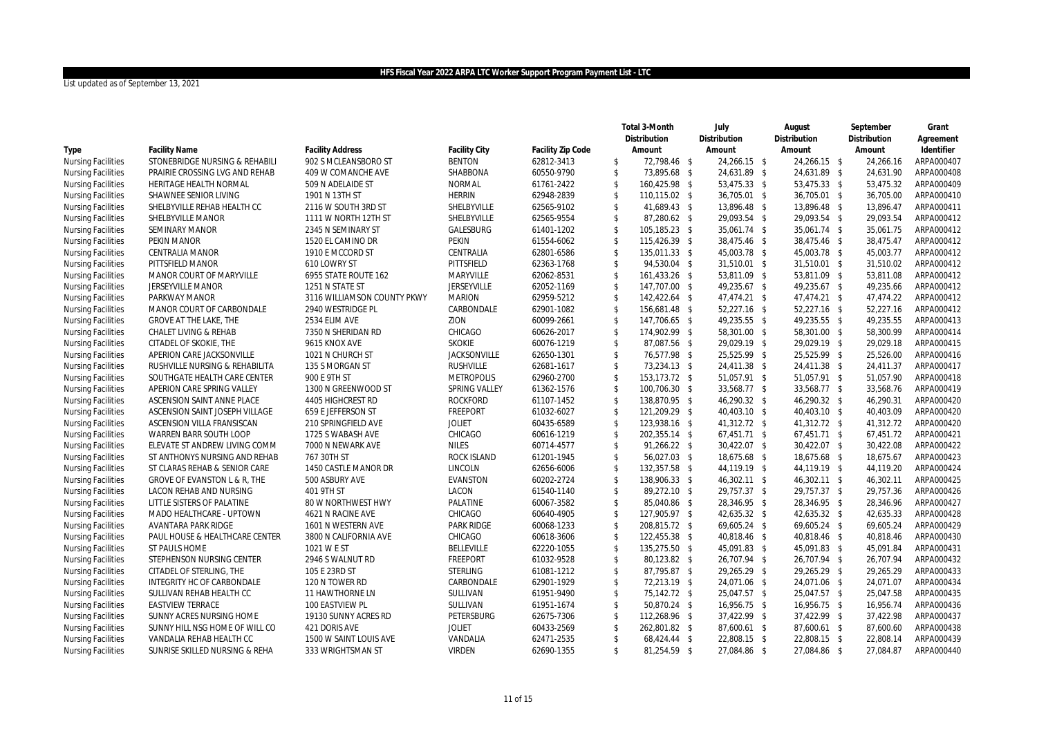|                           |                                |                             |                     |                   |                    | Total 3-Month | July         | August         | September    | Grant      |
|---------------------------|--------------------------------|-----------------------------|---------------------|-------------------|--------------------|---------------|--------------|----------------|--------------|------------|
|                           |                                |                             |                     |                   |                    | Distribution  | Distribution | Distribution   | Distribution | Agreement  |
| Type                      | <b>Facility Name</b>           | <b>Facility Address</b>     | Facility City       | Facility Zip Code |                    | Amount        | Amount       | Amount         | Amount       | Identifier |
| <b>Nursing Facilities</b> | STONEBRIDGE NURSING & REHABILI | 902 S MCLEANSBORO ST        | <b>BENTON</b>       | 62812-3413        | \$                 | 72,798.46 \$  | 24,266.15 \$ | 24,266.15 \$   | 24,266.16    | ARPA000407 |
| <b>Nursing Facilities</b> | PRAIRIE CROSSING LVG AND REHAB | 409 W COMANCHE AVE          | SHABBONA            | 60550-9790        | $\mathsf{\$}$      | 73,895.68 \$  | 24,631.89 \$ | 24,631.89 \$   | 24.631.90    | ARPA000408 |
| <b>Nursing Facilities</b> | HERITAGE HEALTH NORMAL         | 509 N ADELAIDE ST           | <b>NORMAL</b>       | 61761-2422        | $\mathsf{\$}$      | 160,425.98 \$ | 53,475.33 \$ | 53,475.33 \$   | 53,475.32    | ARPA000409 |
| <b>Nursing Facilities</b> | SHAWNEE SENIOR LIVING          | 1901 N 13TH ST              | <b>HERRIN</b>       | 62948-2839        | $\sqrt[6]{3}$      | 110,115.02 \$ | 36,705.01 \$ | 36,705.01 \$   | 36,705.00    | ARPA000410 |
| <b>Nursing Facilities</b> | SHELBYVILLE REHAB HEALTH CC    | 2116 W SOUTH 3RD ST         | SHELBYVILLE         | 62565-9102        | $\mathsf{\$}$      | 41,689.43 \$  | 13,896.48 \$ | 13,896.48 \$   | 13,896.47    | ARPA000411 |
| <b>Nursing Facilities</b> | SHELBYVILLE MANOR              | 1111 W NORTH 12TH ST        | SHELBYVILLE         | 62565-9554        | $\sqrt[6]{3}$      | 87,280.62 \$  | 29,093.54 \$ | 29,093.54 \$   | 29,093.54    | ARPA000412 |
| <b>Nursing Facilities</b> | SEMINARY MANOR                 | 2345 N SEMINARY ST          | GALESBURG           | 61401-1202        | $\mathsf{\$}$      | 105,185.23 \$ | 35,061.74 \$ | 35,061.74 \$   | 35.061.75    | ARPA000412 |
| <b>Nursing Facilities</b> | PEKIN MANOR                    | 1520 EL CAMINO DR           | <b>PEKIN</b>        | 61554-6062        | $\mathcal{S}$      | 115,426.39 \$ | 38,475.46 \$ | 38,475.46 \$   | 38,475.47    | ARPA000412 |
| <b>Nursing Facilities</b> | CENTRALIA MANOR                | 1910 E MCCORD ST            | CENTRALIA           | 62801-6586        | $\sqrt[6]{3}$      | 135,011.33 \$ | 45,003.78 \$ | 45,003.78 \$   | 45,003.77    | ARPA000412 |
| <b>Nursing Facilities</b> | PITTSFIELD MANOR               | 610 LOWRY ST                | PITTSFIELD          | 62363-1768        | $\mathsf{\$}$      | 94,530.04 \$  | 31,510.01 \$ | 31,510.01 \$   | 31,510.02    | ARPA000412 |
| <b>Nursing Facilities</b> | MANOR COURT OF MARYVILLE       | 6955 STATE ROUTE 162        | MARYVILLE           | 62062-8531        | $\sqrt[6]{3}$      | 161,433.26 \$ | 53,811.09 \$ | 53,811.09 \$   | 53,811.08    | ARPA000412 |
| <b>Nursing Facilities</b> | <b>JERSEYVILLE MANOR</b>       | 1251 N STATE ST             | <b>JERSEYVILLE</b>  | 62052-1169        | $\mathsf{\$}$      | 147,707.00 \$ | 49,235.67 \$ | 49,235.67 \$   | 49,235.66    | ARPA000412 |
| <b>Nursing Facilities</b> | PARKWAY MANOR                  | 3116 WILLIAMSON COUNTY PKWY | <b>MARION</b>       | 62959-5212        | $\mathcal{S}$      | 142,422.64 \$ | 47,474.21 \$ | 47,474.21 \$   | 47,474.22    | ARPA000412 |
| <b>Nursing Facilities</b> | MANOR COURT OF CARBONDALE      | 2940 WESTRIDGE PL           | CARBONDALE          | 62901-1082        | $\sqrt[6]{3}$      | 156,681.48 \$ | 52,227.16 \$ | 52,227.16 \$   | 52,227.16    | ARPA000412 |
| <b>Nursing Facilities</b> | <b>GROVE AT THE LAKE, THE</b>  | 2534 ELIM AVE               | ZION                | 60099-2661        | $\mathsf{\$}$      | 147,706.65 \$ | 49,235.55 \$ | 49,235.55 \$   | 49,235.55    | ARPA000413 |
| <b>Nursing Facilities</b> | CHALET LIVING & REHAB          | 7350 N SHERIDAN RD          | CHICAGO             | 60626-2017        | $\mathsf{\$}$      | 174,902.99 \$ | 58,301.00 \$ | 58,301.00 \$   | 58,300.99    | ARPA000414 |
| <b>Nursing Facilities</b> | CITADEL OF SKOKIE, THE         | 9615 KNOX AVE               | <b>SKOKIE</b>       | 60076-1219        | $\mathsf{\$}$      | 87,087.56 \$  | 29,029.19 \$ | 29,029.19 \$   | 29,029.18    | ARPA000415 |
| <b>Nursing Facilities</b> | APERION CARE JACKSONVILLE      | 1021 N CHURCH ST            | <b>JACKSONVILLE</b> | 62650-1301        | $\mathfrak{S}$     | 76,577.98 \$  | 25,525.99 \$ | 25,525.99 \$   | 25,526.00    | ARPA000416 |
| <b>Nursing Facilities</b> | RUSHVILLE NURSING & REHABILITA | 135 S MORGAN ST             | <b>RUSHVILLE</b>    | 62681-1617        | $\mathsf{\$}$      | 73,234.13 \$  | 24,411.38 \$ | 24,411.38 \$   | 24.411.37    | ARPA000417 |
| <b>Nursing Facilities</b> | SOUTHGATE HEALTH CARE CENTER   | 900 E 9TH ST                | <b>METROPOLIS</b>   | 62960-2700        | $\mathsf{\$}$      | 153,173.72 \$ | 51,057.91 \$ | 51,057.91 \$   | 51.057.90    | ARPA000418 |
| <b>Nursing Facilities</b> | APERION CARE SPRING VALLEY     | 1300 N GREENWOOD ST         | SPRING VALLEY       | 61362-1576        | $\mathcal{S}$      | 100,706.30 \$ | 33,568.77 \$ | 33,568.77 \$   | 33,568.76    | ARPA000419 |
| <b>Nursing Facilities</b> | ASCENSION SAINT ANNE PLACE     | 4405 HIGHCREST RD           | <b>ROCKFORD</b>     | 61107-1452        | $\mathsf{\$}$      | 138,870.95 \$ | 46,290.32 \$ | 46,290.32 \$   | 46.290.31    | ARPA000420 |
| <b>Nursing Facilities</b> | ASCENSION SAINT JOSEPH VILLAGE | 659 E JEFFERSON ST          | <b>FREEPORT</b>     | 61032-6027        | $\mathcal{S}$      | 121,209.29 \$ | 40,403.10 \$ | 40,403.10 \$   | 40,403.09    | ARPA000420 |
| <b>Nursing Facilities</b> | ASCENSION VILLA FRANSISCAN     | 210 SPRINGFIELD AVE         | <b>JOLIET</b>       | 60435-6589        | $\sqrt[6]{3}$      | 123,938.16 \$ | 41,312.72 \$ | 41,312.72 \$   | 41,312.72    | ARPA000420 |
| <b>Nursing Facilities</b> | WARREN BARR SOUTH LOOP         | 1725 S WABASH AVE           | CHICAGO             | 60616-1219        | $\mathsf{\$}$      | 202,355.14 \$ | 67,451.71 \$ | $67,451.71$ \$ | 67,451.72    | ARPA000421 |
| <b>Nursing Facilities</b> | ELEVATE ST ANDREW LIVING COMM  | 7000 N NEWARK AVE           | <b>NILES</b>        | 60714-4577        | $\mathfrak{S}$     | 91,266.22 \$  | 30,422.07 \$ | 30,422.07 \$   | 30,422.08    | ARPA000422 |
| <b>Nursing Facilities</b> | ST ANTHONYS NURSING AND REHAB  | 767 30TH ST                 | ROCK ISLAND         | 61201-1945        | $\mathfrak{S}$     | 56,027.03 \$  | 18,675.68 \$ | 18,675.68 \$   | 18.675.67    | ARPA000423 |
| <b>Nursing Facilities</b> | ST CLARAS REHAB & SENIOR CARE  | 1450 CASTLE MANOR DR        | LINCOLN             | 62656-6006        | $\mathcal{S}$      | 132,357.58 \$ | 44,119.19 \$ | 44,119.19 \$   | 44,119.20    | ARPA000424 |
| <b>Nursing Facilities</b> | GROVE OF EVANSTON L & R, THE   | 500 ASBURY AVE              | <b>EVANSTON</b>     | 60202-2724        | $\sqrt{2}$         | 138,906.33 \$ | 46,302.11 \$ | 46,302.11 \$   | 46,302.11    | ARPA000425 |
| <b>Nursing Facilities</b> | LACON REHAB AND NURSING        | 401 9TH ST                  | LACON               | 61540-1140        | $\mathbf{\hat{S}}$ | 89,272.10 \$  | 29,757.37 \$ | 29,757.37 \$   | 29.757.36    | ARPA000426 |
| <b>Nursing Facilities</b> | LITTLE SISTERS OF PALATINE     | 80 W NORTHWEST HWY          | PALATINE            | 60067-3582        | $\mathsf{\$}$      | 85,040.86 \$  | 28,346.95 \$ | 28,346.95 \$   | 28,346.96    | ARPA000427 |
| <b>Nursing Facilities</b> | MADO HEALTHCARE - UPTOWN       | 4621 N RACINE AVE           | CHICAGO             | 60640-4905        | $\mathfrak{S}$     | 127,905.97 \$ | 42,635.32 \$ | 42,635.32 \$   | 42,635.33    | ARPA000428 |
| <b>Nursing Facilities</b> | AVANTARA PARK RIDGE            | 1601 N WESTERN AVE          | <b>PARK RIDGE</b>   | 60068-1233        | $\sqrt{2}$         | 208,815.72 \$ | 69,605.24 \$ | 69,605.24 \$   | 69,605.24    | ARPA000429 |
| <b>Nursing Facilities</b> | PAUL HOUSE & HEALTHCARE CENTER | 3800 N CALIFORNIA AVE       | CHICAGO             | 60618-3606        | \$                 | 122,455.38 \$ | 40,818.46 \$ | 40,818.46 \$   | 40,818.46    | ARPA000430 |
| <b>Nursing Facilities</b> | ST PAULS HOME                  | 1021 W E ST                 | <b>BELLEVILLE</b>   | 62220-1055        | $\sqrt{2}$         | 135,275.50 \$ | 45,091.83 \$ | 45,091.83 \$   | 45,091.84    | ARPA000431 |
| <b>Nursing Facilities</b> | STEPHENSON NURSING CENTER      | 2946 S WALNUT RD            | <b>FREEPORT</b>     | 61032-9528        | $\sqrt[6]{2}$      | 80,123.82 \$  | 26,707.94 \$ | 26,707.94 \$   | 26,707.94    | ARPA000432 |
| <b>Nursing Facilities</b> | CITADEL OF STERLING, THE       | 105 E 23RD ST               | <b>STERLING</b>     | 61081-1212        | $\sqrt[6]{2}$      | 87,795.87 \$  | 29,265.29 \$ | 29,265.29 \$   | 29,265.29    | ARPA000433 |
| <b>Nursing Facilities</b> | INTEGRITY HC OF CARBONDALE     | 120 N TOWER RD              | CARBONDALE          | 62901-1929        | $\sqrt[6]{2}$      | 72,213.19 \$  | 24,071.06 \$ | 24,071.06 \$   | 24,071.07    | ARPA000434 |
| <b>Nursing Facilities</b> | SULLIVAN REHAB HEALTH CC       | 11 HAWTHORNE LN             | SULLIVAN            | 61951-9490        | $\sqrt{2}$         | 75,142.72 \$  | 25,047.57 \$ | 25,047.57 \$   | 25,047.58    | ARPA000435 |
| <b>Nursing Facilities</b> | <b>EASTVIEW TERRACE</b>        | 100 EASTVIEW PL             | SULLIVAN            | 61951-1674        | $\mathbf{\hat{S}}$ | 50,870.24 \$  | 16,956.75 \$ | 16,956.75 \$   | 16,956.74    | ARPA000436 |
| <b>Nursing Facilities</b> | SUNNY ACRES NURSING HOME       | 19130 SUNNY ACRES RD        | PETERSBURG          | 62675-7306        | $\sqrt{2}$         | 112,268.96 \$ | 37,422.99 \$ | 37,422.99 \$   | 37,422.98    | ARPA000437 |
| <b>Nursing Facilities</b> | SUNNY HILL NSG HOME OF WILL CO | 421 DORIS AVE               | <b>JOLIET</b>       | 60433-2569        | $\sqrt{2}$         | 262,801.82 \$ | 87,600.61 \$ | 87,600.61 \$   | 87,600.60    | ARPA000438 |
| <b>Nursing Facilities</b> | VANDALIA REHAB HEALTH CC       | 1500 W SAINT LOUIS AVE      | VANDALIA            | 62471-2535        | $\mathfrak{S}$     | 68,424.44 \$  | 22,808.15 \$ | 22,808.15 \$   | 22,808.14    | ARPA000439 |
| <b>Nursing Facilities</b> | SUNRISE SKILLED NURSING & REHA | 333 WRIGHTSMAN ST           | <b>VIRDEN</b>       | 62690-1355        | \$                 | 81,254.59 \$  | 27,084.86 \$ | 27,084.86 \$   | 27,084.87    | ARPA000440 |
|                           |                                |                             |                     |                   |                    |               |              |                |              |            |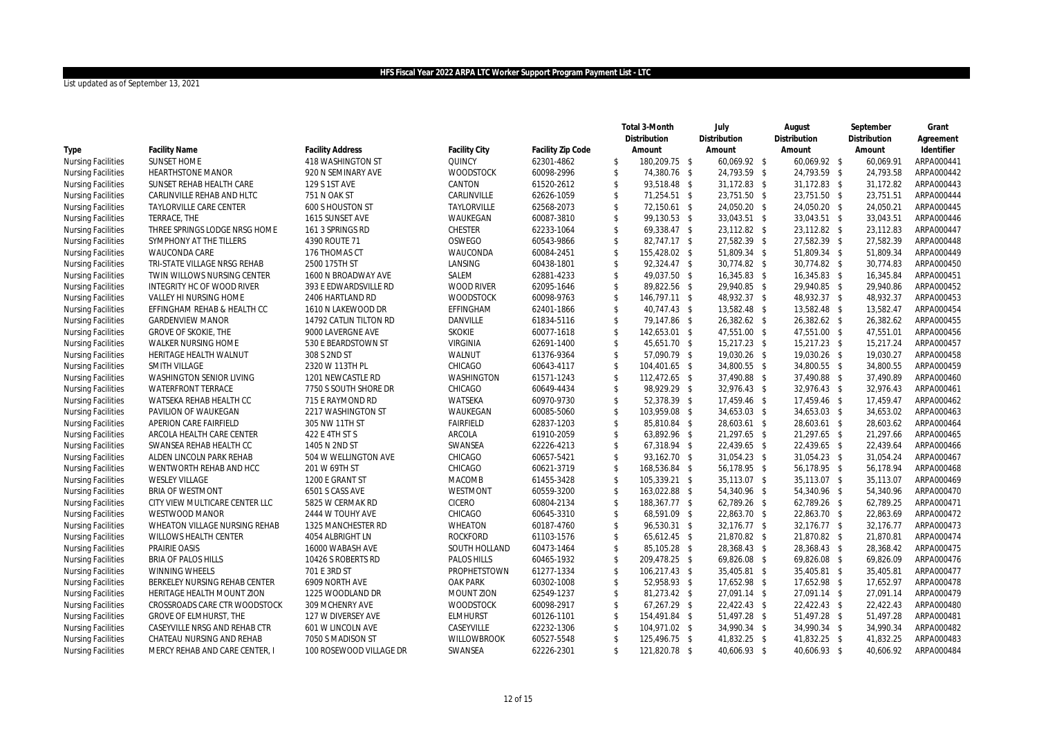|                           |                                   |                         |                      |                   |                    | Total 3-Month | July         | August       | September    | Grant      |
|---------------------------|-----------------------------------|-------------------------|----------------------|-------------------|--------------------|---------------|--------------|--------------|--------------|------------|
|                           |                                   |                         |                      |                   |                    | Distribution  | Distribution | Distribution | Distribution | Agreement  |
| Type                      | <b>Facility Name</b>              | <b>Facility Address</b> | <b>Facility City</b> | Facility Zip Code |                    | Amount        | Amount       | Amount       | Amount       | Identifier |
| <b>Nursing Facilities</b> | <b>SUNSET HOME</b>                | 418 WASHINGTON ST       | QUINCY               | 62301-4862        | \$                 | 180,209.75 \$ | 60,069.92 \$ | 60,069.92 \$ | 60,069.91    | ARPA000441 |
| <b>Nursing Facilities</b> | <b>HEARTHSTONE MANOR</b>          | 920 N SEMINARY AVE      | <b>WOODSTOCK</b>     | 60098-2996        | $\mathcal{S}$      | 74,380.76 \$  | 24,793.59 \$ | 24,793.59 \$ | 24,793.58    | ARPA000442 |
| <b>Nursing Facilities</b> | SUNSET REHAB HEALTH CARE          | 129 S 1ST AVE           | CANTON               | 61520-2612        | $\mathcal{S}$      | 93,518.48 \$  | 31,172.83 \$ | 31,172.83 \$ | 31,172.82    | ARPA000443 |
| <b>Nursing Facilities</b> | CARLINVILLE REHAB AND HLTC        | 751 N OAK ST            | CARLINVILLE          | 62626-1059        | $\sqrt{2}$         | 71,254.51 \$  | 23,751.50 \$ | 23,751.50 \$ | 23,751.51    | ARPA000444 |
| <b>Nursing Facilities</b> | TAYLORVILLE CARE CENTER           | 600 S HOUSTON ST        | <b>TAYLORVILLE</b>   | 62568-2073        | $\mathcal{S}$      | 72,150.61 \$  | 24,050.20 \$ | 24,050.20 \$ | 24,050.21    | ARPA000445 |
| <b>Nursing Facilities</b> | TERRACE, THE                      | 1615 SUNSET AVE         | WAUKEGAN             | 60087-3810        | $\mathcal{S}$      | 99,130.53 \$  | 33,043.51 \$ | 33,043.51 \$ | 33,043.51    | ARPA000446 |
| <b>Nursing Facilities</b> | THREE SPRINGS LODGE NRSG HOME     | 161 3 SPRINGS RD        | <b>CHESTER</b>       | 62233-1064        | $\mathbf{\hat{S}}$ | 69.338.47 \$  | 23,112.82 \$ | 23,112.82 \$ | 23.112.83    | ARPA000447 |
| <b>Nursing Facilities</b> | SYMPHONY AT THE TILLERS           | 4390 ROUTE 71           | OSWEGO               | 60543-9866        | $\sqrt{2}$         | 82,747.17 \$  | 27,582.39 \$ | 27,582.39 \$ | 27,582.39    | ARPA000448 |
| <b>Nursing Facilities</b> | WAUCONDA CARE                     | 176 THOMAS CT           | WAUCONDA             | 60084-2451        | $\sqrt{2}$         | 155,428.02 \$ | 51,809.34 \$ | 51,809.34 \$ | 51,809.34    | ARPA000449 |
| <b>Nursing Facilities</b> | TRI-STATE VILLAGE NRSG REHAB      | 2500 175TH ST           | LANSING              | 60438-1801        | $\sqrt{2}$         | 92,324.47 \$  | 30,774.82 \$ | 30,774.82 \$ | 30,774.83    | ARPA000450 |
| <b>Nursing Facilities</b> | TWIN WILLOWS NURSING CENTER       | 1600 N BROADWAY AVE     | SALEM                | 62881-4233        | $\sqrt{2}$         | 49,037.50 \$  | 16,345.83 \$ | 16,345.83 \$ | 16,345.84    | ARPA000451 |
| <b>Nursing Facilities</b> | INTEGRITY HC OF WOOD RIVER        | 393 E EDWARDSVILLE RD   | WOOD RIVER           | 62095-1646        | $\mathbf{\hat{S}}$ | 89,822.56 \$  | 29,940.85 \$ | 29,940.85 \$ | 29,940.86    | ARPA000452 |
| <b>Nursing Facilities</b> | VALLEY HI NURSING HOME            | 2406 HARTLAND RD        | <b>WOODSTOCK</b>     | 60098-9763        | $\mathsf{\$}$      | 146,797.11 \$ | 48,932.37 \$ | 48,932.37 \$ | 48,932.37    | ARPA000453 |
| <b>Nursing Facilities</b> | EFFINGHAM REHAB & HEALTH CC       | 1610 N LAKEWOOD DR      | EFFINGHAM            | 62401-1866        | $\sqrt[6]{3}$      | 40,747.43 \$  | 13,582.48 \$ | 13,582.48 \$ | 13,582.47    | ARPA000454 |
| <b>Nursing Facilities</b> | <b>GARDENVIEW MANOR</b>           | 14792 CATLIN TILTON RD  | DANVILLE             | 61834-5116        | $\mathsf{\$}$      | 79,147.86 \$  | 26,382.62 \$ | 26,382.62 \$ | 26,382.62    | ARPA000455 |
| <b>Nursing Facilities</b> | <b>GROVE OF SKOKIE, THE</b>       | 9000 LAVERGNE AVE       | <b>SKOKIE</b>        | 60077-1618        | $\mathcal{S}$      | 142,653.01 \$ | 47,551.00 \$ | 47,551.00 \$ | 47,551.01    | ARPA000456 |
| <b>Nursing Facilities</b> | <b>WALKER NURSING HOME</b>        | 530 E BEARDSTOWN ST     | <b>VIRGINIA</b>      | 62691-1400        | $\mathbf{\hat{S}}$ | 45,651.70 \$  | 15,217.23 \$ | 15,217.23 \$ | 15,217.24    | ARPA000457 |
| <b>Nursing Facilities</b> | HERITAGE HEALTH WALNUT            | 308 S 2ND ST            | WALNUT               | 61376-9364        | $\mathcal{S}$      | 57,090.79 \$  | 19,030.26 \$ | 19,030.26 \$ | 19,030.27    | ARPA000458 |
| <b>Nursing Facilities</b> | SMITH VILLAGE                     | 2320 W 113TH PL         | CHICAGO              | 60643-4117        | \$                 | 104,401.65 \$ | 34,800.55 \$ | 34,800.55 \$ | 34.800.55    | ARPA000459 |
| <b>Nursing Facilities</b> | WASHINGTON SENIOR LIVING          | 1201 NEWCASTLE RD       | WASHINGTON           | 61571-1243        | $\mathsf{\$}$      | 112,472.65 \$ | 37,490.88 \$ | 37,490.88 \$ | 37,490.89    | ARPA000460 |
| <b>Nursing Facilities</b> | <b>WATERFRONT TERRACE</b>         | 7750 S SOUTH SHORE DR   | CHICAGO              | 60649-4434        | $\mathcal{S}$      | 98,929.29 \$  | 32,976.43 \$ | 32,976.43 \$ | 32,976.43    | ARPA000461 |
| <b>Nursing Facilities</b> | WATSEKA REHAB HEALTH CC           | 715 E RAYMOND RD        | WATSEKA              | 60970-9730        | $\mathbf{\hat{S}}$ | 52,378.39 \$  | 17,459.46 \$ | 17,459.46 \$ | 17.459.47    | ARPA000462 |
| <b>Nursing Facilities</b> | PAVILION OF WAUKEGAN              | 2217 WASHINGTON ST      | WAUKEGAN             | 60085-5060        | $\mathcal{S}$      | 103,959.08 \$ | 34,653.03 \$ | 34,653.03 \$ | 34,653.02    | ARPA000463 |
| <b>Nursing Facilities</b> | APERION CARE FAIRFIELD            | 305 NW 11TH ST          | <b>FAIRFIELD</b>     | 62837-1203        | $\mathsf{\$}$      | 85,810.84 \$  | 28,603.61 \$ | 28,603.61 \$ | 28.603.62    | ARPA000464 |
| <b>Nursing Facilities</b> | ARCOLA HEALTH CARE CENTER         | 422 E 4TH ST S          | ARCOLA               | 61910-2059        | $\mathcal{S}$      | 63,892.96 \$  | 21,297.65 \$ | 21,297.65 \$ | 21,297.66    | ARPA000465 |
| <b>Nursing Facilities</b> | SWANSEA REHAB HEALTH CC           | 1405 N 2ND ST           | SWANSEA              | 62226-4213        | $\sqrt{2}$         | 67,318.94 \$  | 22,439.65 \$ | 22,439.65 \$ | 22,439.64    | ARPA000466 |
| <b>Nursing Facilities</b> | ALDEN LINCOLN PARK REHAB          | 504 W WELLINGTON AVE    | CHICAGO              | 60657-5421        | $\mathbf{\hat{S}}$ | 93,162.70 \$  | 31,054.23 \$ | 31,054.23 \$ | 31,054.24    | ARPA000467 |
| <b>Nursing Facilities</b> | WENTWORTH REHAB AND HCC           | 201 W 69TH ST           | CHICAGO              | 60621-3719        | $\sqrt{2}$         | 168,536.84 \$ | 56,178.95 \$ | 56,178.95 \$ | 56,178.94    | ARPA000468 |
| <b>Nursing Facilities</b> | <b>WESLEY VILLAGE</b>             | 1200 E GRANT ST         | MACOMB               | 61455-3428        | $\sqrt{2}$         | 105,339.21 \$ | 35,113.07 \$ | 35,113.07 \$ | 35,113.07    | ARPA000469 |
| <b>Nursing Facilities</b> | <b>BRIA OF WESTMONT</b>           | 6501 S CASS AVE         | WESTMONT             | 60559-3200        | $\sqrt{2}$         | 163,022.88 \$ | 54,340.96 \$ | 54,340.96 \$ | 54,340.96    | ARPA000470 |
| <b>Nursing Facilities</b> | CITY VIEW MULTICARE CENTER LLC    | 5825 W CERMAK RD        | CICERO               | 60804-2134        | $\sqrt[6]{3}$      | 188,367.77 \$ | 62,789.26 \$ | 62,789.26 \$ | 62,789.25    | ARPA000471 |
| <b>Nursing Facilities</b> | <b>WESTWOOD MANOR</b>             | 2444 W TOUHY AVE        | CHICAGO              | 60645-3310        | $\mathcal{S}$      | 68,591.09 \$  | 22,863.70 \$ | 22,863.70 \$ | 22,863.69    | ARPA000472 |
| <b>Nursing Facilities</b> | WHEATON VILLAGE NURSING REHAB     | 1325 MANCHESTER RD      | <b>WHEATON</b>       | 60187-4760        | $\mathcal{S}$      | 96,530.31 \$  | 32,176.77 \$ | 32,176.77 \$ | 32,176.77    | ARPA000473 |
| <b>Nursing Facilities</b> | WILLOWS HEALTH CENTER             | 4054 ALBRIGHT LN        | <b>ROCKFORD</b>      | 61103-1576        | \$                 | 65,612.45 \$  | 21,870.82 \$ | 21,870.82 \$ | 21,870.81    | ARPA000474 |
| <b>Nursing Facilities</b> | PRAIRIE OASIS                     | 16000 WABASH AVE        | SOUTH HOLLAND        | 60473-1464        | $\mathcal{S}$      | 85,105.28 \$  | 28,368.43 \$ | 28,368.43 \$ | 28.368.42    | ARPA000475 |
| <b>Nursing Facilities</b> | <b>BRIA OF PALOS HILLS</b>        | 10426 S ROBERTS RD      | <b>PALOS HILLS</b>   | 60465-1932        | $\mathcal{S}$      | 209,478.25 \$ | 69,826.08 \$ | 69,826.08 \$ | 69,826.09    | ARPA000476 |
| <b>Nursing Facilities</b> | <b>WINNING WHEELS</b>             | 701 E 3RD ST            | PROPHETSTOWN         | 61277-1334        | $\mathcal{S}$      | 106,217.43 \$ | 35,405.81 \$ | 35,405.81 \$ | 35,405.81    | ARPA000477 |
| <b>Nursing Facilities</b> | BERKELEY NURSING REHAB CENTER     | 6909 NORTH AVE          | <b>OAK PARK</b>      | 60302-1008        | $\mathcal{S}$      | 52,958.93 \$  | 17,652.98 \$ | 17,652.98 \$ | 17,652.97    | ARPA000478 |
| <b>Nursing Facilities</b> | <b>HERITAGE HEALTH MOUNT ZION</b> | 1225 WOODLAND DR        | <b>MOUNT ZION</b>    | 62549-1237        | $\mathbf{\hat{S}}$ | 81,273.42 \$  | 27,091.14 \$ | 27,091.14 \$ | 27.091.14    | ARPA000479 |
| <b>Nursing Facilities</b> | CROSSROADS CARE CTR WOODSTOCK     | 309 MCHENRY AVE         | <b>WOODSTOCK</b>     | 60098-2917        | $\mathsf{\$}$      | 67,267.29 \$  | 22,422.43 \$ | 22,422.43 \$ | 22.422.43    | ARPA000480 |
| <b>Nursing Facilities</b> | <b>GROVE OF ELMHURST, THE</b>     | 127 W DIVERSEY AVE      | <b>ELMHURST</b>      | 60126-1101        | $\sqrt{2}$         | 154,491.84 \$ | 51,497.28 \$ | 51,497.28 \$ | 51,497.28    | ARPA000481 |
| <b>Nursing Facilities</b> | CASEYVILLE NRSG AND REHAB CTR     | 601 W LINCOLN AVE       | CASEYVILLE           | 62232-1306        | \$                 | 104,971.02 \$ | 34,990.34 \$ | 34,990.34 \$ | 34,990.34    | ARPA000482 |
| <b>Nursing Facilities</b> | CHATEAU NURSING AND REHAB         | 7050 S MADISON ST       | <b>WILLOWBROOK</b>   | 60527-5548        | $\mathsf{\$}$      | 125,496.75 \$ | 41,832.25 \$ | 41,832.25 \$ | 41,832.25    | ARPA000483 |
| <b>Nursing Facilities</b> | MERCY REHAB AND CARE CENTER,      | 100 ROSEWOOD VILLAGE DR | SWANSEA              | 62226-2301        | \$                 | 121,820.78 \$ | 40,606.93 \$ | 40,606.93 \$ | 40,606.92    | ARPA000484 |
|                           |                                   |                         |                      |                   |                    |               |              |              |              |            |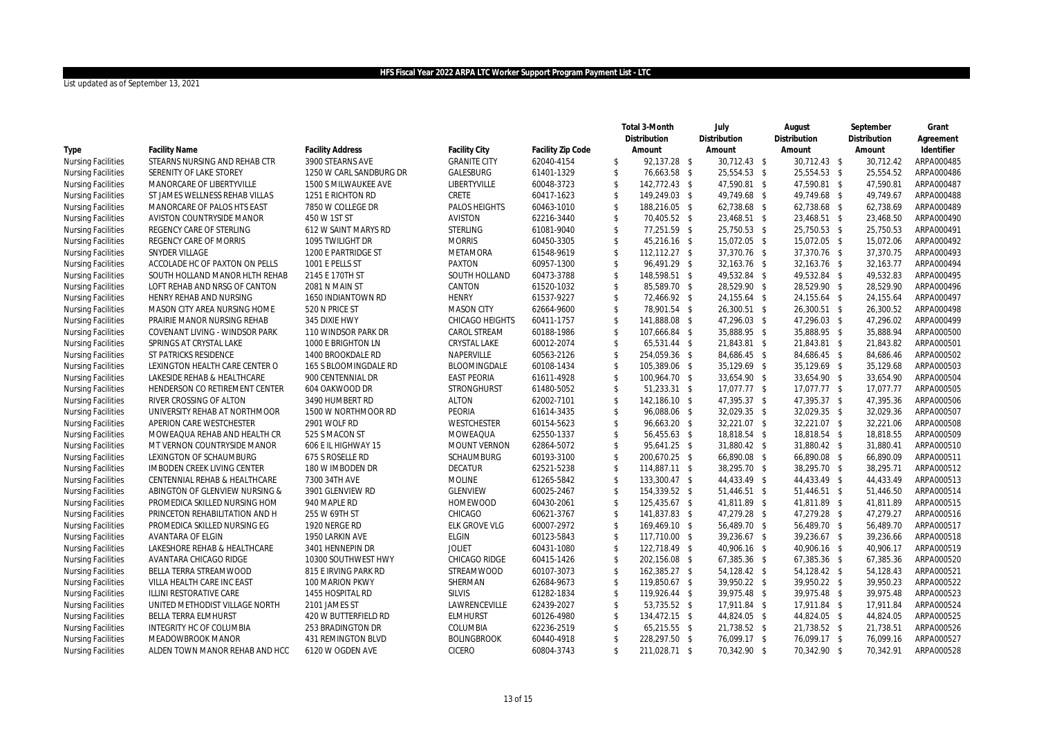|                           |                                |                         |                        |                   |               | Total 3-Month | July         | August       |              | September    | Grant      |
|---------------------------|--------------------------------|-------------------------|------------------------|-------------------|---------------|---------------|--------------|--------------|--------------|--------------|------------|
|                           |                                |                         |                        |                   |               | Distribution  | Distribution | Distribution |              | Distribution | Agreement  |
| Type                      | <b>Facility Name</b>           | <b>Facility Address</b> | <b>Facility City</b>   | Facility Zip Code |               | Amount        | Amount       |              | Amount       | Amount       | Identifier |
| <b>Nursing Facilities</b> | STEARNS NURSING AND REHAB CTR  | 3900 STEARNS AVE        | <b>GRANITE CITY</b>    | 62040-4154        | \$            | 92,137.28 \$  | 30,712.43 \$ |              | 30,712.43 \$ | 30,712.42    | ARPA000485 |
| <b>Nursing Facilities</b> | SERENITY OF LAKE STOREY        | 1250 W CARL SANDBURG DR | GALESBURG              | 61401-1329        | \$            | 76,663.58 \$  | 25,554.53 \$ |              | 25,554.53 \$ | 25,554.52    | ARPA000486 |
| <b>Nursing Facilities</b> | MANORCARE OF LIBERTYVILLE      | 1500 S MILWAUKEE AVE    | LIBERTYVILLE           | 60048-3723        | \$            | 142,772.43 \$ | 47,590.81 \$ |              | 47,590.81 \$ | 47,590.81    | ARPA000487 |
| <b>Nursing Facilities</b> | ST JAMES WELLNESS REHAB VILLAS | 1251 E RICHTON RD       | CRETE                  | 60417-1623        | \$            | 149,249.03 \$ | 49,749.68 \$ |              | 49,749.68 \$ | 49,749.67    | ARPA000488 |
| <b>Nursing Facilities</b> | MANORCARE OF PALOS HTS EAST    | 7850 W COLLEGE DR       | <b>PALOS HEIGHTS</b>   | 60463-1010        | $\mathsf{\$}$ | 188,216.05 \$ | 62,738.68 \$ |              | 62,738.68 \$ | 62,738.69    | ARPA000489 |
| <b>Nursing Facilities</b> | AVISTON COUNTRYSIDE MANOR      | 450 W 1ST ST            | <b>AVISTON</b>         | 62216-3440        | \$            | 70,405.52 \$  | 23,468.51 \$ |              | 23,468.51 \$ | 23,468.50    | ARPA000490 |
| <b>Nursing Facilities</b> | REGENCY CARE OF STERLING       | 612 W SAINT MARYS RD    | <b>STERLING</b>        | 61081-9040        | $\mathsf{\$}$ | 77,251.59 \$  | 25,750.53 \$ |              | 25,750.53 \$ | 25,750.53    | ARPA000491 |
| <b>Nursing Facilities</b> | REGENCY CARE OF MORRIS         | 1095 TWILIGHT DR        | <b>MORRIS</b>          | 60450-3305        | \$            | 45,216.16 \$  | 15,072.05 \$ |              | 15,072.05 \$ | 15,072.06    | ARPA000492 |
| <b>Nursing Facilities</b> | SNYDER VILLAGE                 | 1200 E PARTRIDGE ST     | METAMORA               | 61548-9619        | \$            | 112,112.27 \$ | 37,370.76 \$ |              | 37,370.76 \$ | 37,370.75    | ARPA000493 |
| <b>Nursing Facilities</b> | ACCOLADE HC OF PAXTON ON PELLS | 1001 E PELLS ST         | <b>PAXTON</b>          | 60957-1300        | $\mathsf{\$}$ | 96,491.29 \$  | 32,163.76 \$ |              | 32,163.76 \$ | 32,163.77    | ARPA000494 |
| <b>Nursing Facilities</b> | SOUTH HOLLAND MANOR HLTH REHAB | 2145 E 170TH ST         | SOUTH HOLLAND          | 60473-3788        | \$            | 148,598.51 \$ | 49,532.84 \$ |              | 49,532.84 \$ | 49,532.83    | ARPA000495 |
| <b>Nursing Facilities</b> | LOFT REHAB AND NRSG OF CANTON  | 2081 N MAIN ST          | CANTON                 | 61520-1032        | \$            | 85,589.70 \$  | 28,529.90 \$ |              | 28,529.90 \$ | 28,529.90    | ARPA000496 |
| <b>Nursing Facilities</b> | HENRY REHAB AND NURSING        | 1650 INDIANTOWN RD      | <b>HENRY</b>           | 61537-9227        | \$            | 72,466.92 \$  | 24,155.64 \$ |              | 24,155.64 \$ | 24,155.64    | ARPA000497 |
| <b>Nursing Facilities</b> | MASON CITY AREA NURSING HOME   | 520 N PRICE ST          | <b>MASON CITY</b>      | 62664-9600        | \$            | 78,901.54 \$  | 26,300.51 \$ |              | 26,300.51 \$ | 26,300.52    | ARPA000498 |
| <b>Nursing Facilities</b> | PRAIRIE MANOR NURSING REHAB    | 345 DIXIE HWY           | <b>CHICAGO HEIGHTS</b> | 60411-1757        | $\mathsf{\$}$ | 141,888.08 \$ | 47,296.03 \$ |              | 47,296.03 \$ | 47,296.02    | ARPA000499 |
| <b>Nursing Facilities</b> | COVENANT LIVING - WINDSOR PARK | 110 WINDSOR PARK DR     | CAROL STREAM           | 60188-1986        | \$            | 107,666.84 \$ | 35,888.95 \$ |              | 35,888.95 \$ | 35,888.94    | ARPA000500 |
| <b>Nursing Facilities</b> | SPRINGS AT CRYSTAL LAKE        | 1000 E BRIGHTON LN      | CRYSTAL LAKE           | 60012-2074        | $\mathsf{\$}$ | 65,531.44 \$  | 21,843.81 \$ |              | 21,843.81 \$ | 21,843.82    | ARPA000501 |
| <b>Nursing Facilities</b> | ST PATRICKS RESIDENCE          | 1400 BROOKDALE RD       | NAPERVILLE             | 60563-2126        | \$            | 254,059.36 \$ | 84,686.45 \$ |              | 84,686.45 \$ | 84,686.46    | ARPA000502 |
| <b>Nursing Facilities</b> | LEXINGTON HEALTH CARE CENTER O | 165 S BLOOMINGDALE RD   | BLOOMINGDALE           | 60108-1434        | \$            | 105,389.06 \$ | 35,129.69 \$ |              | 35,129.69 \$ | 35,129.68    | ARPA000503 |
| <b>Nursing Facilities</b> | LAKESIDE REHAB & HEALTHCARE    | 900 CENTENNIAL DR       | <b>EAST PEORIA</b>     | 61611-4928        | $\mathsf{\$}$ | 100,964.70 \$ | 33,654.90 \$ |              | 33,654.90 \$ | 33,654.90    | ARPA000504 |
| <b>Nursing Facilities</b> | HENDERSON CO RETIREMENT CENTER | 604 OAKWOOD DR          | <b>STRONGHURST</b>     | 61480-5052        | \$            | 51,233.31 \$  | 17,077.77 \$ |              | 17,077.77 \$ | 17,077.77    | ARPA000505 |
| <b>Nursing Facilities</b> | RIVER CROSSING OF ALTON        | 3490 HUMBERT RD         | <b>ALTON</b>           | 62002-7101        | $\mathsf{\$}$ | 142,186.10 \$ | 47,395.37 \$ |              | 47,395.37 \$ | 47.395.36    | ARPA000506 |
| <b>Nursing Facilities</b> | UNIVERSITY REHAB AT NORTHMOOR  | 1500 W NORTHMOOR RD     | PEORIA                 | 61614-3435        | \$            | 96,088.06 \$  | 32,029.35 \$ |              | 32,029.35 \$ | 32,029.36    | ARPA000507 |
| <b>Nursing Facilities</b> | APERION CARE WESTCHESTER       | 2901 WOLF RD            | <b>WESTCHESTER</b>     | 60154-5623        | \$            | 96,663.20 \$  | 32,221.07 \$ |              | 32,221.07 \$ | 32,221.06    | ARPA000508 |
| <b>Nursing Facilities</b> | MOWEAQUA REHAB AND HEALTH CR   | 525 S MACON ST          | MOWEAQUA               | 62550-1337        | $\mathsf{\$}$ | 56,455.63 \$  | 18,818.54 \$ |              | 18,818.54 \$ | 18.818.55    | ARPA000509 |
| <b>Nursing Facilities</b> | MT VERNON COUNTRYSIDE MANOR    | 606 E IL HIGHWAY 15     | <b>MOUNT VERNON</b>    | 62864-5072        | \$            | 95,641.25 \$  | 31,880.42 \$ |              | 31,880.42 \$ | 31,880.41    | ARPA000510 |
| <b>Nursing Facilities</b> | LEXINGTON OF SCHAUMBURG        | 675 S ROSELLE RD        | <b>SCHAUMBURG</b>      | 60193-3100        | $\mathsf{\$}$ | 200,670.25 \$ | 66,890.08 \$ |              | 66,890.08 \$ | 66.890.09    | ARPA000511 |
| <b>Nursing Facilities</b> | IMBODEN CREEK LIVING CENTER    | 180 W IMBODEN DR        | <b>DECATUR</b>         | 62521-5238        | \$            | 114,887.11 \$ | 38,295.70 \$ |              | 38,295.70 \$ | 38,295.71    | ARPA000512 |
| <b>Nursing Facilities</b> | CENTENNIAL REHAB & HEALTHCARE  | 7300 34TH AVE           | <b>MOLINE</b>          | 61265-5842        | \$            | 133,300.47 \$ | 44,433.49 \$ |              | 44,433.49 \$ | 44,433.49    | ARPA000513 |
| <b>Nursing Facilities</b> | ABINGTON OF GLENVIEW NURSING & | 3901 GLENVIEW RD        | <b>GLENVIEW</b>        | 60025-2467        | $\mathsf{\$}$ | 154.339.52 \$ | 51,446.51 \$ |              | 51,446.51 \$ | 51.446.50    | ARPA000514 |
| <b>Nursing Facilities</b> | PROMEDICA SKILLED NURSING HOM  | 940 MAPLE RD            | <b>HOMEWOOD</b>        | 60430-2061        | \$            | 125,435.67 \$ | 41,811.89 \$ |              | 41,811.89 \$ | 41,811.89    | ARPA000515 |
| <b>Nursing Facilities</b> | PRINCETON REHABILITATION AND H | 255 W 69TH ST           | CHICAGO                | 60621-3767        | \$            | 141,837.83 \$ | 47,279.28 \$ |              | 47,279.28 \$ | 47,279.27    | ARPA000516 |
| <b>Nursing Facilities</b> | PROMEDICA SKILLED NURSING EG   | 1920 NERGE RD           | ELK GROVE VLG          | 60007-2972        | \$            | 169,469.10 \$ | 56,489.70 \$ |              | 56,489.70 \$ | 56,489.70    | ARPA000517 |
| <b>Nursing Facilities</b> | AVANTARA OF ELGIN              | 1950 LARKIN AVE         | <b>ELGIN</b>           | 60123-5843        | \$            | 117,710.00 \$ | 39,236.67 \$ |              | 39,236.67 \$ | 39,236.66    | ARPA000518 |
| <b>Nursing Facilities</b> | LAKESHORE REHAB & HEALTHCARE   | 3401 HENNEPIN DR        | <b>JOLIET</b>          | 60431-1080        | \$            | 122,718.49 \$ | 40,906.16 \$ |              | 40,906.16 \$ | 40,906.17    | ARPA000519 |
| <b>Nursing Facilities</b> | AVANTARA CHICAGO RIDGE         | 10300 SOUTHWEST HWY     | CHICAGO RIDGE          | 60415-1426        | \$            | 202,156.08 \$ | 67,385.36 \$ |              | 67,385.36 \$ | 67,385.36    | ARPA000520 |
| <b>Nursing Facilities</b> | BELLA TERRA STREAMWOOD         | 815 E IRVING PARK RD    | STREAMWOOD             | 60107-3073        | \$            | 162,385.27 \$ | 54,128.42 \$ |              | 54,128.42 \$ | 54,128.43    | ARPA000521 |
| <b>Nursing Facilities</b> | VILLA HEALTH CARE INC EAST     | 100 MARION PKWY         | SHERMAN                | 62684-9673        | \$            | 119,850.67 \$ | 39,950.22 \$ |              | 39,950.22 \$ | 39,950.23    | ARPA000522 |
| <b>Nursing Facilities</b> | ILLINI RESTORATIVE CARE        | 1455 HOSPITAL RD        | <b>SILVIS</b>          | 61282-1834        | \$            | 119,926.44 \$ | 39,975.48 \$ |              | 39,975.48 \$ | 39,975.48    | ARPA000523 |
| <b>Nursing Facilities</b> | UNITED METHODIST VILLAGE NORTH | 2101 JAMES ST           | LAWRENCEVILLE          | 62439-2027        | \$            | 53,735.52 \$  | 17,911.84 \$ |              | 17,911.84 \$ | 17,911.84    | ARPA000524 |
| <b>Nursing Facilities</b> | <b>BELLA TERRA ELMHURST</b>    | 420 W BUTTERFIELD RD    | <b>ELMHURST</b>        | 60126-4980        | \$            | 134,472.15 \$ | 44,824.05 \$ |              | 44,824.05 \$ | 44,824.05    | ARPA000525 |
| <b>Nursing Facilities</b> | INTEGRITY HC OF COLUMBIA       | 253 BRADINGTON DR       | COLUMBIA               | 62236-2519        | \$            | 65,215.55 \$  | 21,738.52 \$ |              | 21,738.52 \$ | 21,738.51    | ARPA000526 |
| <b>Nursing Facilities</b> | MEADOWBROOK MANOR              | 431 REMINGTON BLVD      | <b>BOLINGBROOK</b>     | 60440-4918        | \$            | 228,297.50 \$ | 76,099.17 \$ |              | 76,099.17 \$ | 76,099.16    | ARPA000527 |
| <b>Nursing Facilities</b> | ALDEN TOWN MANOR REHAB AND HCC | 6120 W OGDEN AVE        | <b>CICERO</b>          | 60804-3743        | \$            | 211,028.71 \$ | 70,342.90 \$ |              | 70,342.90 \$ | 70,342.91    | ARPA000528 |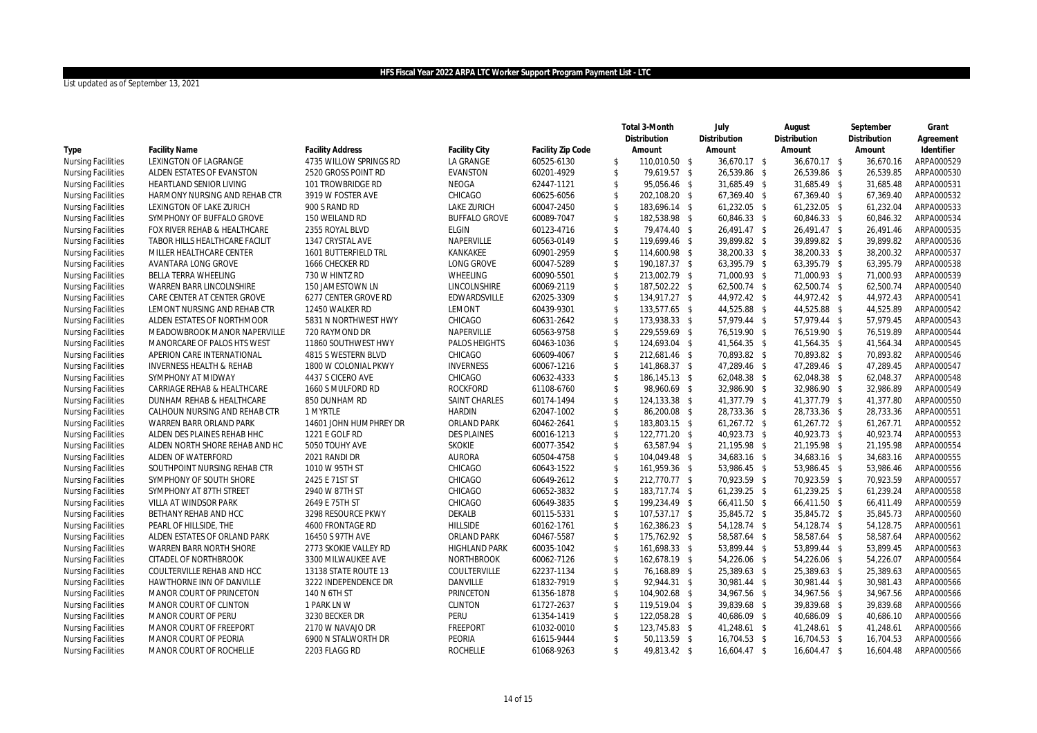|                           |                                     |                         |                      |                   |                    | Total 3-Month | July         | August       | September    | Grant      |
|---------------------------|-------------------------------------|-------------------------|----------------------|-------------------|--------------------|---------------|--------------|--------------|--------------|------------|
|                           |                                     |                         |                      |                   |                    | Distribution  | Distribution | Distribution | Distribution | Agreement  |
| Type                      | <b>Facility Name</b>                | <b>Facility Address</b> | <b>Facility City</b> | Facility Zip Code |                    | Amount        | Amount       | Amount       | Amount       | Identifier |
| <b>Nursing Facilities</b> | LEXINGTON OF LAGRANGE               | 4735 WILLOW SPRINGS RD  | LA GRANGE            | 60525-6130        | \$                 | 110,010.50 \$ | 36,670.17 \$ | 36,670.17 \$ | 36,670.16    | ARPA000529 |
| <b>Nursing Facilities</b> | ALDEN ESTATES OF EVANSTON           | 2520 GROSS POINT RD     | <b>EVANSTON</b>      | 60201-4929        | $\mathsf{\$}$      | 79,619.57 \$  | 26,539.86 \$ | 26,539.86 \$ | 26,539.85    | ARPA000530 |
| <b>Nursing Facilities</b> | HEARTLAND SENIOR LIVING             | 101 TROWBRIDGE RD       | NEOGA                | 62447-1121        | $\mathsf{\$}$      | 95,056.46 \$  | 31,685.49 \$ | 31,685.49 \$ | 31,685.48    | ARPA000531 |
| <b>Nursing Facilities</b> | HARMONY NURSING AND REHAB CTR       | 3919 W FOSTER AVE       | CHICAGO              | 60625-6056        | \$                 | 202,108.20 \$ | 67,369.40 \$ | 67,369.40 \$ | 67,369.40    | ARPA000532 |
| <b>Nursing Facilities</b> | LEXINGTON OF LAKE ZURICH            | 900 S RAND RD           | <b>LAKE ZURICH</b>   | 60047-2450        | $\mathsf{\$}$      | 183,696.14 \$ | 61,232.05 \$ | 61,232.05 \$ | 61,232.04    | ARPA000533 |
| <b>Nursing Facilities</b> | SYMPHONY OF BUFFALO GROVE           | 150 WEILAND RD          | <b>BUFFALO GROVE</b> | 60089-7047        | $\mathsf{\$}$      | 182,538.98 \$ | 60,846.33 \$ | 60,846.33 \$ | 60,846.32    | ARPA000534 |
| <b>Nursing Facilities</b> | FOX RIVER REHAB & HEALTHCARE        | 2355 ROYAL BLVD         | <b>ELGIN</b>         | 60123-4716        | $\mathsf{\$}$      | 79,474.40 \$  | 26,491.47 \$ | 26,491.47 \$ | 26,491.46    | ARPA000535 |
| <b>Nursing Facilities</b> | TABOR HILLS HEALTHCARE FACILIT      | 1347 CRYSTAL AVE        | NAPERVILLE           | 60563-0149        | $\mathcal{S}$      | 119,699.46 \$ | 39,899.82 \$ | 39,899.82 \$ | 39,899.82    | ARPA000536 |
| <b>Nursing Facilities</b> | MILLER HEALTHCARE CENTER            | 1601 BUTTERFIELD TRL    | KANKAKEE             | 60901-2959        | \$                 | 114,600.98 \$ | 38,200.33 \$ | 38,200.33 \$ | 38,200.32    | ARPA000537 |
| <b>Nursing Facilities</b> | AVANTARA LONG GROVE                 | 1666 CHECKER RD         | LONG GROVE           | 60047-5289        | $\mathcal{S}$      | 190,187.37 \$ | 63,395.79 \$ | 63,395.79 \$ | 63,395.79    | ARPA000538 |
| <b>Nursing Facilities</b> | BELLA TERRA WHEELING                | 730 W HINTZ RD          | WHEELING             | 60090-5501        | $\mathsf{\$}$      | 213,002.79 \$ | 71,000.93 \$ | 71,000.93 \$ | 71,000.93    | ARPA000539 |
| <b>Nursing Facilities</b> | WARREN BARR LINCOLNSHIRE            | 150 JAMESTOWN LN        | LINCOLNSHIRE         | 60069-2119        | $\sqrt[6]{3}$      | 187,502.22 \$ | 62,500.74 \$ | 62,500.74 \$ | 62,500.74    | ARPA000540 |
| <b>Nursing Facilities</b> | CARE CENTER AT CENTER GROVE         | 6277 CENTER GROVE RD    | EDWARDSVILLE         | 62025-3309        | $\mathcal{S}$      | 134,917.27 \$ | 44,972.42 \$ | 44,972.42 \$ | 44,972.43    | ARPA000541 |
| <b>Nursing Facilities</b> | LEMONT NURSING AND REHAB CTR        | 12450 WALKER RD         | LEMONT               | 60439-9301        | $\sqrt[6]{3}$      | 133,577.65 \$ | 44,525.88 \$ | 44,525.88 \$ | 44,525.89    | ARPA000542 |
| <b>Nursing Facilities</b> | ALDEN ESTATES OF NORTHMOOR          | 5831 N NORTHWEST HWY    | CHICAGO              | 60631-2642        | $\mathcal{S}$      | 173,938.33 \$ | 57,979.44 \$ | 57,979.44 \$ | 57,979.45    | ARPA000543 |
| <b>Nursing Facilities</b> | MEADOWBROOK MANOR NAPERVILLE        | 720 RAYMOND DR          | NAPERVILLE           | 60563-9758        | $\mathcal{S}$      | 229,559.69 \$ | 76,519.90 \$ | 76,519.90 \$ | 76.519.89    | ARPA000544 |
| <b>Nursing Facilities</b> | MANORCARE OF PALOS HTS WEST         | 11860 SOUTHWEST HWY     | PALOS HEIGHTS        | 60463-1036        | $\sqrt[6]{3}$      | 124,693.04 \$ | 41,564.35 \$ | 41,564.35 \$ | 41,564.34    | ARPA000545 |
| <b>Nursing Facilities</b> | APERION CARE INTERNATIONAL          | 4815 S WESTERN BLVD     | CHICAGO              | 60609-4067        | $\mathcal{S}$      | 212,681.46 \$ | 70,893.82 \$ | 70,893.82 \$ | 70,893.82    | ARPA000546 |
| <b>Nursing Facilities</b> | <b>INVERNESS HEALTH &amp; REHAB</b> | 1800 W COLONIAL PKWY    | <b>INVERNESS</b>     | 60067-1216        | $\sqrt[6]{3}$      | 141,868.37 \$ | 47,289.46 \$ | 47,289.46 \$ | 47.289.45    | ARPA000547 |
| <b>Nursing Facilities</b> | SYMPHONY AT MIDWAY                  | 4437 S CICERO AVE       | CHICAGO              | 60632-4333        | $\mathcal{S}$      | 186,145.13 \$ | 62,048.38 \$ | 62,048.38 \$ | 62,048.37    | ARPA000548 |
| <b>Nursing Facilities</b> | CARRIAGE REHAB & HEALTHCARE         | 1660 S MULFORD RD       | <b>ROCKFORD</b>      | 61108-6760        | $\mathbf{\hat{S}}$ | 98,960.69 \$  | 32,986.90 \$ | 32,986.90 \$ | 32,986.89    | ARPA000549 |
| <b>Nursing Facilities</b> | DUNHAM REHAB & HEALTHCARE           | 850 DUNHAM RD           | <b>SAINT CHARLES</b> | 60174-1494        | $\mathsf{\$}$      | 124,133.38 \$ | 41,377.79 \$ | 41,377.79 \$ | 41,377.80    | ARPA000550 |
| <b>Nursing Facilities</b> | CALHOUN NURSING AND REHAB CTR       | 1 MYRTLE                | <b>HARDIN</b>        | 62047-1002        | $\mathcal{S}$      | 86,200.08 \$  | 28,733.36 \$ | 28,733.36 \$ | 28,733.36    | ARPA000551 |
| <b>Nursing Facilities</b> | WARREN BARR ORLAND PARK             | 14601 JOHN HUMPHREY DR  | ORLAND PARK          | 60462-2641        | $\sqrt[6]{3}$      | 183,803.15 \$ | 61,267.72 \$ | 61,267.72 \$ | 61,267.71    | ARPA000552 |
| <b>Nursing Facilities</b> | ALDEN DES PLAINES REHAB HHC         | 1221 E GOLF RD          | <b>DES PLAINES</b>   | 60016-1213        | $\mathsf{\$}$      | 122,771.20 \$ | 40,923.73 \$ | 40,923.73 \$ | 40,923.74    | ARPA000553 |
| <b>Nursing Facilities</b> | ALDEN NORTH SHORE REHAB AND HC      | 5050 TOUHY AVE          | <b>SKOKIE</b>        | 60077-3542        | $\mathsf{\$}$      | 63,587.94 \$  | 21,195.98 \$ | 21,195.98 \$ | 21,195.98    | ARPA000554 |
| <b>Nursing Facilities</b> | ALDEN OF WATERFORD                  | 2021 RANDI DR           | <b>AURORA</b>        | 60504-4758        | $\sqrt{2}$         | 104,049.48 \$ | 34,683.16 \$ | 34,683.16 \$ | 34,683.16    | ARPA000555 |
| <b>Nursing Facilities</b> | SOUTHPOINT NURSING REHAB CTR        | 1010 W 95TH ST          | CHICAGO              | 60643-1522        | $\mathsf{\$}$      | 161,959.36 \$ | 53,986.45 \$ | 53,986.45 \$ | 53,986.46    | ARPA000556 |
| <b>Nursing Facilities</b> | SYMPHONY OF SOUTH SHORE             | 2425 E 71ST ST          | CHICAGO              | 60649-2612        | \$                 | 212,770.77 \$ | 70,923.59 \$ | 70,923.59 \$ | 70,923.59    | ARPA000557 |
| <b>Nursing Facilities</b> | SYMPHONY AT 87TH STREET             | 2940 W 87TH ST          | CHICAGO              | 60652-3832        | $\mathsf{\$}$      | 183.717.74 \$ | 61,239.25 \$ | 61,239.25 \$ | 61,239.24    | ARPA000558 |
| <b>Nursing Facilities</b> | VILLA AT WINDSOR PARK               | 2649 E 75TH ST          | CHICAGO              | 60649-3835        | $\mathsf{\$}$      | 199,234.49 \$ | 66,411.50 \$ | 66,411.50 \$ | 66.411.49    | ARPA000559 |
| <b>Nursing Facilities</b> | BETHANY REHAB AND HCC               | 3298 RESOURCE PKWY      | DEKALB               | 60115-5331        | $\sqrt{2}$         | 107,537.17 \$ | 35,845.72 \$ | 35,845.72 \$ | 35,845.73    | ARPA000560 |
| <b>Nursing Facilities</b> | PEARL OF HILLSIDE. THE              | <b>4600 FRONTAGE RD</b> | <b>HILLSIDE</b>      | 60162-1761        | $\mathsf{\$}$      | 162,386.23 \$ | 54,128.74 \$ | 54,128.74 \$ | 54.128.75    | ARPA000561 |
| <b>Nursing Facilities</b> | ALDEN ESTATES OF ORLAND PARK        | 16450 S 97TH AVE        | ORLAND PARK          | 60467-5587        | $\sqrt[6]{3}$      | 175,762.92 \$ | 58,587.64 \$ | 58,587.64 \$ | 58,587.64    | ARPA000562 |
| <b>Nursing Facilities</b> | <b>WARREN BARR NORTH SHORE</b>      | 2773 SKOKIE VALLEY RD   | <b>HIGHLAND PARK</b> | 60035-1042        | $\sqrt{2}$         | 161,698.33 \$ | 53,899.44 \$ | 53,899.44 \$ | 53,899.45    | ARPA000563 |
| <b>Nursing Facilities</b> | CITADEL OF NORTHBROOK               | 3300 MILWAUKEE AVE      | NORTHBROOK           | 60062-7126        | $\sqrt{2}$         | 162,678.19 \$ | 54,226.06 \$ | 54,226.06 \$ | 54,226.07    | ARPA000564 |
| <b>Nursing Facilities</b> | COULTERVILLE REHAB AND HCC          | 13138 STATE ROUTE 13    | COULTERVILLE         | 62237-1134        | $\sqrt{2}$         | 76,168.89 \$  | 25,389.63 \$ | 25,389.63 \$ | 25,389.63    | ARPA000565 |
| <b>Nursing Facilities</b> | HAWTHORNE INN OF DANVILLE           | 3222 INDEPENDENCE DR    | DANVILLE             | 61832-7919        | $\mathbf{\hat{S}}$ | 92,944.31 \$  | 30,981.44 \$ | 30,981.44 \$ | 30,981.43    | ARPA000566 |
| <b>Nursing Facilities</b> | MANOR COURT OF PRINCETON            | 140 N 6TH ST            | PRINCETON            | 61356-1878        | \$                 | 104,902.68 \$ | 34,967.56 \$ | 34,967.56 \$ | 34,967.56    | ARPA000566 |
| <b>Nursing Facilities</b> | MANOR COURT OF CLINTON              | 1 PARK LN W             | CLINTON              | 61727-2637        | $\sqrt{2}$         | 119,519.04 \$ | 39,839.68 \$ | 39,839.68 \$ | 39,839.68    | ARPA000566 |
| <b>Nursing Facilities</b> | MANOR COURT OF PERU                 | 3230 BECKER DR          | <b>PERU</b>          | 61354-1419        | $\sqrt{2}$         | 122,058.28 \$ | 40,686.09 \$ | 40,686.09 \$ | 40,686.10    | ARPA000566 |
| <b>Nursing Facilities</b> | MANOR COURT OF FREEPORT             | 2170 W NAVAJO DR        | <b>FREEPORT</b>      | 61032-0010        | $\mathsf{\$}$      | 123,745.83 \$ | 41,248.61 \$ | 41,248.61 \$ | 41,248.61    | ARPA000566 |
| <b>Nursing Facilities</b> | MANOR COURT OF PEORIA               | 6900 N STALWORTH DR     | PEORIA               | 61615-9444        | $\mathbf{\hat{S}}$ | 50,113.59 \$  | 16,704.53 \$ | 16,704.53 \$ | 16,704.53    | ARPA000566 |
| <b>Nursing Facilities</b> | MANOR COURT OF ROCHELLE             | 2203 FLAGG RD           | <b>ROCHELLE</b>      | 61068-9263        | $\mathbb{S}$       | 49,813.42 \$  | 16,604.47 \$ | 16,604.47 \$ | 16,604.48    | ARPA000566 |
|                           |                                     |                         |                      |                   |                    |               |              |              |              |            |